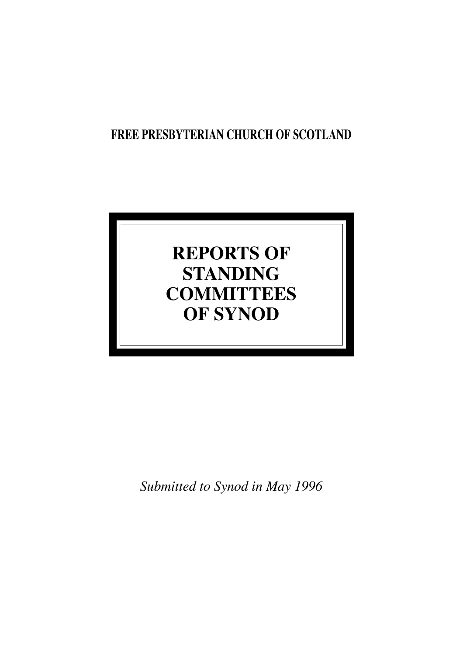## **FREE PRESBYTERIAN CHURCH OF SCOTLAND**

# **REPORTS OF STANDING COMMITTEES OF SYNOD**

*Submitted to Synod in May 1996*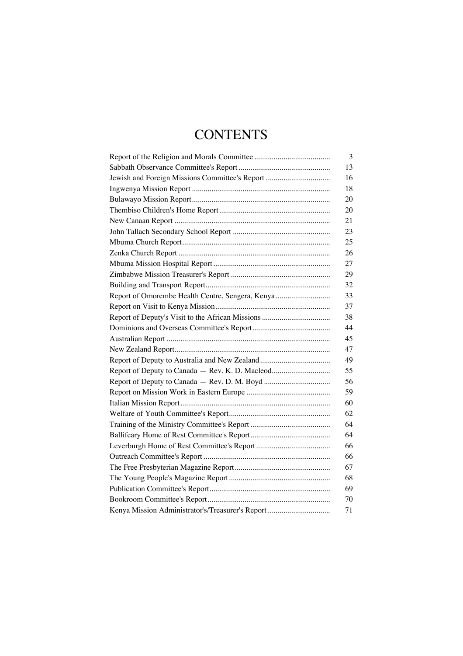## **CONTENTS**

|                                                  | 3  |
|--------------------------------------------------|----|
|                                                  | 13 |
| Jewish and Foreign Missions Committee's Report   | 16 |
|                                                  | 18 |
|                                                  | 20 |
|                                                  | 20 |
|                                                  | 21 |
|                                                  | 23 |
|                                                  | 25 |
|                                                  | 26 |
|                                                  | 27 |
|                                                  | 29 |
|                                                  | 32 |
| Report of Omorembe Health Centre, Sengera, Kenya | 33 |
|                                                  | 37 |
|                                                  | 38 |
|                                                  | 44 |
|                                                  | 45 |
|                                                  | 47 |
|                                                  | 49 |
| Report of Deputy to Canada - Rev. K. D. Macleod  | 55 |
|                                                  | 56 |
|                                                  | 59 |
|                                                  | 60 |
|                                                  | 62 |
|                                                  | 64 |
|                                                  | 64 |
|                                                  | 66 |
|                                                  | 66 |
|                                                  | 67 |
|                                                  | 68 |
|                                                  | 69 |
|                                                  | 70 |
| Kenya Mission Administrator's/Treasurer's Report | 71 |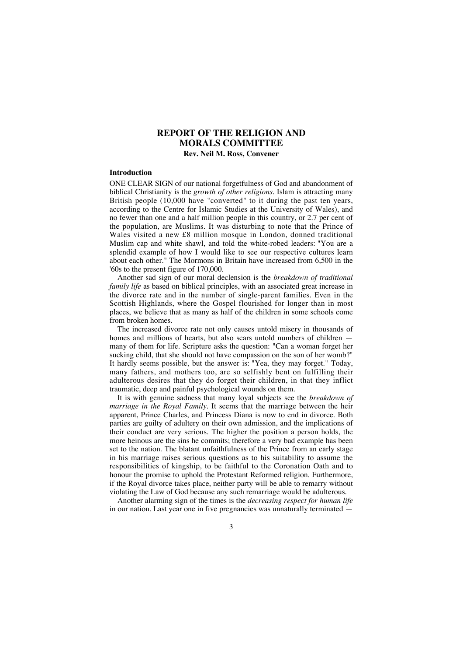## **REPORT OF THE RELIGION AND MORALS COMMITTEE**

## **Rev. Neil M. Ross, Convener**

## **Introduction**

ONE CLEAR SIGN of our national forgetfulness of God and abandonment of biblical Christianity is the *growth of other religions.* Islam is attracting many British people (10,000 have "converted" to it during the past ten years, according to the Centre for Islamic Studies at the University of Wales), and no fewer than one and a half million people in this country, or 2.7 per cent of the population, are Muslims. It was disturbing to note that the Prince of Wales visited a new £8 million mosque in London, donned traditional Muslim cap and white shawl, and told the white-robed leaders: "You are a splendid example of how I would like to see our respective cultures learn about each other." The Mormons in Britain have increased from 6,500 in the '60s to the present figure of 170,000.

Another sad sign of our moral declension is the *breakdown of traditional family life* as based on biblical principles, with an associated great increase in the divorce rate and in the number of single-parent families. Even in the Scottish Highlands, where the Gospel flourished for longer than in most places, we believe that as many as half of the children in some schools come from broken homes.

The increased divorce rate not only causes untold misery in thousands of homes and millions of hearts, but also scars untold numbers of children many of them for life. Scripture asks the question: "Can a woman forget her sucking child, that she should not have compassion on the son of her womb?" It hardly seems possible, but the answer is: "Yea, they may forget." Today, many fathers, and mothers too, are so selfishly bent on fulfilling their adulterous desires that they do forget their children, in that they inflict traumatic, deep and painful psychological wounds on them.

It is with genuine sadness that many loyal subjects see the *breakdown of marriage in the Royal Family.* It seems that the marriage between the heir apparent, Prince Charles, and Princess Diana is now to end in divorce. Both parties are guilty of adultery on their own admission, and the implications of their conduct are very serious. The higher the position a person holds, the more heinous are the sins he commits; therefore a very bad example has been set to the nation. The blatant unfaithfulness of the Prince from an early stage in his marriage raises serious questions as to his suitability to assume the responsibilities of kingship, to be faithful to the Coronation Oath and to honour the promise to uphold the Protestant Reformed religion. Furthermore, if the Royal divorce takes place, neither party will be able to remarry without violating the Law of God because any such remarriage would be adulterous.

Another alarming sign of the times is the *decreasing respect for human life* in our nation. Last year one in five pregnancies was unnaturally terminated —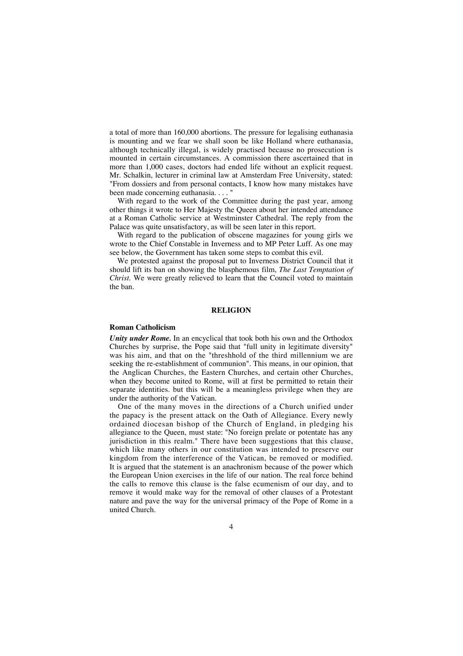a total of more than 160,000 abortions. The pressure for legalising euthanasia is mounting and we fear we shall soon be like Holland where euthanasia, although technically illegal, is widely practised because no prosecution is mounted in certain circumstances. A commission there ascertained that in more than 1,000 cases, doctors had ended life without an explicit request. Mr. Schalkin, lecturer in criminal law at Amsterdam Free University, stated: "From dossiers and from personal contacts, I know how many mistakes have been made concerning euthanasia. . . . "

With regard to the work of the Committee during the past year, among other things it wrote to Her Majesty the Queen about her intended attendance at a Roman Catholic service at Westminster Cathedral. The reply from the Palace was quite unsatisfactory, as will be seen later in this report.

With regard to the publication of obscene magazines for young girls we wrote to the Chief Constable in Inverness and to MP Peter Luff. As one may see below, the Government has taken some steps to combat this evil.

We protested against the proposal put to Inverness District Council that it should lift its ban on showing the blasphemous film, *The Last Temptation of Christ.* We were greatly relieved to learn that the Council voted to maintain the ban.

#### **RELIGION**

#### **Roman Catholicism**

*Unity under Rome.* In an encyclical that took both his own and the Orthodox Churches by surprise, the Pope said that "full unity in legitimate diversity" was his aim, and that on the "threshhold of the third millennium we are seeking the re-establishment of communion". This means, in our opinion, that the Anglican Churches, the Eastern Churches, and certain other Churches, when they become united to Rome, will at first be permitted to retain their separate identities. but this will be a meaningless privilege when they are under the authority of the Vatican.

One of the many moves in the directions of a Church unified under the papacy is the present attack on the Oath of Allegiance. Every newly ordained diocesan bishop of the Church of England, in pledging his allegiance to the Queen, must state: "No foreign prelate or potentate has any jurisdiction in this realm." There have been suggestions that this clause, which like many others in our constitution was intended to preserve our kingdom from the interference of the Vatican, be removed or modified. It is argued that the statement is an anachronism because of the power which the European Union exercises in the life of our nation. The real force behind the calls to remove this clause is the false ecumenism of our day, and to remove it would make way for the removal of other clauses of a Protestant nature and pave the way for the universal primacy of the Pope of Rome in a united Church.

### $\Delta$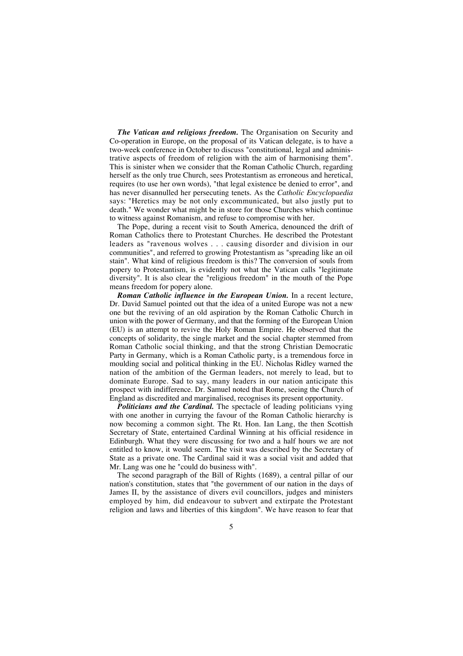*The Vatican and religious freedom.* The Organisation on Security and Co-operation in Europe, on the proposal of its Vatican delegate, is to have a two-week conference in October to discuss "constitutional, legal and administrative aspects of freedom of religion with the aim of harmonising them". This is sinister when we consider that the Roman Catholic Church, regarding herself as the only true Church, sees Protestantism as erroneous and heretical, requires (to use her own words), "that legal existence be denied to error", and has never disannulled her persecuting tenets. As the *Catholic Encyclopaedia* says: "Heretics may be not only excommunicated, but also justly put to death." We wonder what might be in store for those Churches which continue to witness against Romanism, and refuse to compromise with her.

The Pope, during a recent visit to South America, denounced the drift of Roman Catholics there to Protestant Churches. He described the Protestant leaders as "ravenous wolves . . . causing disorder and division in our communities", and referred to growing Protestantism as "spreading like an oil stain". What kind of religious freedom is this? The conversion of souls from popery to Protestantism, is evidently not what the Vatican calls "legitimate diversity". It is also clear the "religious freedom" in the mouth of the Pope means freedom for popery alone.

*Roman Catholic influence in the European Union.* In a recent lecture, Dr. David Samuel pointed out that the idea of a united Europe was not a new one but the reviving of an old aspiration by the Roman Catholic Church in union with the power of Germany, and that the forming of the European Union (EU) is an attempt to revive the Holy Roman Empire. He observed that the concepts of solidarity, the single market and the social chapter stemmed from Roman Catholic social thinking, and that the strong Christian Democratic Party in Germany, which is a Roman Catholic party, is a tremendous force in moulding social and political thinking in the EU. Nicholas Ridley warned the nation of the ambition of the German leaders, not merely to lead, but to dominate Europe. Sad to say, many leaders in our nation anticipate this prospect with indifference. Dr. Samuel noted that Rome, seeing the Church of England as discredited and marginalised, recognises its present opportunity.

*Politicians and the Cardinal.* The spectacle of leading politicians vying with one another in currying the favour of the Roman Catholic hierarchy is now becoming a common sight. The Rt. Hon. Ian Lang, the then Scottish Secretary of State, entertained Cardinal Winning at his official residence in Edinburgh. What they were discussing for two and a half hours we are not entitled to know, it would seem. The visit was described by the Secretary of State as a private one. The Cardinal said it was a social visit and added that Mr. Lang was one he "could do business with".

The second paragraph of the Bill of Rights (1689), a central pillar of our nation's constitution, states that "the government of our nation in the days of James II, by the assistance of divers evil councillors, judges and ministers employed by him, did endeavour to subvert and extirpate the Protestant religion and laws and liberties of this kingdom". We have reason to fear that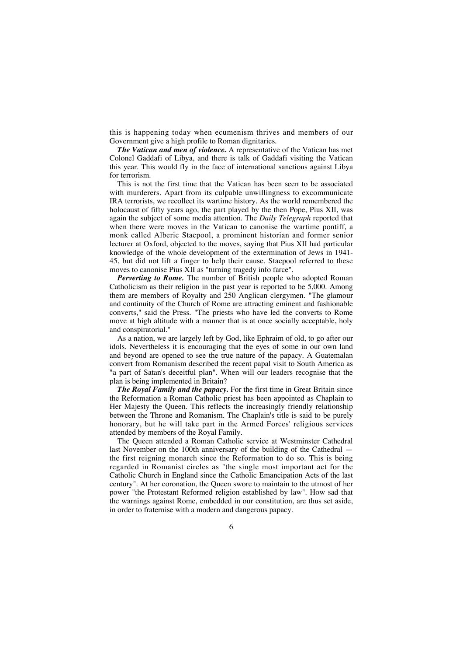this is happening today when ecumenism thrives and members of our Government give a high profile to Roman dignitaries.

*The Vatican and men of violence.* A representative of the Vatican has met Colonel Gaddafi of Libya, and there is talk of Gaddafi visiting the Vatican this year. This would fly in the face of international sanctions against Libya for terrorism.

This is not the first time that the Vatican has been seen to be associated with murderers. Apart from its culpable unwillingness to excommunicate IRA terrorists, we recollect its wartime history. As the world remembered the holocaust of fifty years ago, the part played by the then Pope, Pius XII, was again the subject of some media attention. The *Daily Telegraph* reported that when there were moves in the Vatican to canonise the wartime pontiff, a monk called Alberic Stacpool, a prominent historian and former senior lecturer at Oxford, objected to the moves, saying that Pius XII had particular knowledge of the whole development of the extermination of Jews in 1941- 45, but did not lift a finger to help their cause. Stacpool referred to these moves to canonise Pius XII as "turning tragedy info farce".

*Perverting to Rome.* The number of British people who adopted Roman Catholicism as their religion in the past year is reported to be 5,000. Among them are members of Royalty and 250 Anglican clergymen. "The glamour and continuity of the Church of Rome are attracting eminent and fashionable converts," said the Press. "The priests who have led the converts to Rome move at high altitude with a manner that is at once socially acceptable, holy and conspiratorial."

As a nation, we are largely left by God, like Ephraim of old, to go after our idols. Nevertheless it is encouraging that the eyes of some in our own land and beyond are opened to see the true nature of the papacy. A Guatemalan convert from Romanism described the recent papal visit to South America as "a part of Satan's deceitful plan". When will our leaders recognise that the plan is being implemented in Britain?

*The Royal Family and the papacy.* For the first time in Great Britain since the Reformation a Roman Catholic priest has been appointed as Chaplain to Her Majesty the Queen. This reflects the increasingly friendly relationship between the Throne and Romanism. The Chaplain's title is said to be purely honorary, but he will take part in the Armed Forces' religious services attended by members of the Royal Family.

The Queen attended a Roman Catholic service at Westminster Cathedral last November on the 100th anniversary of the building of the Cathedral the first reigning monarch since the Reformation to do so. This is being regarded in Romanist circles as "the single most important act for the Catholic Church in England since the Catholic Emancipation Acts of the last century". At her coronation, the Queen swore to maintain to the utmost of her power "the Protestant Reformed religion established by law". How sad that the warnings against Rome, embedded in our constitution, are thus set aside, in order to fraternise with a modern and dangerous papacy.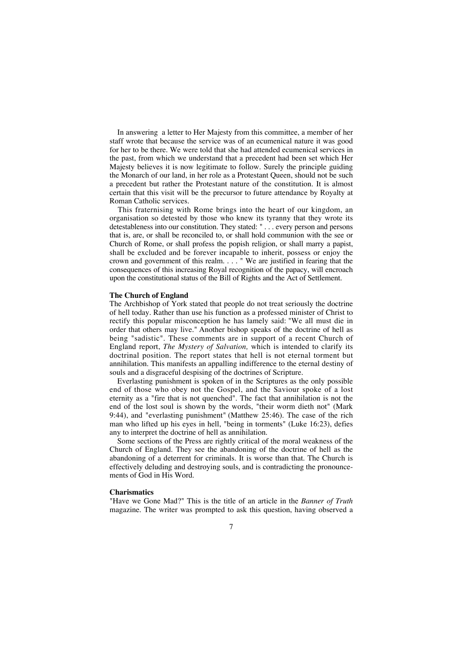In answering a letter to Her Majesty from this committee, a member of her staff wrote that because the service was of an ecumenical nature it was good for her to be there. We were told that she had attended ecumenical services in the past, from which we understand that a precedent had been set which Her Majesty believes it is now legitimate to follow. Surely the principle guiding the Monarch of our land, in her role as a Protestant Queen, should not be such a precedent but rather the Protestant nature of the constitution. It is almost certain that this visit will be the precursor to future attendance by Royalty at Roman Catholic services.

This fraternising with Rome brings into the heart of our kingdom, an organisation so detested by those who knew its tyranny that they wrote its detestableness into our constitution. They stated: " . . . every person and persons that is, are, or shall be reconciled to, or shall hold communion with the see or Church of Rome, or shall profess the popish religion, or shall marry a papist, shall be excluded and be forever incapable to inherit, possess or enjoy the crown and government of this realm. . . . " We are justified in fearing that the consequences of this increasing Royal recognition of the papacy, will encroach upon the constitutional status of the Bill of Rights and the Act of Settlement.

## **The Church of England**

The Archbishop of York stated that people do not treat seriously the doctrine of hell today. Rather than use his function as a professed minister of Christ to rectify this popular misconception he has lamely said: "We all must die in order that others may live." Another bishop speaks of the doctrine of hell as being "sadistic". These comments are in support of a recent Church of England report, *The Mystery of Salvation,* which is intended to clarify its doctrinal position. The report states that hell is not eternal torment but annihilation. This manifests an appalling indifference to the eternal destiny of souls and a disgraceful despising of the doctrines of Scripture.

Everlasting punishment is spoken of in the Scriptures as the only possible end of those who obey not the Gospel, and the Saviour spoke of a lost eternity as a "fire that is not quenched". The fact that annihilation is not the end of the lost soul is shown by the words, "their worm dieth not" (Mark 9:44), and "everlasting punishment" (Matthew 25:46). The case of the rich man who lifted up his eyes in hell, "being in torments" (Luke 16:23), defies any to interpret the doctrine of hell as annihilation.

Some sections of the Press are rightly critical of the moral weakness of the Church of England. They see the abandoning of the doctrine of hell as the abandoning of a deterrent for criminals. It is worse than that. The Church is effectively deluding and destroying souls, and is contradicting the pronouncements of God in His Word.

#### **Charismatics**

"Have we Gone Mad?" This is the title of an article in the *Banner of Truth* magazine. The writer was prompted to ask this question, having observed a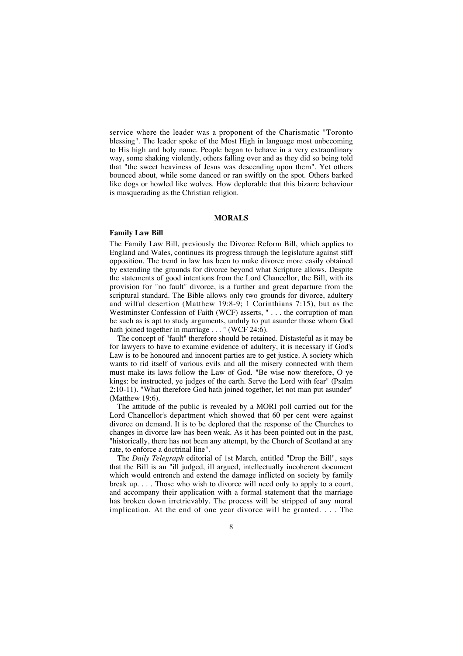service where the leader was a proponent of the Charismatic "Toronto blessing". The leader spoke of the Most High in language most unbecoming to His high and holy name. People began to behave in a very extraordinary way, some shaking violently, others falling over and as they did so being told that "the sweet heaviness of Jesus was descending upon them". Yet others bounced about, while some danced or ran swiftly on the spot. Others barked like dogs or howled like wolves. How deplorable that this bizarre behaviour is masquerading as the Christian religion.

## **MORALS**

## **Family Law Bill**

The Family Law Bill, previously the Divorce Reform Bill, which applies to England and Wales, continues its progress through the legislature against stiff opposition. The trend in law has been to make divorce more easily obtained by extending the grounds for divorce beyond what Scripture allows. Despite the statements of good intentions from the Lord Chancellor, the Bill, with its provision for "no fault" divorce, is a further and great departure from the scriptural standard. The Bible allows only two grounds for divorce, adultery and wilful desertion (Matthew 19:8-9; 1 Corinthians 7:15), but as the Westminster Confession of Faith (WCF) asserts, "... the corruption of man be such as is apt to study arguments, unduly to put asunder those whom God hath joined together in marriage . . . " (WCF 24:6).

The concept of "fault" therefore should be retained. Distasteful as it may be for lawyers to have to examine evidence of adultery, it is necessary if God's Law is to be honoured and innocent parties are to get justice. A society which wants to rid itself of various evils and all the misery connected with them must make its laws follow the Law of God. "Be wise now therefore, O ye kings: be instructed, ye judges of the earth. Serve the Lord with fear" (Psalm 2:10-11). "What therefore God hath joined together, let not man put asunder" (Matthew 19:6).

The attitude of the public is revealed by a MORI poll carried out for the Lord Chancellor's department which showed that 60 per cent were against divorce on demand. It is to be deplored that the response of the Churches to changes in divorce law has been weak. As it has been pointed out in the past, "historically, there has not been any attempt, by the Church of Scotland at any rate, to enforce a doctrinal line".

The *Daily Telegraph* editorial of 1st March, entitled "Drop the Bill", says that the Bill is an "ill judged, ill argued, intellectually incoherent document which would entrench and extend the damage inflicted on society by family break up. . . . Those who wish to divorce will need only to apply to a court, and accompany their application with a formal statement that the marriage has broken down irretrievably. The process will be stripped of any moral implication. At the end of one year divorce will be granted. . . . The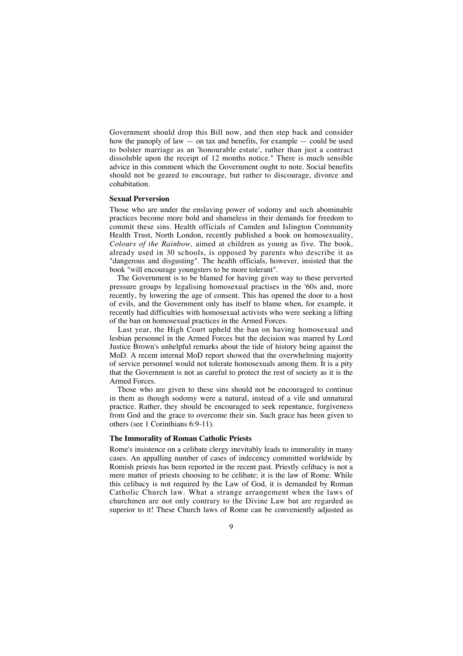Government should drop this Bill now, and then step back and consider how the panoply of law  $-$  on tax and benefits, for example  $-$  could be used to bolster marriage as an 'honourable estate', rather than just a contract dissoluble upon the receipt of 12 months notice." There is much sensible advice in this comment which the Government ought to note. Social benefits should not be geared to encourage, but rather to discourage, divorce and cohabitation.

## **Sexual Perversion**

Those who are under the enslaving power of sodomy and such abominable practices become more bold and shameless in their demands for freedom to commit these sins. Health officials of Camden and Islington Community Health Trust, North London, recently published a book on homosexuality, *Colours of the Rainbow,* aimed at children as young as five. The book, already used in 30 schools, is opposed by parents who describe it as "dangerous and disgusting". The health officials, however, insisted that the book "will encourage youngsters to be more tolerant".

The Government is to be blamed for having given way to these perverted pressure groups by legalising homosexual practises in the '60s and, more recently, by lowering the age of consent. This has opened the door to a host of evils, and the Government only has itself to blame when, for example, it recently had difficulties with homosexual activists who were seeking a lifting of the ban on homosexual practices in the Armed Forces.

Last year, the High Court upheld the ban on having homosexual and lesbian personnel in the Armed Forces but the decision was marred by Lord Justice Brown's unhelpful remarks about the tide of history being against the MoD. A recent internal MoD report showed that the overwhelming majority of service personnel would not tolerate homosexuals among them. It is a pity that the Government is not as careful to protect the rest of society as it is the Armed Forces.

Those who are given to these sins should not be encouraged to continue in them as though sodomy were a natural, instead of a vile and unnatural practice. Rather, they should be encouraged to seek repentance, forgiveness from God and the grace to overcome their sin. Such grace has been given to others (see 1 Corinthians 6:9-11).

## **The Immorality of Roman Catholic Priests**

Rome's insistence on a celibate clergy inevitably leads to immorality in many cases. An appalling number of cases of indecency committed worldwide by Romish priests has been reported in the recent past. Priestly celibacy is not a mere matter of priests choosing to be celibate; it is the law of Rome. While this celibacy is not required by the Law of God, it is demanded by Roman Catholic Church law. What a strange arrangement when the laws of churchmen are not only contrary to the Divine Law but are regarded as superior to it! These Church laws of Rome can be conveniently adjusted as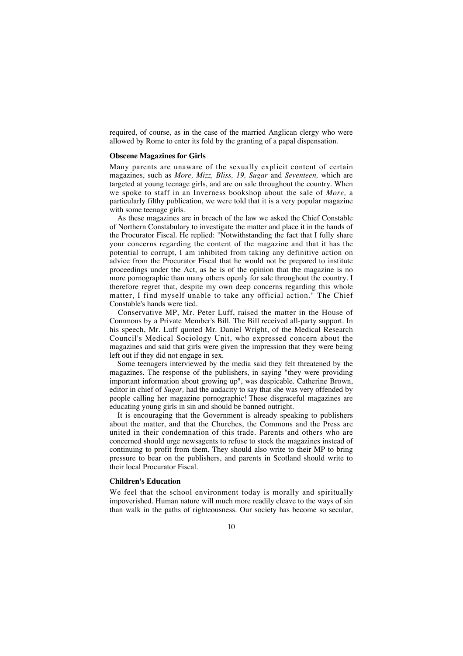required, of course, as in the case of the married Anglican clergy who were allowed by Rome to enter its fold by the granting of a papal dispensation.

#### **Obscene Magazines for Girls**

Many parents are unaware of the sexually explicit content of certain magazines, such as *More, Mizz, Bliss, 19, Sugar* and *Seventeen,* which are targeted at young teenage girls, and are on sale throughout the country. When we spoke to staff in an Inverness bookshop about the sale of *More,* a particularly filthy publication, we were told that it is a very popular magazine with some teenage girls.

As these magazines are in breach of the law we asked the Chief Constable of Northern Constabulary to investigate the matter and place it in the hands of the Procurator Fiscal. He replied: "Notwithstanding the fact that I fully share your concerns regarding the content of the magazine and that it has the potential to corrupt, I am inhibited from taking any definitive action on advice from the Procurator Fiscal that he would not be prepared to institute proceedings under the Act, as he is of the opinion that the magazine is no more pornographic than many others openly for sale throughout the country. I therefore regret that, despite my own deep concerns regarding this whole matter, I find myself unable to take any official action." The Chief Constable's hands were tied.

Conservative MP, Mr. Peter Luff, raised the matter in the House of Commons by a Private Member's Bill. The Bill received all-party support. In his speech, Mr. Luff quoted Mr. Daniel Wright, of the Medical Research Council's Medical Sociology Unit, who expressed concern about the magazines and said that girls were given the impression that they were being left out if they did not engage in sex.

Some teenagers interviewed by the media said they felt threatened by the magazines. The response of the publishers, in saying "they were providing important information about growing up", was despicable. Catherine Brown, editor in chief of *Sugar,* had the audacity to say that she was very offended by people calling her magazine pornographic! These disgraceful magazines are educating young girls in sin and should be banned outright.

It is encouraging that the Government is already speaking to publishers about the matter, and that the Churches, the Commons and the Press are united in their condemnation of this trade. Parents and others who are concerned should urge newsagents to refuse to stock the magazines instead of continuing to profit from them. They should also write to their MP to bring pressure to bear on the publishers, and parents in Scotland should write to their local Procurator Fiscal.

## **Children's Education**

We feel that the school environment today is morally and spiritually impoverished. Human nature will much more readily cleave to the ways of sin than walk in the paths of righteousness. Our society has become so secular,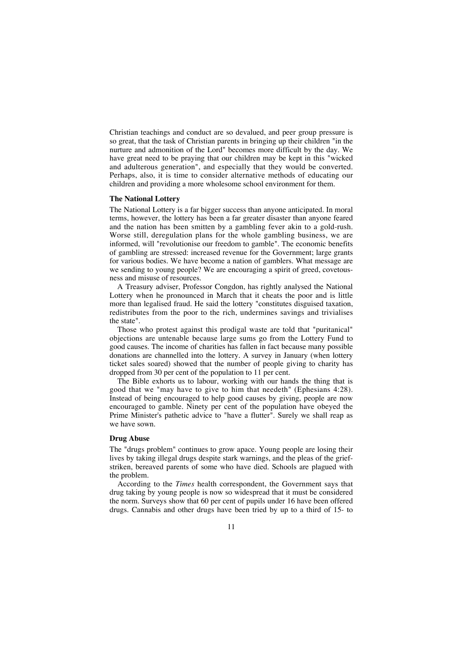Christian teachings and conduct are so devalued, and peer group pressure is so great, that the task of Christian parents in bringing up their children "in the nurture and admonition of the Lord" becomes more difficult by the day. We have great need to be praying that our children may be kept in this "wicked and adulterous generation", and especially that they would be converted. Perhaps, also, it is time to consider alternative methods of educating our children and providing a more wholesome school environment for them.

## **The National Lottery**

The National Lottery is a far bigger success than anyone anticipated. In moral terms, however, the lottery has been a far greater disaster than anyone feared and the nation has been smitten by a gambling fever akin to a gold-rush. Worse still, deregulation plans for the whole gambling business, we are informed, will "revolutionise our freedom to gamble". The economic benefits of gambling are stressed: increased revenue for the Government; large grants for various bodies. We have become a nation of gamblers. What message are we sending to young people? We are encouraging a spirit of greed, covetousness and misuse of resources.

A Treasury adviser, Professor Congdon, has rightly analysed the National Lottery when he pronounced in March that it cheats the poor and is little more than legalised fraud. He said the lottery "constitutes disguised taxation, redistributes from the poor to the rich, undermines savings and trivialises the state".

Those who protest against this prodigal waste are told that "puritanical" objections are untenable because large sums go from the Lottery Fund to good causes. The income of charities has fallen in fact because many possible donations are channelled into the lottery. A survey in January (when lottery ticket sales soared) showed that the number of people giving to charity has dropped from 30 per cent of the population to 11 per cent.

The Bible exhorts us to labour, working with our hands the thing that is good that we "may have to give to him that needeth" (Ephesians 4:28). Instead of being encouraged to help good causes by giving, people are now encouraged to gamble. Ninety per cent of the population have obeyed the Prime Minister's pathetic advice to "have a flutter". Surely we shall reap as we have sown.

## **Drug Abuse**

The "drugs problem" continues to grow apace. Young people are losing their lives by taking illegal drugs despite stark warnings, and the pleas of the griefstriken, bereaved parents of some who have died. Schools are plagued with the problem.

According to the *Times* health correspondent, the Government says that drug taking by young people is now so widespread that it must be considered the norm. Surveys show that 60 per cent of pupils under 16 have been offered drugs. Cannabis and other drugs have been tried by up to a third of 15- to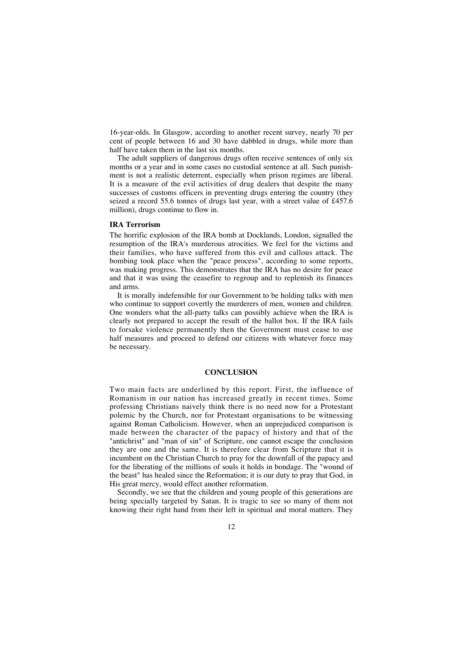16-year-olds. In Glasgow, according to another recent survey, nearly 70 per cent of people between 16 and 30 have dabbled in drugs, while more than half have taken them in the last six months.

The adult suppliers of dangerous drugs often receive sentences of only six months or a year and in some cases no custodial sentence at all. Such punishment is not a realistic deterrent, especially when prison regimes are liberal. It is a measure of the evil activities of drug dealers that despite the many successes of customs officers in preventing drugs entering the country (they seized a record 55.6 tonnes of drugs last year, with a street value of £457.6 million), drugs continue to flow in.

#### **IRA Terrorism**

The horrific explosion of the IRA bomb at Docklands, London, signalled the resumption of the IRA's murderous atrocities. We feel for the victims and their families, who have suffered from this evil and callous attack. The bombing took place when the "peace process", according to some reports, was making progress. This demonstrates that the IRA has no desire for peace and that it was using the ceasefire to regroup and to replenish its finances and arms.

It is morally indefensible for our Government to be holding talks with men who continue to support covertly the murderers of men, women and children. One wonders what the all-party talks can possibly achieve when the IRA is clearly not prepared to accept the result of the ballot box. If the IRA fails to forsake violence permanently then the Government must cease to use half measures and proceed to defend our citizens with whatever force may be necessary.

## **CONCLUSION**

Two main facts are underlined by this report. First, the influence of Romanism in our nation has increased greatly in recent times. Some professing Christians naively think there is no need now for a Protestant polemic by the Church, nor for Protestant organisations to be witnessing against Roman Catholicism. However, when an unprejudiced comparison is made between the character of the papacy of history and that of the "antichrist" and "man of sin" of Scripture, one cannot escape the conclusion they are one and the same. It is therefore clear from Scripture that it is incumbent on the Christian Church to pray for the downfall of the papacy and for the liberating of the millions of souls it holds in bondage. The "wound of the beast" has healed since the Reformation; it is our duty to pray that God, in His great mercy, would effect another reformation.

Secondly, we see that the children and young people of this generations are being specially targeted by Satan. It is tragic to see so many of them not knowing their right hand from their left in spiritual and moral matters. They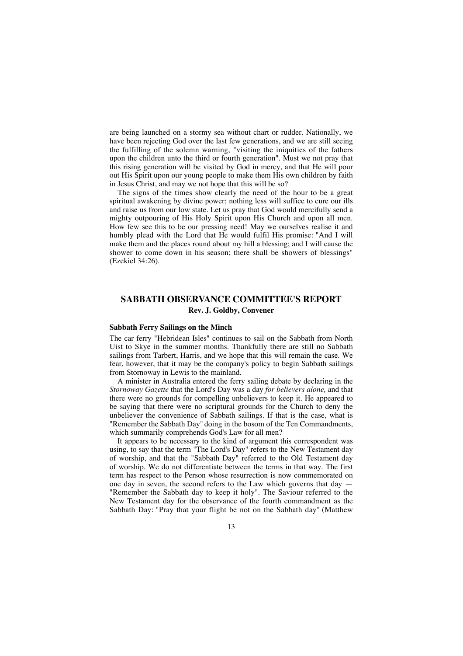are being launched on a stormy sea without chart or rudder. Nationally, we have been rejecting God over the last few generations, and we are still seeing the fulfilling of the solemn warning, "visiting the iniquities of the fathers upon the children unto the third or fourth generation". Must we not pray that this rising generation will be visited by God in mercy, and that He will pour out His Spirit upon our young people to make them His own children by faith in Jesus Christ, and may we not hope that this will be so?

The signs of the times show clearly the need of the hour to be a great spiritual awakening by divine power; nothing less will suffice to cure our ills and raise us from our low state. Let us pray that God would mercifully send a mighty outpouring of His Holy Spirit upon His Church and upon all men. How few see this to be our pressing need! May we ourselves realise it and humbly plead with the Lord that He would fulfil His promise: "And I will make them and the places round about my hill a blessing; and I will cause the shower to come down in his season; there shall be showers of blessings" (Ezekiel 34:26).

## **SABBATH OBSERVANCE COMMITTEE'S REPORT Rev. J. Goldby, Convener**

## **Sabbath Ferry Sailings on the Minch**

The car ferry "Hebridean Isles" continues to sail on the Sabbath from North Uist to Skye in the summer months. Thankfully there are still no Sabbath sailings from Tarbert, Harris, and we hope that this will remain the case. We fear, however, that it may be the company's policy to begin Sabbath sailings from Stornoway in Lewis to the mainland.

A minister in Australia entered the ferry sailing debate by declaring in the *Stornoway Gazette* that the Lord's Day was a day *for believers alone,* and that there were no grounds for compelling unbelievers to keep it. He appeared to be saying that there were no scriptural grounds for the Church to deny the unbeliever the convenience of Sabbath sailings. If that is the case, what is "Remember the Sabbath Day" doing in the bosom of the Ten Commandments, which summarily comprehends God's Law for all men?

It appears to be necessary to the kind of argument this correspondent was using, to say that the term "The Lord's Day" refers to the New Testament day of worship, and that the "Sabbath Day" referred to the Old Testament day of worship. We do not differentiate between the terms in that way. The first term has respect to the Person whose resurrection is now commemorated on one day in seven, the second refers to the Law which governs that day — "Remember the Sabbath day to keep it holy". The Saviour referred to the New Testament day for the observance of the fourth commandment as the Sabbath Day: "Pray that your flight be not on the Sabbath day" (Matthew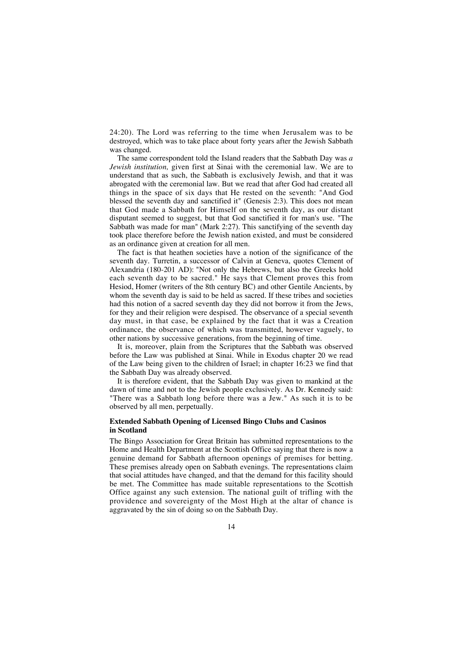24:20). The Lord was referring to the time when Jerusalem was to be destroyed, which was to take place about forty years after the Jewish Sabbath was changed.

The same correspondent told the Island readers that the Sabbath Day was *a Jewish institution,* given first at Sinai with the ceremonial law. We are to understand that as such, the Sabbath is exclusively Jewish, and that it was abrogated with the ceremonial law. But we read that after God had created all things in the space of six days that He rested on the seventh: "And God blessed the seventh day and sanctified it" (Genesis 2:3). This does not mean that God made a Sabbath for Himself on the seventh day, as our distant disputant seemed to suggest, but that God sanctified it for man's use. "The Sabbath was made for man" (Mark 2:27). This sanctifying of the seventh day took place therefore before the Jewish nation existed, and must be considered as an ordinance given at creation for all men.

The fact is that heathen societies have a notion of the significance of the seventh day. Turretin, a successor of Calvin at Geneva, quotes Clement of Alexandria (180-201 AD): "Not only the Hebrews, but also the Greeks hold each seventh day to be sacred." He says that Clement proves this from Hesiod, Homer (writers of the 8th century BC) and other Gentile Ancients, by whom the seventh day is said to be held as sacred. If these tribes and societies had this notion of a sacred seventh day they did not borrow it from the Jews, for they and their religion were despised. The observance of a special seventh day must, in that case, be explained by the fact that it was a Creation ordinance, the observance of which was transmitted, however vaguely, to other nations by successive generations, from the beginning of time.

It is, moreover, plain from the Scriptures that the Sabbath was observed before the Law was published at Sinai. While in Exodus chapter 20 we read of the Law being given to the children of Israel; in chapter 16:23 we find that the Sabbath Day was already observed.

It is therefore evident, that the Sabbath Day was given to mankind at the dawn of time and not to the Jewish people exclusively. As Dr. Kennedy said: "There was a Sabbath long before there was a Jew." As such it is to be observed by all men, perpetually.

## **Extended Sabbath Opening of Licensed Bingo Clubs and Casinos in Scotland**

The Bingo Association for Great Britain has submitted representations to the Home and Health Department at the Scottish Office saying that there is now a genuine demand for Sabbath afternoon openings of premises for betting. These premises already open on Sabbath evenings. The representations claim that social attitudes have changed, and that the demand for this facility should be met. The Committee has made suitable representations to the Scottish Office against any such extension. The national guilt of trifling with the providence and sovereignty of the Most High at the altar of chance is aggravated by the sin of doing so on the Sabbath Day.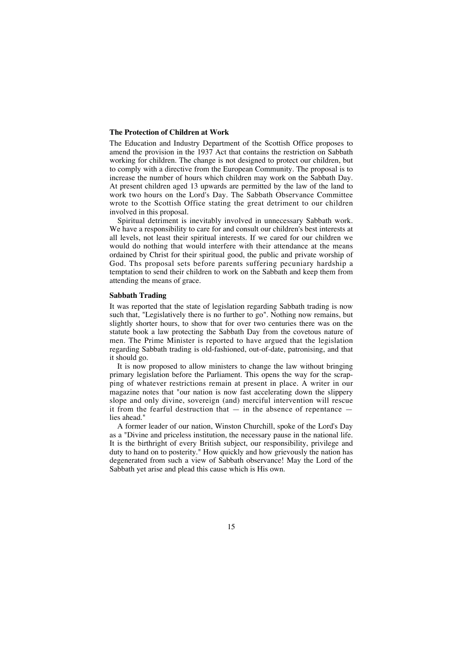## **The Protection of Children at Work**

The Education and Industry Department of the Scottish Office proposes to amend the provision in the 1937 Act that contains the restriction on Sabbath working for children. The change is not designed to protect our children, but to comply with a directive from the European Community. The proposal is to increase the number of hours which children may work on the Sabbath Day. At present children aged 13 upwards are permitted by the law of the land to work two hours on the Lord's Day. The Sabbath Observance Committee wrote to the Scottish Office stating the great detriment to our children involved in this proposal.

Spiritual detriment is inevitably involved in unnecessary Sabbath work. We have a responsibility to care for and consult our children's best interests at all levels, not least their spiritual interests. If we cared for our children we would do nothing that would interfere with their attendance at the means ordained by Christ for their spiritual good, the public and private worship of God. Ths proposal sets before parents suffering pecuniary hardship a temptation to send their children to work on the Sabbath and keep them from attending the means of grace.

## **Sabbath Trading**

It was reported that the state of legislation regarding Sabbath trading is now such that, "Legislatively there is no further to go". Nothing now remains, but slightly shorter hours, to show that for over two centuries there was on the statute book a law protecting the Sabbath Day from the covetous nature of men. The Prime Minister is reported to have argued that the legislation regarding Sabbath trading is old-fashioned, out-of-date, patronising, and that it should go.

It is now proposed to allow ministers to change the law without bringing primary legislation before the Parliament. This opens the way for the scrapping of whatever restrictions remain at present in place. A writer in our magazine notes that "our nation is now fast accelerating down the slippery slope and only divine, sovereign (and) merciful intervention will rescue it from the fearful destruction that  $-$  in the absence of repentance  $$ lies ahead."

A former leader of our nation, Winston Churchill, spoke of the Lord's Day as a "Divine and priceless institution, the necessary pause in the national life. It is the birthright of every British subject, our responsibility, privilege and duty to hand on to posterity." How quickly and how grievously the nation has degenerated from such a view of Sabbath observance! May the Lord of the Sabbath yet arise and plead this cause which is His own.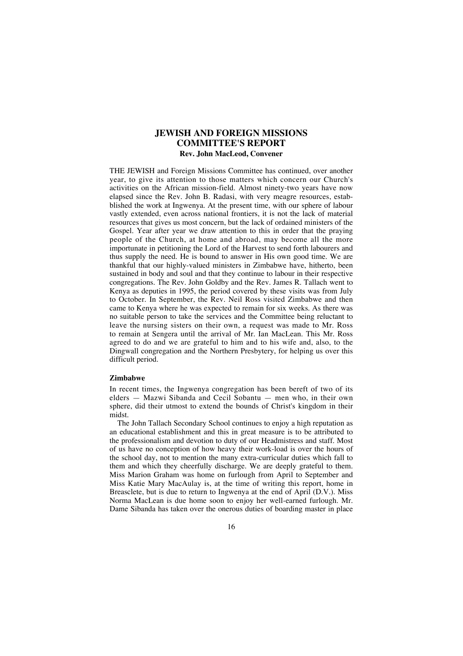## **JEWISH AND FOREIGN MISSIONS COMMITTEE'S REPORT Rev. John MacLeod, Convener**

THE JEWISH and Foreign Missions Committee has continued, over another year, to give its attention to those matters which concern our Church's activities on the African mission-field. Almost ninety-two years have now elapsed since the Rev. John B. Radasi, with very meagre resources, estabblished the work at Ingwenya. At the present time, with our sphere of labour vastly extended, even across national frontiers, it is not the lack of material resources that gives us most concern, but the lack of ordained ministers of the Gospel. Year after year we draw attention to this in order that the praying people of the Church, at home and abroad, may become all the more importunate in petitioning the Lord of the Harvest to send forth labourers and thus supply the need. He is bound to answer in His own good time. We are thankful that our highly-valued ministers in Zimbabwe have, hitherto, been sustained in body and soul and that they continue to labour in their respective congregations. The Rev. John Goldby and the Rev. James R. Tallach went to Kenya as deputies in 1995, the period covered by these visits was from July to October. In September, the Rev. Neil Ross visited Zimbabwe and then came to Kenya where he was expected to remain for six weeks. As there was no suitable person to take the services and the Committee being reluctant to leave the nursing sisters on their own, a request was made to Mr. Ross to remain at Sengera until the arrival of Mr. Ian MacLean. This Mr. Ross agreed to do and we are grateful to him and to his wife and, also, to the Dingwall congregation and the Northern Presbytery, for helping us over this difficult period.

## **Zimbabwe**

In recent times, the Ingwenya congregation has been bereft of two of its elders — Mazwi Sibanda and Cecil Sobantu — men who, in their own sphere, did their utmost to extend the bounds of Christ's kingdom in their midst.

The John Tallach Secondary School continues to enjoy a high reputation as an educational establishment and this in great measure is to be attributed to the professionalism and devotion to duty of our Headmistress and staff. Most of us have no conception of how heavy their work-load is over the hours of the school day, not to mention the many extra-curricular duties which fall to them and which they cheerfully discharge. We are deeply grateful to them. Miss Marion Graham was home on furlough from April to September and Miss Katie Mary MacAulay is, at the time of writing this report, home in Breasclete, but is due to return to Ingwenya at the end of April (D.V.). Miss Norma MacLean is due home soon to enjoy her well-earned furlough. Mr. Dame Sibanda has taken over the onerous duties of boarding master in place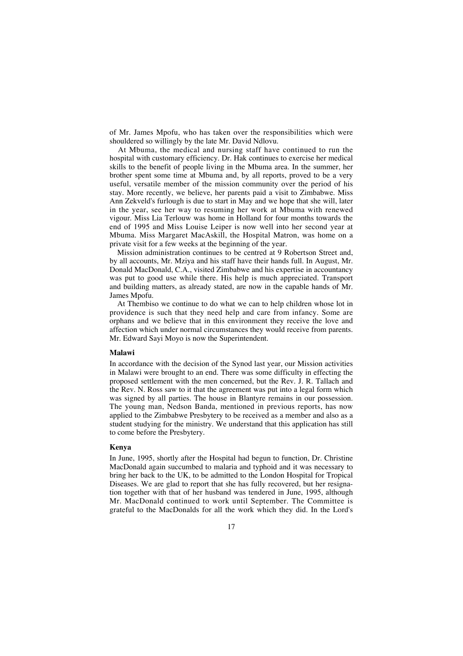of Mr. James Mpofu, who has taken over the responsibilities which were shouldered so willingly by the late Mr. David Ndlovu.

At Mbuma, the medical and nursing staff have continued to run the hospital with customary efficiency. Dr. Hak continues to exercise her medical skills to the benefit of people living in the Mbuma area. In the summer, her brother spent some time at Mbuma and, by all reports, proved to be a very useful, versatile member of the mission community over the period of his stay. More recently, we believe, her parents paid a visit to Zimbabwe. Miss Ann Zekveld's furlough is due to start in May and we hope that she will, later in the year, see her way to resuming her work at Mbuma with renewed vigour. Miss Lia Terlouw was home in Holland for four months towards the end of 1995 and Miss Louise Leiper is now well into her second year at Mbuma. Miss Margaret MacAskill, the Hospital Matron, was home on a private visit for a few weeks at the beginning of the year.

Mission administration continues to be centred at 9 Robertson Street and, by all accounts, Mr. Mziya and his staff have their hands full. In August, Mr. Donald MacDonald, C.A., visited Zimbabwe and his expertise in accountancy was put to good use while there. His help is much appreciated. Transport and building matters, as already stated, are now in the capable hands of Mr. James Mpofu.

At Thembiso we continue to do what we can to help children whose lot in providence is such that they need help and care from infancy. Some are orphans and we believe that in this environment they receive the love and affection which under normal circumstances they would receive from parents. Mr. Edward Sayi Moyo is now the Superintendent.

#### **Malawi**

In accordance with the decision of the Synod last year, our Mission activities in Malawi were brought to an end. There was some difficulty in effecting the proposed settlement with the men concerned, but the Rev. J. R. Tallach and the Rev. N. Ross saw to it that the agreement was put into a legal form which was signed by all parties. The house in Blantyre remains in our possession. The young man, Nedson Banda, mentioned in previous reports, has now applied to the Zimbabwe Presbytery to be received as a member and also as a student studying for the ministry. We understand that this application has still to come before the Presbytery.

#### **Kenya**

In June, 1995, shortly after the Hospital had begun to function, Dr. Christine MacDonald again succumbed to malaria and typhoid and it was necessary to bring her back to the UK, to be admitted to the London Hospital for Tropical Diseases. We are glad to report that she has fully recovered, but her resignation together with that of her husband was tendered in June, 1995, although Mr. MacDonald continued to work until September. The Committee is grateful to the MacDonalds for all the work which they did. In the Lord's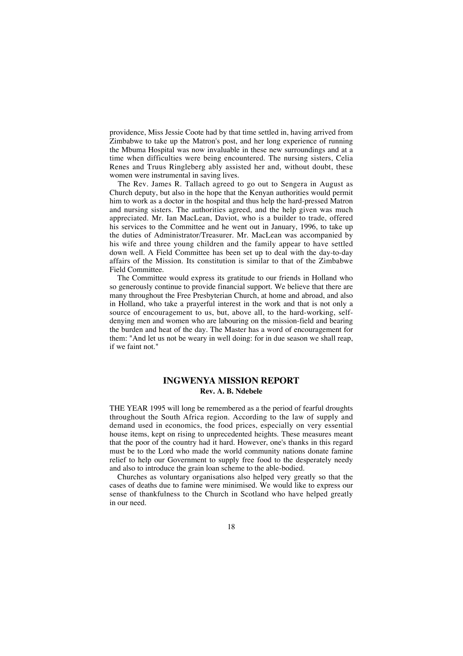providence, Miss Jessie Coote had by that time settled in, having arrived from Zimbabwe to take up the Matron's post, and her long experience of running the Mbuma Hospital was now invaluable in these new surroundings and at a time when difficulties were being encountered. The nursing sisters, Celia Renes and Truus Ringleberg ably assisted her and, without doubt, these women were instrumental in saving lives.

The Rev. James R. Tallach agreed to go out to Sengera in August as Church deputy, but also in the hope that the Kenyan authorities would permit him to work as a doctor in the hospital and thus help the hard-pressed Matron and nursing sisters. The authorities agreed, and the help given was much appreciated. Mr. Ian MacLean, Daviot, who is a builder to trade, offered his services to the Committee and he went out in January, 1996, to take up the duties of Administrator/Treasurer. Mr. MacLean was accompanied by his wife and three young children and the family appear to have settled down well. A Field Committee has been set up to deal with the day-to-day affairs of the Mission. Its constitution is similar to that of the Zimbabwe Field Committee.

The Committee would express its gratitude to our friends in Holland who so generously continue to provide financial support. We believe that there are many throughout the Free Presbyterian Church, at home and abroad, and also in Holland, who take a prayerful interest in the work and that is not only a source of encouragement to us, but, above all, to the hard-working, selfdenying men and women who are labouring on the mission-field and bearing the burden and heat of the day. The Master has a word of encouragement for them: "And let us not be weary in well doing: for in due season we shall reap, if we faint not."

## **INGWENYA MISSION REPORT Rev. A. B. Ndebele**

THE YEAR 1995 will long be remembered as a the period of fearful droughts throughout the South Africa region. According to the law of supply and demand used in economics, the food prices, especially on very essential house items, kept on rising to unprecedented heights. These measures meant that the poor of the country had it hard. However, one's thanks in this regard must be to the Lord who made the world community nations donate famine relief to help our Government to supply free food to the desperately needy and also to introduce the grain loan scheme to the able-bodied.

Churches as voluntary organisations also helped very greatly so that the cases of deaths due to famine were minimised. We would like to express our sense of thankfulness to the Church in Scotland who have helped greatly in our need.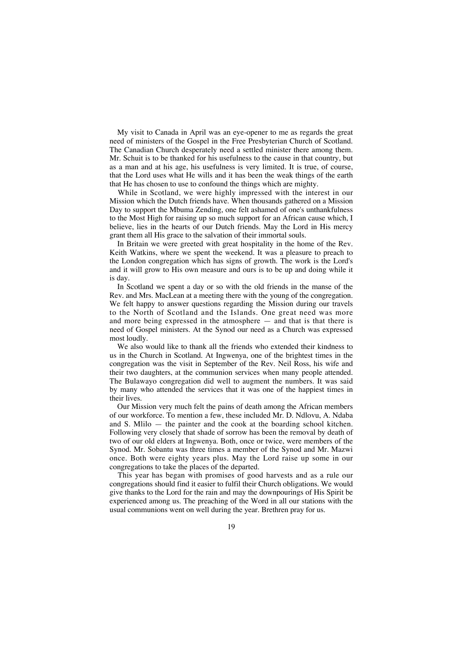My visit to Canada in April was an eye-opener to me as regards the great need of ministers of the Gospel in the Free Presbyterian Church of Scotland. The Canadian Church desperately need a settled minister there among them. Mr. Schuit is to be thanked for his usefulness to the cause in that country, but as a man and at his age, his usefulness is very limited. It is true, of course, that the Lord uses what He wills and it has been the weak things of the earth that He has chosen to use to confound the things which are mighty.

While in Scotland, we were highly impressed with the interest in our Mission which the Dutch friends have. When thousands gathered on a Mission Day to support the Mbuma Zending, one felt ashamed of one's unthankfulness to the Most High for raising up so much support for an African cause which, I believe, lies in the hearts of our Dutch friends. May the Lord in His mercy grant them all His grace to the salvation of their immortal souls.

In Britain we were greeted with great hospitality in the home of the Rev. Keith Watkins, where we spent the weekend. It was a pleasure to preach to the London congregation which has signs of growth. The work is the Lord's and it will grow to His own measure and ours is to be up and doing while it is day.

In Scotland we spent a day or so with the old friends in the manse of the Rev. and Mrs. MacLean at a meeting there with the young of the congregation. We felt happy to answer questions regarding the Mission during our travels to the North of Scotland and the Islands. One great need was more and more being expressed in the atmosphere — and that is that there is need of Gospel ministers. At the Synod our need as a Church was expressed most loudly.

We also would like to thank all the friends who extended their kindness to us in the Church in Scotland. At Ingwenya, one of the brightest times in the congregation was the visit in September of the Rev. Neil Ross, his wife and their two daughters, at the communion services when many people attended. The Bulawayo congregation did well to augment the numbers. It was said by many who attended the services that it was one of the happiest times in their lives.

Our Mission very much felt the pains of death among the African members of our workforce. To mention a few, these included Mr. D. Ndlovu, A. Ndaba and S. Mlilo — the painter and the cook at the boarding school kitchen. Following very closely that shade of sorrow has been the removal by death of two of our old elders at Ingwenya. Both, once or twice, were members of the Synod. Mr. Sobantu was three times a member of the Synod and Mr. Mazwi once. Both were eighty years plus. May the Lord raise up some in our congregations to take the places of the departed.

This year has began with promises of good harvests and as a rule our congregations should find it easier to fulfil their Church obligations. We would give thanks to the Lord for the rain and may the downpourings of His Spirit be experienced among us. The preaching of the Word in all our stations with the usual communions went on well during the year. Brethren pray for us.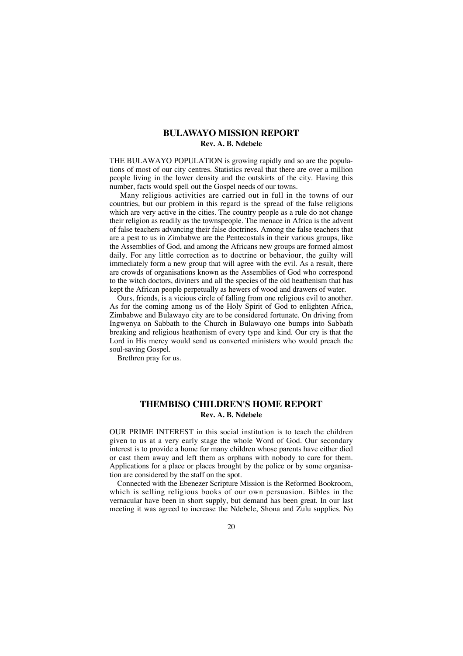## **BULAWAYO MISSION REPORT Rev. A. B. Ndebele**

THE BULAWAYO POPULATION is growing rapidly and so are the populations of most of our city centres. Statistics reveal that there are over a million people living in the lower density and the outskirts of the city. Having this number, facts would spell out the Gospel needs of our towns.

Many religious activities are carried out in full in the towns of our countries, but our problem in this regard is the spread of the false religions which are very active in the cities. The country people as a rule do not change their religion as readily as the townspeople. The menace in Africa is the advent of false teachers advancing their false doctrines. Among the false teachers that are a pest to us in Zimbabwe are the Pentecostals in their various groups, like the Assemblies of God, and among the Africans new groups are formed almost daily. For any little correction as to doctrine or behaviour, the guilty will immediately form a new group that will agree with the evil. As a result, there are crowds of organisations known as the Assemblies of God who correspond to the witch doctors, diviners and all the species of the old heathenism that has kept the African people perpetually as hewers of wood and drawers of water.

Ours, friends, is a vicious circle of falling from one religious evil to another. As for the coming among us of the Holy Spirit of God to enlighten Africa, Zimbabwe and Bulawayo city are to be considered fortunate. On driving from Ingwenya on Sabbath to the Church in Bulawayo one bumps into Sabbath breaking and religious heathenism of every type and kind. Our cry is that the Lord in His mercy would send us converted ministers who would preach the soul-saving Gospel.

Brethren pray for us.

## **THEMBISO CHILDREN'S HOME REPORT Rev. A. B. Ndebele**

OUR PRIME INTEREST in this social institution is to teach the children given to us at a very early stage the whole Word of God. Our secondary interest is to provide a home for many children whose parents have either died or cast them away and left them as orphans with nobody to care for them. Applications for a place or places brought by the police or by some organisation are considered by the staff on the spot.

Connected with the Ebenezer Scripture Mission is the Reformed Bookroom, which is selling religious books of our own persuasion. Bibles in the vernacular have been in short supply, but demand has been great. In our last meeting it was agreed to increase the Ndebele, Shona and Zulu supplies. No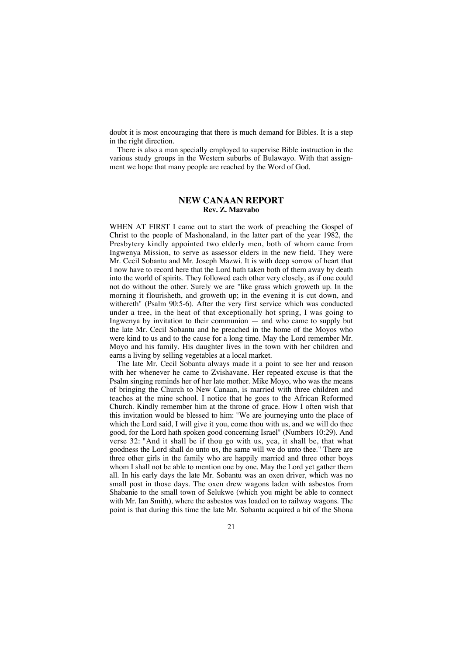doubt it is most encouraging that there is much demand for Bibles. It is a step in the right direction.

There is also a man specially employed to supervise Bible instruction in the various study groups in the Western suburbs of Bulawayo. With that assignment we hope that many people are reached by the Word of God.

## **NEW CANAAN REPORT Rev. Z. Mazvabo**

WHEN AT FIRST I came out to start the work of preaching the Gospel of Christ to the people of Mashonaland, in the latter part of the year 1982, the Presbytery kindly appointed two elderly men, both of whom came from Ingwenya Mission, to serve as assessor elders in the new field. They were Mr. Cecil Sobantu and Mr. Joseph Mazwi. It is with deep sorrow of heart that I now have to record here that the Lord hath taken both of them away by death into the world of spirits. They followed each other very closely, as if one could not do without the other. Surely we are "like grass which groweth up. In the morning it flourisheth, and groweth up; in the evening it is cut down, and withereth" (Psalm 90:5-6). After the very first service which was conducted under a tree, in the heat of that exceptionally hot spring, I was going to Ingwenya by invitation to their communion — and who came to supply but the late Mr. Cecil Sobantu and he preached in the home of the Moyos who were kind to us and to the cause for a long time. May the Lord remember Mr. Moyo and his family. His daughter lives in the town with her children and earns a living by selling vegetables at a local market.

The late Mr. Cecil Sobantu always made it a point to see her and reason with her whenever he came to Zvishavane. Her repeated excuse is that the Psalm singing reminds her of her late mother. Mike Moyo, who was the means of bringing the Church to New Canaan, is married with three children and teaches at the mine school. I notice that he goes to the African Reformed Church. Kindly remember him at the throne of grace. How I often wish that this invitation would be blessed to him: "We are journeying unto the place of which the Lord said, I will give it you, come thou with us, and we will do thee good, for the Lord hath spoken good concerning Israel" (Numbers 10:29). And verse 32: "And it shall be if thou go with us, yea, it shall be, that what goodness the Lord shall do unto us, the same will we do unto thee." There are three other girls in the family who are happily married and three other boys whom I shall not be able to mention one by one. May the Lord yet gather them all. In his early days the late Mr. Sobantu was an oxen driver, which was no small post in those days. The oxen drew wagons laden with asbestos from Shabanie to the small town of Selukwe (which you might be able to connect with Mr. Ian Smith), where the asbestos was loaded on to railway wagons. The point is that during this time the late Mr. Sobantu acquired a bit of the Shona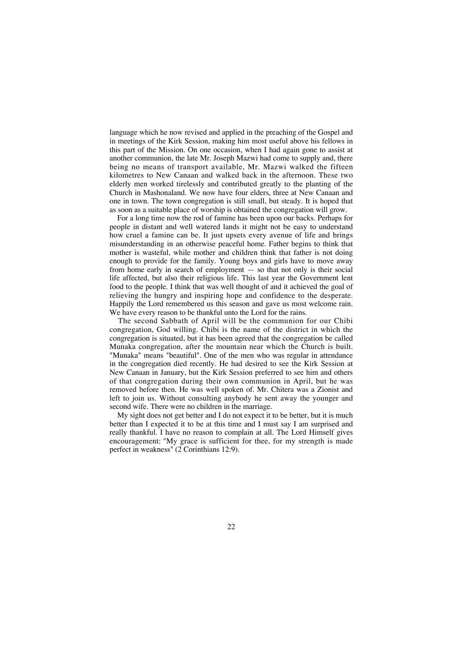language which he now revised and applied in the preaching of the Gospel and in meetings of the Kirk Session, making him most useful above his fellows in this part of the Mission. On one occasion, when I had again gone to assist at another communion, the late Mr. Joseph Mazwi had come to supply and, there being no means of transport available, Mr. Mazwi walked the fifteen kilometres to New Canaan and walked back in the afternoon. These two elderly men worked tirelessly and contributed greatly to the planting of the Church in Mashonaland. We now have four elders, three at New Canaan and one in town. The town congregation is still small, but steady. It is hoped that as soon as a suitable place of worship is obtained the congregation will grow.

For a long time now the rod of famine has been upon our backs. Perhaps for people in distant and well watered lands it might not be easy to understand how cruel a famine can be. It just upsets every avenue of life and brings misunderstanding in an otherwise peaceful home. Father begins to think that mother is wasteful, while mother and children think that father is not doing enough to provide for the family. Young boys and girls have to move away from home early in search of employment — so that not only is their social life affected, but also their religious life. This last year the Government lent food to the people. I think that was well thought of and it achieved the goal of relieving the hungry and inspiring hope and confidence to the desperate. Happily the Lord remembered us this season and gave us most welcome rain. We have every reason to be thankful unto the Lord for the rains.

The second Sabbath of April will be the communion for our Chibi congregation, God willing. Chibi is the name of the district in which the congregation is situated, but it has been agreed that the congregation be called Munaka congregation, after the mountain near which the Church is built. "Munaka" means "beautiful". One of the men who was regular in attendance in the congregation died recently. He had desired to see the Kirk Session at New Canaan in January, but the Kirk Session preferred to see him and others of that congregation during their own communion in April, but he was removed before then. He was well spoken of. Mr. Chitera was a Zionist and left to join us. Without consulting anybody he sent away the younger and second wife. There were no children in the marriage.

My sight does not get better and I do not expect it to be better, but it is much better than I expected it to be at this time and I must say I am surprised and really thankful. I have no reason to complain at all. The Lord Himself gives encouragement: "My grace is sufficient for thee, for my strength is made perfect in weakness" (2 Corinthians 12:9).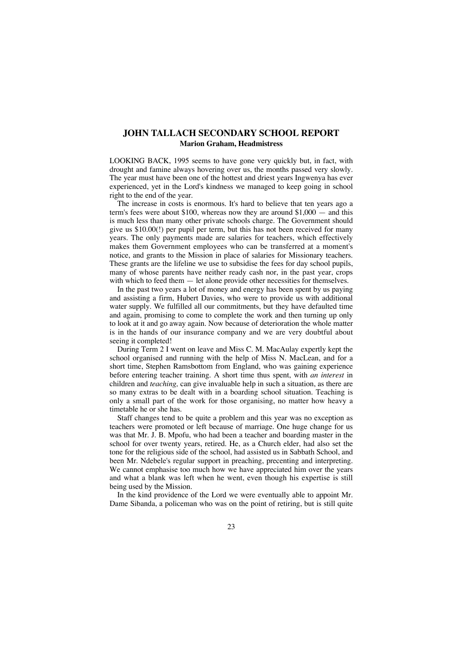## **JOHN TALLACH SECONDARY SCHOOL REPORT Marion Graham, Headmistress**

LOOKING BACK, 1995 seems to have gone very quickly but, in fact, with drought and famine always hovering over us, the months passed very slowly. The year must have been one of the hottest and driest years Ingwenya has ever experienced, yet in the Lord's kindness we managed to keep going in school right to the end of the year.

The increase in costs is enormous. It's hard to believe that ten years ago a term's fees were about \$100, whereas now they are around \$1,000 — and this is much less than many other private schools charge. The Government should give us \$10.00(!) per pupil per term, but this has not been received for many years. The only payments made are salaries for teachers, which effectively makes them Government employees who can be transferred at a moment's notice, and grants to the Mission in place of salaries for Missionary teachers. These grants are the lifeline we use to subsidise the fees for day school pupils, many of whose parents have neither ready cash nor, in the past year, crops with which to feed them — let alone provide other necessities for themselves.

In the past two years a lot of money and energy has been spent by us paying and assisting a firm, Hubert Davies, who were to provide us with additional water supply. We fulfilled all our commitments, but they have defaulted time and again, promising to come to complete the work and then turning up only to look at it and go away again. Now because of deterioration the whole matter is in the hands of our insurance company and we are very doubtful about seeing it completed!

During Term 2 I went on leave and Miss C. M. MacAulay expertly kept the school organised and running with the help of Miss N. MacLean, and for a short time, Stephen Ramsbottom from England, who was gaining experience before entering teacher training. A short time thus spent, with *an interest* in children and *teaching,* can give invaluable help in such a situation, as there are so many extras to be dealt with in a boarding school situation. Teaching is only a small part of the work for those organising, no matter how heavy a timetable he or she has.

Staff changes tend to be quite a problem and this year was no exception as teachers were promoted or left because of marriage. One huge change for us was that Mr. J. B. Mpofu, who had been a teacher and boarding master in the school for over twenty years, retired. He, as a Church elder, had also set the tone for the religious side of the school, had assisted us in Sabbath School, and been Mr. Ndebele's regular support in preaching, precenting and interpreting. We cannot emphasise too much how we have appreciated him over the years and what a blank was left when he went, even though his expertise is still being used by the Mission.

In the kind providence of the Lord we were eventually able to appoint Mr. Dame Sibanda, a policeman who was on the point of retiring, but is still quite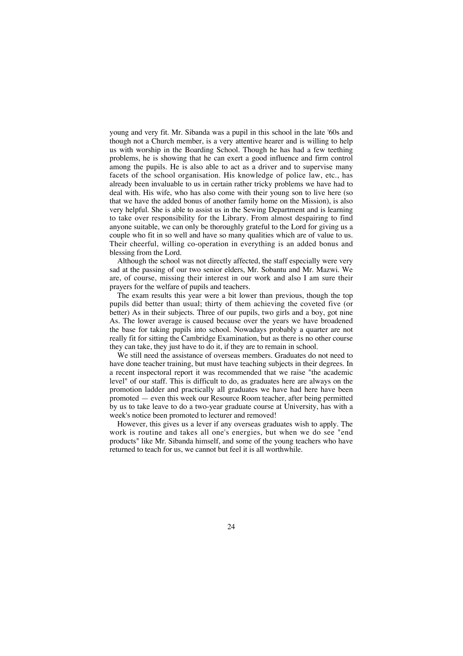young and very fit. Mr. Sibanda was a pupil in this school in the late '60s and though not a Church member, is a very attentive hearer and is willing to help us with worship in the Boarding School. Though he has had a few teething problems, he is showing that he can exert a good influence and firm control among the pupils. He is also able to act as a driver and to supervise many facets of the school organisation. His knowledge of police law, etc., has already been invaluable to us in certain rather tricky problems we have had to deal with. His wife, who has also come with their young son to live here (so that we have the added bonus of another family home on the Mission), is also very helpful. She is able to assist us in the Sewing Department and is learning to take over responsibility for the Library. From almost despairing to find anyone suitable, we can only be thoroughly grateful to the Lord for giving us a couple who fit in so well and have so many qualities which are of value to us. Their cheerful, willing co-operation in everything is an added bonus and blessing from the Lord.

Although the school was not directly affected, the staff especially were very sad at the passing of our two senior elders, Mr. Sobantu and Mr. Mazwi. We are, of course, missing their interest in our work and also I am sure their prayers for the welfare of pupils and teachers.

The exam results this year were a bit lower than previous, though the top pupils did better than usual; thirty of them achieving the coveted five (or better) As in their subjects. Three of our pupils, two girls and a boy, got nine As. The lower average is caused because over the years we have broadened the base for taking pupils into school. Nowadays probably a quarter are not really fit for sitting the Cambridge Examination, but as there is no other course they can take, they just have to do it, if they are to remain in school.

We still need the assistance of overseas members. Graduates do not need to have done teacher training, but must have teaching subjects in their degrees. In a recent inspectoral report it was recommended that we raise "the academic level" of our staff. This is difficult to do, as graduates here are always on the promotion ladder and practically all graduates we have had here have been promoted — even this week our Resource Room teacher, after being permitted by us to take leave to do a two-year graduate course at University, has with a week's notice been promoted to lecturer and removed!

However, this gives us a lever if any overseas graduates wish to apply. The work is routine and takes all one's energies, but when we do see "end products" like Mr. Sibanda himself, and some of the young teachers who have returned to teach for us, we cannot but feel it is all worthwhile.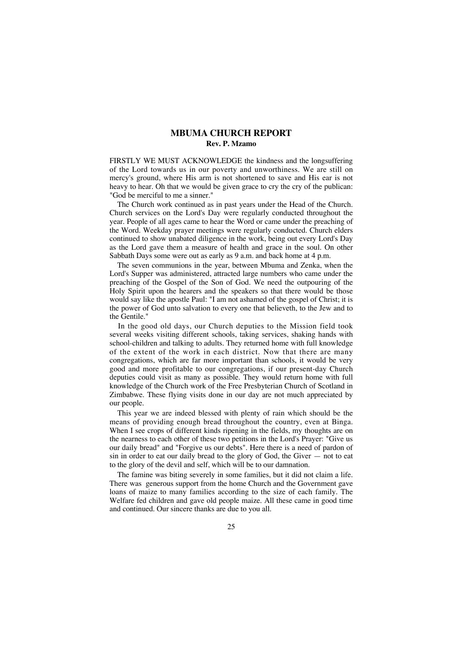## **MBUMA CHURCH REPORT Rev. P. Mzamo**

FIRSTLY WE MUST ACKNOWLEDGE the kindness and the longsuffering of the Lord towards us in our poverty and unworthiness. We are still on mercy's ground, where His arm is not shortened to save and His ear is not heavy to hear. Oh that we would be given grace to cry the cry of the publican: "God be merciful to me a sinner."

The Church work continued as in past years under the Head of the Church. Church services on the Lord's Day were regularly conducted throughout the year. People of all ages came to hear the Word or came under the preaching of the Word. Weekday prayer meetings were regularly conducted. Church elders continued to show unabated diligence in the work, being out every Lord's Day as the Lord gave them a measure of health and grace in the soul. On other Sabbath Days some were out as early as 9 a.m. and back home at 4 p.m.

The seven communions in the year, between Mbuma and Zenka, when the Lord's Supper was administered, attracted large numbers who came under the preaching of the Gospel of the Son of God. We need the outpouring of the Holy Spirit upon the hearers and the speakers so that there would be those would say like the apostle Paul: "I am not ashamed of the gospel of Christ; it is the power of God unto salvation to every one that believeth, to the Jew and to the Gentile."

In the good old days, our Church deputies to the Mission field took several weeks visiting different schools, taking services, shaking hands with school-children and talking to adults. They returned home with full knowledge of the extent of the work in each district. Now that there are many congregations, which are far more important than schools, it would be very good and more profitable to our congregations, if our present-day Church deputies could visit as many as possible. They would return home with full knowledge of the Church work of the Free Presbyterian Church of Scotland in Zimbabwe. These flying visits done in our day are not much appreciated by our people.

This year we are indeed blessed with plenty of rain which should be the means of providing enough bread throughout the country, even at Binga. When I see crops of different kinds ripening in the fields, my thoughts are on the nearness to each other of these two petitions in the Lord's Prayer: "Give us our daily bread" and "Forgive us our debts". Here there is a need of pardon of sin in order to eat our daily bread to the glory of God, the Giver — not to eat to the glory of the devil and self, which will be to our damnation.

The famine was biting severely in some families, but it did not claim a life. There was generous support from the home Church and the Government gave loans of maize to many families according to the size of each family. The Welfare fed children and gave old people maize. All these came in good time and continued. Our sincere thanks are due to you all.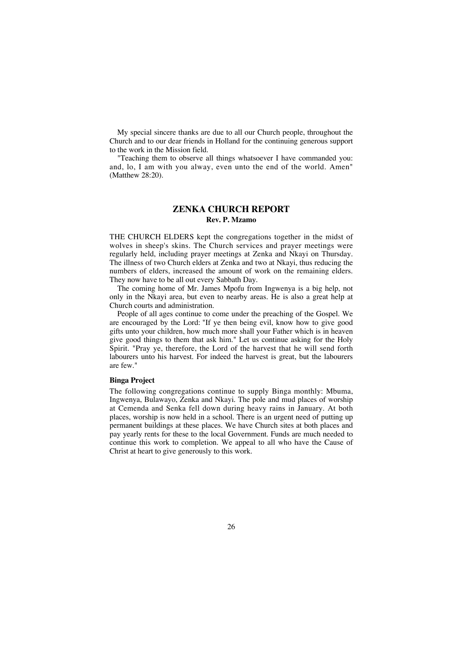My special sincere thanks are due to all our Church people, throughout the Church and to our dear friends in Holland for the continuing generous support to the work in the Mission field.

"Teaching them to observe all things whatsoever I have commanded you: and, lo, I am with you alway, even unto the end of the world. Amen" (Matthew 28:20).

## **ZENKA CHURCH REPORT Rev. P. Mzamo**

THE CHURCH ELDERS kept the congregations together in the midst of wolves in sheep's skins. The Church services and prayer meetings were regularly held, including prayer meetings at Zenka and Nkayi on Thursday. The illness of two Church elders at Zenka and two at Nkayi, thus reducing the numbers of elders, increased the amount of work on the remaining elders. They now have to be all out every Sabbath Day.

The coming home of Mr. James Mpofu from Ingwenya is a big help, not only in the Nkayi area, but even to nearby areas. He is also a great help at Church courts and administration.

People of all ages continue to come under the preaching of the Gospel. We are encouraged by the Lord: "If ye then being evil, know how to give good gifts unto your children, how much more shall your Father which is in heaven give good things to them that ask him." Let us continue asking for the Holy Spirit. "Pray ye, therefore, the Lord of the harvest that he will send forth labourers unto his harvest. For indeed the harvest is great, but the labourers are few."

## **Binga Project**

The following congregations continue to supply Binga monthly: Mbuma, Ingwenya, Bulawayo, Zenka and Nkayi. The pole and mud places of worship at Cemenda and Senka fell down during heavy rains in January. At both places, worship is now held in a school. There is an urgent need of putting up permanent buildings at these places. We have Church sites at both places and pay yearly rents for these to the local Government. Funds are much needed to continue this work to completion. We appeal to all who have the Cause of Christ at heart to give generously to this work.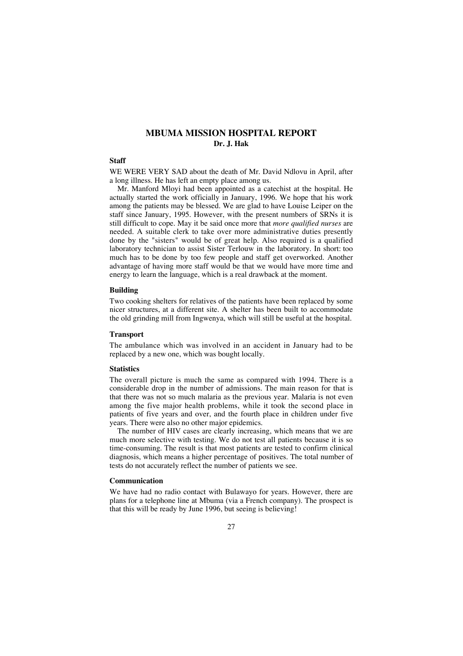## **MBUMA MISSION HOSPITAL REPORT Dr. J. Hak**

#### **Staff**

WE WERE VERY SAD about the death of Mr. David Ndlovu in April, after a long illness. He has left an empty place among us.

Mr. Manford Mloyi had been appointed as a catechist at the hospital. He actually started the work officially in January, 1996. We hope that his work among the patients may be blessed. We are glad to have Louise Leiper on the staff since January, 1995. However, with the present numbers of SRNs it is still difficult to cope. May it be said once more that *more qualified nurses* are needed. A suitable clerk to take over more administrative duties presently done by the "sisters" would be of great help. Also required is a qualified laboratory technician to assist Sister Terlouw in the laboratory. In short: too much has to be done by too few people and staff get overworked. Another advantage of having more staff would be that we would have more time and energy to learn the language, which is a real drawback at the moment.

## **Building**

Two cooking shelters for relatives of the patients have been replaced by some nicer structures, at a different site. A shelter has been built to accommodate the old grinding mill from Ingwenya, which will still be useful at the hospital.

### **Transport**

The ambulance which was involved in an accident in January had to be replaced by a new one, which was bought locally.

#### **Statistics**

The overall picture is much the same as compared with 1994. There is a considerable drop in the number of admissions. The main reason for that is that there was not so much malaria as the previous year. Malaria is not even among the five major health problems, while it took the second place in patients of five years and over, and the fourth place in children under five years. There were also no other major epidemics.

The number of HIV cases are clearly increasing, which means that we are much more selective with testing. We do not test all patients because it is so time-consuming. The result is that most patients are tested to confirm clinical diagnosis, which means a higher percentage of positives. The total number of tests do not accurately reflect the number of patients we see.

## **Communication**

We have had no radio contact with Bulawayo for years. However, there are plans for a telephone line at Mbuma (via a French company). The prospect is that this will be ready by June 1996, but seeing is believing!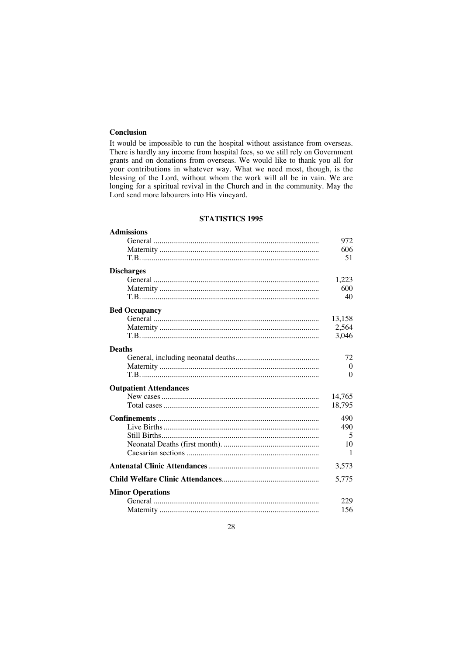## **Conclusion**

It would be impossible to run the hospital without assistance from overseas. There is hardly any income from hospital fees, so we still rely on Government grants and on donations from overseas. We would like to thank you all for your contributions in whatever way. What we need most, though, is the blessing of the Lord, without whom the work will all be in vain. We are longing for a spiritual revival in the Church and in the community. May the Lord send more labourers into His vineyard.

### **STATISTICS 1995**

## **Admissions** General ..................................................................................... 972 Maternity .................................................................................. 606 T.B. ........................................................................................... 51 **Discharges** General ..................................................................................... 1,223 Maternity .................................................................................. 600 T.B. ........................................................................................... 40 **Bed Occupancy** General ..................................................................................... 13,158 Maternity .................................................................................. 2,564 T.B. ........................................................................................... 3,046 **Deaths** General, including neonatal deaths........................................... 72 Maternity .................................................................................. 0 T.B. ........................................................................................... 0 **Outpatient Attendances** New cases................................................................................. 14,765 Total cases................................................................................ 18,795 **Confinements** ................................................................................... 490 Live Births................................................................................ 490 Still Births................................................................................. 5 Neonatal Deaths (first month). ................................................. 10 Caesarian sections .................................................................... 1 **Antenatal Clinic Attendances**......................................................... 3,573 **Child Welfare Clinic Attendances**.................................................. 5,775 **Minor Operations** General ..................................................................................... 229 Maternity .................................................................................. 156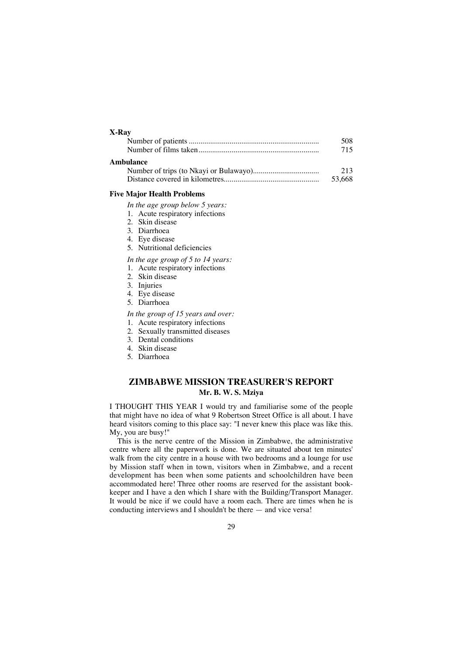## **X-Ray**

|           | 508 |
|-----------|-----|
|           | 715 |
| Ambulance | 213 |

## Distance covered in kilometres................................................. 53,668

## **Five Major Health Problems**

*In the age group below 5 years:*

- 1. Acute respiratory infections
- 2. Skin disease
- 3. Diarrhoea
- 4. Eye disease
- 5. Nutritional deficiencies

*In the age group of 5 to 14 years:*

- 1. Acute respiratory infections
- 2. Skin disease
- 3. Injuries
- 4. Eye disease
- 5. Diarrhoea

*In the group of 15 years and over:*

- 1. Acute respiratory infections
- 2. Sexually transmitted diseases
- 3. Dental conditions
- 4. Skin disease
- 5. Diarrhoea

## **ZIMBABWE MISSION TREASURER'S REPORT Mr. B. W. S. Mziya**

I THOUGHT THIS YEAR I would try and familiarise some of the people that might have no idea of what 9 Robertson Street Office is all about. I have heard visitors coming to this place say: "I never knew this place was like this. My, you are busy!"

This is the nerve centre of the Mission in Zimbabwe, the administrative centre where all the paperwork is done. We are situated about ten minutes' walk from the city centre in a house with two bedrooms and a lounge for use by Mission staff when in town, visitors when in Zimbabwe, and a recent development has been when some patients and schoolchildren have been accommodated here! Three other rooms are reserved for the assistant bookkeeper and I have a den which I share with the Building/Transport Manager. It would be nice if we could have a room each. There are times when he is conducting interviews and I shouldn't be there — and vice versa!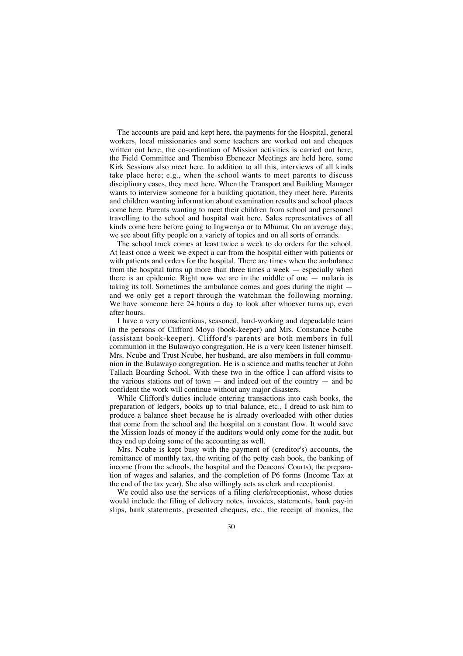The accounts are paid and kept here, the payments for the Hospital, general workers, local missionaries and some teachers are worked out and cheques written out here, the co-ordination of Mission activities is carried out here, the Field Committee and Thembiso Ebenezer Meetings are held here, some Kirk Sessions also meet here. In addition to all this, interviews of all kinds take place here; e.g., when the school wants to meet parents to discuss disciplinary cases, they meet here. When the Transport and Building Manager wants to interview someone for a building quotation, they meet here. Parents and children wanting information about examination results and school places come here. Parents wanting to meet their children from school and personnel travelling to the school and hospital wait here. Sales representatives of all kinds come here before going to Ingwenya or to Mbuma. On an average day, we see about fifty people on a variety of topics and on all sorts of errands.

The school truck comes at least twice a week to do orders for the school. At least once a week we expect a car from the hospital either with patients or with patients and orders for the hospital. There are times when the ambulance from the hospital turns up more than three times a week — especially when there is an epidemic. Right now we are in the middle of one — malaria is taking its toll. Sometimes the ambulance comes and goes during the night and we only get a report through the watchman the following morning. We have someone here 24 hours a day to look after whoever turns up, even after hours.

I have a very conscientious, seasoned, hard-working and dependable team in the persons of Clifford Moyo (book-keeper) and Mrs. Constance Ncube (assistant book-keeper). Clifford's parents are both members in full communion in the Bulawayo congregation. He is a very keen listener himself. Mrs. Ncube and Trust Ncube, her husband, are also members in full communion in the Bulawayo congregation. He is a science and maths teacher at John Tallach Boarding School. With these two in the office I can afford visits to the various stations out of town  $-$  and indeed out of the country  $-$  and be confident the work will continue without any major disasters.

While Clifford's duties include entering transactions into cash books, the preparation of ledgers, books up to trial balance, etc., I dread to ask him to produce a balance sheet because he is already overloaded with other duties that come from the school and the hospital on a constant flow. It would save the Mission loads of money if the auditors would only come for the audit, but they end up doing some of the accounting as well.

Mrs. Ncube is kept busy with the payment of (creditor's) accounts, the remittance of monthly tax, the writing of the petty cash book, the banking of income (from the schools, the hospital and the Deacons' Courts), the preparation of wages and salaries, and the completion of P6 forms (Income Tax at the end of the tax year). She also willingly acts as clerk and receptionist.

We could also use the services of a filing clerk/receptionist, whose duties would include the filing of delivery notes, invoices, statements, bank pay-in slips, bank statements, presented cheques, etc., the receipt of monies, the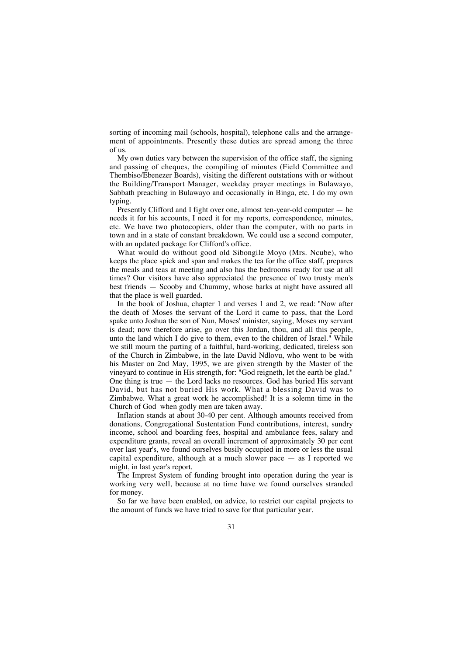sorting of incoming mail (schools, hospital), telephone calls and the arrangement of appointments. Presently these duties are spread among the three of us.

My own duties vary between the supervision of the office staff, the signing and passing of cheques, the compiling of minutes (Field Committee and Thembiso/Ebenezer Boards), visiting the different outstations with or without the Building/Transport Manager, weekday prayer meetings in Bulawayo, Sabbath preaching in Bulawayo and occasionally in Binga, etc. I do my own typing.

Presently Clifford and I fight over one, almost ten-year-old computer — he needs it for his accounts, I need it for my reports, correspondence, minutes, etc. We have two photocopiers, older than the computer, with no parts in town and in a state of constant breakdown. We could use a second computer, with an updated package for Clifford's office.

What would do without good old Sibongile Moyo (Mrs. Ncube), who keeps the place spick and span and makes the tea for the office staff, prepares the meals and teas at meeting and also has the bedrooms ready for use at all times? Our visitors have also appreciated the presence of two trusty men's best friends — Scooby and Chummy, whose barks at night have assured all that the place is well guarded.

In the book of Joshua, chapter 1 and verses 1 and 2, we read: "Now after the death of Moses the servant of the Lord it came to pass, that the Lord spake unto Joshua the son of Nun, Moses' minister, saying, Moses my servant is dead; now therefore arise, go over this Jordan, thou, and all this people, unto the land which I do give to them, even to the children of Israel." While we still mourn the parting of a faithful, hard-working, dedicated, tireless son of the Church in Zimbabwe, in the late David Ndlovu, who went to be with his Master on 2nd May, 1995, we are given strength by the Master of the vineyard to continue in His strength, for: "God reigneth, let the earth be glad." One thing is true  $-$  the Lord lacks no resources. God has buried His servant David, but has not buried His work. What a blessing David was to Zimbabwe. What a great work he accomplished! It is a solemn time in the Church of God when godly men are taken away.

Inflation stands at about 30-40 per cent. Although amounts received from donations, Congregational Sustentation Fund contributions, interest, sundry income, school and boarding fees, hospital and ambulance fees, salary and expenditure grants, reveal an overall increment of approximately 30 per cent over last year's, we found ourselves busily occupied in more or less the usual capital expenditure, although at a much slower pace — as I reported we might, in last year's report.

The Imprest System of funding brought into operation during the year is working very well, because at no time have we found ourselves stranded for money.

So far we have been enabled, on advice, to restrict our capital projects to the amount of funds we have tried to save for that particular year.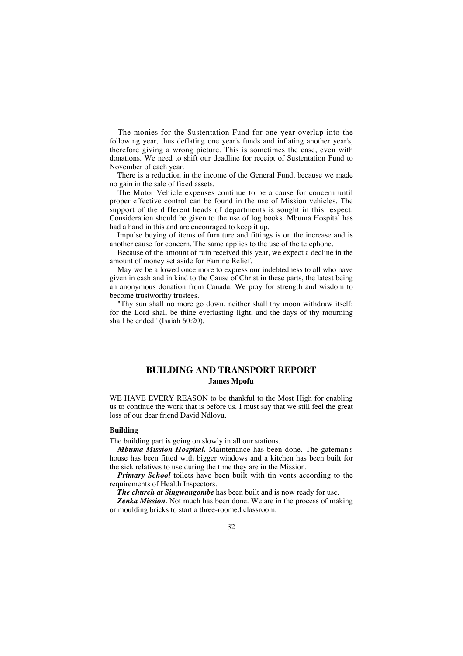The monies for the Sustentation Fund for one year overlap into the following year, thus deflating one year's funds and inflating another year's, therefore giving a wrong picture. This is sometimes the case, even with donations. We need to shift our deadline for receipt of Sustentation Fund to November of each year.

There is a reduction in the income of the General Fund, because we made no gain in the sale of fixed assets.

The Motor Vehicle expenses continue to be a cause for concern until proper effective control can be found in the use of Mission vehicles. The support of the different heads of departments is sought in this respect. Consideration should be given to the use of log books. Mbuma Hospital has had a hand in this and are encouraged to keep it up.

Impulse buying of items of furniture and fittings is on the increase and is another cause for concern. The same applies to the use of the telephone.

Because of the amount of rain received this year, we expect a decline in the amount of money set aside for Famine Relief.

May we be allowed once more to express our indebtedness to all who have given in cash and in kind to the Cause of Christ in these parts, the latest being an anonymous donation from Canada. We pray for strength and wisdom to become trustworthy trustees.

"Thy sun shall no more go down, neither shall thy moon withdraw itself: for the Lord shall be thine everlasting light, and the days of thy mourning shall be ended" (Isaiah 60:20).

## **BUILDING AND TRANSPORT REPORT James Mpofu**

WE HAVE EVERY REASON to be thankful to the Most High for enabling us to continue the work that is before us. I must say that we still feel the great loss of our dear friend David Ndlovu.

## **Building**

The building part is going on slowly in all our stations.

*Mbuma Mission Hospital.* Maintenance has been done. The gateman's house has been fitted with bigger windows and a kitchen has been built for the sick relatives to use during the time they are in the Mission.

*Primary School* toilets have been built with tin vents according to the requirements of Health Inspectors.

*The church at Singwangombe* has been built and is now ready for use.

*Zenka Mission.* Not much has been done. We are in the process of making or moulding bricks to start a three-roomed classroom.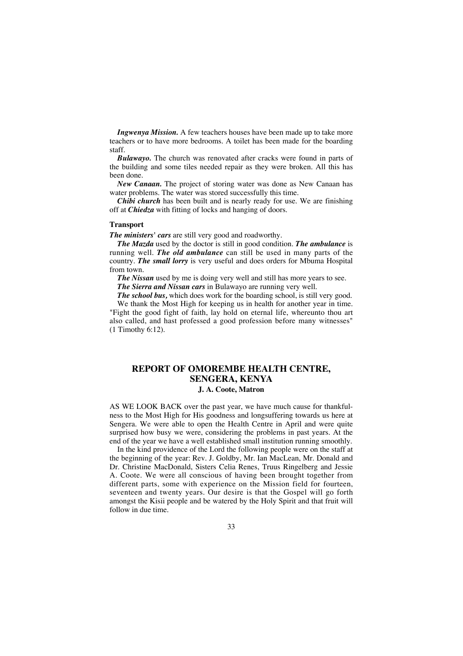*Ingwenya Mission.* A few teachers houses have been made up to take more teachers or to have more bedrooms. A toilet has been made for the boarding staff.

*Bulawayo.* The church was renovated after cracks were found in parts of the building and some tiles needed repair as they were broken. All this has been done.

*New Canaan.* The project of storing water was done as New Canaan has water problems. The water was stored successfully this time.

*Chibi church* has been built and is nearly ready for use. We are finishing off at *Chiedza* with fitting of locks and hanging of doors.

## **Transport**

*The ministers' cars* are still very good and roadworthy.

*The Mazda* used by the doctor is still in good condition. *The ambulance* is running well. *The old ambulance* can still be used in many parts of the country. *The small lorry* is very useful and does orders for Mbuma Hospital from town.

**The Nissan** used by me is doing very well and still has more years to see.

*The Sierra and Nissan cars* in Bulawayo are running very well.

*The school bus,* which does work for the boarding school, is still very good.

We thank the Most High for keeping us in health for another year in time. "Fight the good fight of faith, lay hold on eternal life, whereunto thou art also called, and hast professed a good profession before many witnesses" (1 Timothy 6:12).

## **REPORT OF OMOREMBE HEALTH CENTRE, SENGERA, KENYA J. A. Coote, Matron**

AS WE LOOK BACK over the past year, we have much cause for thankfulness to the Most High for His goodness and longsuffering towards us here at Sengera. We were able to open the Health Centre in April and were quite surprised how busy we were, considering the problems in past years. At the end of the year we have a well established small institution running smoothly.

In the kind providence of the Lord the following people were on the staff at the beginning of the year: Rev. J. Goldby, Mr. Ian MacLean, Mr. Donald and Dr. Christine MacDonald, Sisters Celia Renes, Truus Ringelberg and Jessie A. Coote. We were all conscious of having been brought together from different parts, some with experience on the Mission field for fourteen, seventeen and twenty years. Our desire is that the Gospel will go forth amongst the Kisii people and be watered by the Holy Spirit and that fruit will follow in due time.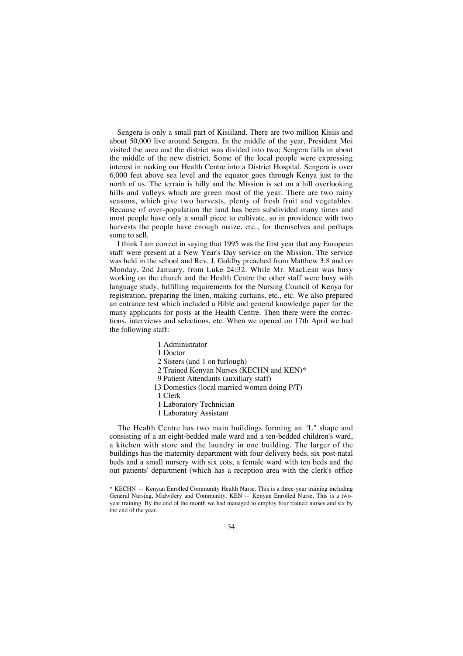Sengera is only a small part of Kisiiland. There are two million Kisiis and about 50,000 live around Sengera. In the middle of the year, President Moi visited the area and the district was divided into two; Sengera falls in about the middle of the new district. Some of the local people were expressing interest in making our Health Centre into a District Hospital. Sengera is over 6,000 feet above sea level and the equator goes through Kenya just to the north of us. The terrain is hilly and the Mission is set on a hill overlooking hills and valleys which are green most of the year. There are two rainy seasons, which give two harvests, plenty of fresh fruit and vegetables. Because of over-population the land has been subdivided many times and most people have only a small piece to cultivate, so in providence with two harvests the people have enough maize, etc., for themselves and perhaps some to sell.

I think I am correct in saying that 1995 was the first year that any European staff were present at a New Year's Day service on the Mission. The service was held in the school and Rev. J. Goldby preached from Matthew 3:8 and on Monday, 2nd January, from Luke 24:32. While Mr. MacLean was busy working on the church and the Health Centre the other staff were busy with language study, fulfilling requirements for the Nursing Council of Kenya for registration, preparing the linen, making curtains, etc., etc. We also prepared an entrance test which included a Bible and general knowledge paper for the many applicants for posts at the Health Centre. Then there were the corrections, interviews and selections, etc. When we opened on 17th April we had the following staff:

- 1 Administrator
- 1 Doctor
- 2 Sisters (and 1 on furlough)
- 2 Trained Kenyan Nurses (KECHN and KEN)\*
- 9 Patient Attendants (auxiliary staff)
- 13 Domestics (local married women doing P/T)
- 1 Clerk
- 1 Laboratory Technician
- 1 Laboratory Assistant

The Health Centre has two main buildings forming an "L" shape and consisting of a an eight-bedded male ward and a ten-bedded children's ward, a kitchen with store and the laundry in one building. The larger of the buildings has the maternity department with four delivery beds, six post-natal beds and a small nursery with six cots, a female ward with ten beds and the out patients' department (which has a reception area with the clerk's office

<sup>\*</sup> KECHN — Kenyan Enrolled Community Health Nurse. This is a three-year training including General Nursing, Midwifery and Community. KEN — Kenyan Enrolled Nurse. This is a twoyear training. By the end of the month we had managed to employ four trained nurses and six by the end of the year.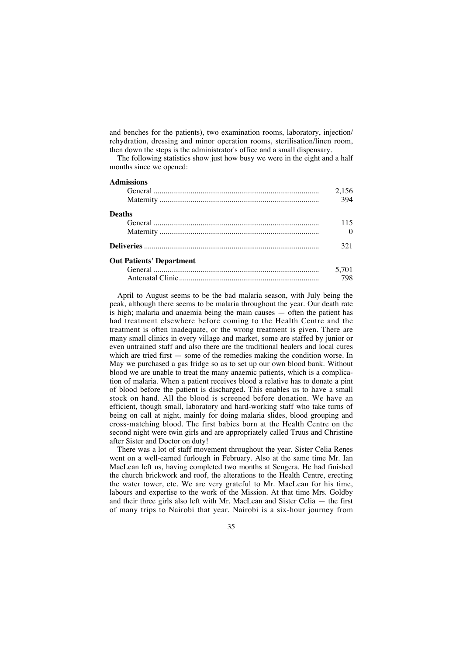and benches for the patients), two examination rooms, laboratory, injection/ rehydration, dressing and minor operation rooms, sterilisation/linen room, then down the steps is the administrator's office and a small dispensary.

The following statistics show just how busy we were in the eight and a half months since we opened:

## **Admissions**

|                                 | 2,156 |
|---------------------------------|-------|
|                                 | 394   |
| <b>Deaths</b>                   |       |
|                                 | 115   |
|                                 | 0     |
|                                 | 321   |
| <b>Out Patients' Department</b> |       |
|                                 | 5,701 |
|                                 | 798   |

April to August seems to be the bad malaria season, with July being the peak, although there seems to be malaria throughout the year. Our death rate is high; malaria and anaemia being the main causes — often the patient has had treatment elsewhere before coming to the Health Centre and the treatment is often inadequate, or the wrong treatment is given. There are many small clinics in every village and market, some are staffed by junior or even untrained staff and also there are the traditional healers and local cures which are tried first — some of the remedies making the condition worse. In May we purchased a gas fridge so as to set up our own blood bank. Without blood we are unable to treat the many anaemic patients, which is a complication of malaria. When a patient receives blood a relative has to donate a pint of blood before the patient is discharged. This enables us to have a small stock on hand. All the blood is screened before donation. We have an efficient, though small, laboratory and hard-working staff who take turns of being on call at night, mainly for doing malaria slides, blood grouping and cross-matching blood. The first babies born at the Health Centre on the second night were twin girls and are appropriately called Truus and Christine after Sister and Doctor on duty!

There was a lot of staff movement throughout the year. Sister Celia Renes went on a well-earned furlough in February. Also at the same time Mr. Ian MacLean left us, having completed two months at Sengera. He had finished the church brickwork and roof, the alterations to the Health Centre, erecting the water tower, etc. We are very grateful to Mr. MacLean for his time, labours and expertise to the work of the Mission. At that time Mrs. Goldby and their three girls also left with Mr. MacLean and Sister Celia — the first of many trips to Nairobi that year. Nairobi is a six-hour journey from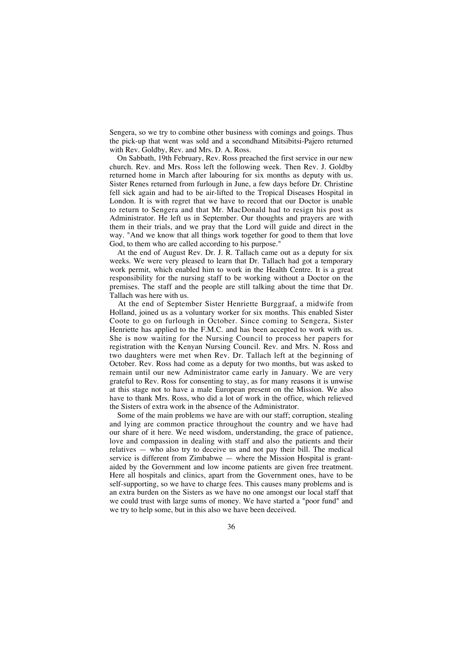Sengera, so we try to combine other business with comings and goings. Thus the pick-up that went was sold and a secondhand Mitsibitsi-Pajero returned with Rev. Goldby, Rev. and Mrs. D. A. Ross.

On Sabbath, 19th February, Rev. Ross preached the first service in our new church. Rev. and Mrs. Ross left the following week. Then Rev. J. Goldby returned home in March after labouring for six months as deputy with us. Sister Renes returned from furlough in June, a few days before Dr. Christine fell sick again and had to be air-lifted to the Tropical Diseases Hospital in London. It is with regret that we have to record that our Doctor is unable to return to Sengera and that Mr. MacDonald had to resign his post as Administrator. He left us in September. Our thoughts and prayers are with them in their trials, and we pray that the Lord will guide and direct in the way. "And we know that all things work together for good to them that love God, to them who are called according to his purpose."

At the end of August Rev. Dr. J. R. Tallach came out as a deputy for six weeks. We were very pleased to learn that Dr. Tallach had got a temporary work permit, which enabled him to work in the Health Centre. It is a great responsibility for the nursing staff to be working without a Doctor on the premises. The staff and the people are still talking about the time that Dr. Tallach was here with us.

At the end of September Sister Henriette Burggraaf, a midwife from Holland, joined us as a voluntary worker for six months. This enabled Sister Coote to go on furlough in October. Since coming to Sengera, Sister Henriette has applied to the F.M.C. and has been accepted to work with us. She is now waiting for the Nursing Council to process her papers for registration with the Kenyan Nursing Council. Rev. and Mrs. N. Ross and two daughters were met when Rev. Dr. Tallach left at the beginning of October. Rev. Ross had come as a deputy for two months, but was asked to remain until our new Administrator came early in January. We are very grateful to Rev. Ross for consenting to stay, as for many reasons it is unwise at this stage not to have a male European present on the Mission. We also have to thank Mrs. Ross, who did a lot of work in the office, which relieved the Sisters of extra work in the absence of the Administrator.

Some of the main problems we have are with our staff; corruption, stealing and lying are common practice throughout the country and we have had our share of it here. We need wisdom, understanding, the grace of patience, love and compassion in dealing with staff and also the patients and their relatives — who also try to deceive us and not pay their bill. The medical service is different from Zimbabwe — where the Mission Hospital is grantaided by the Government and low income patients are given free treatment. Here all hospitals and clinics, apart from the Government ones, have to be self-supporting, so we have to charge fees. This causes many problems and is an extra burden on the Sisters as we have no one amongst our local staff that we could trust with large sums of money. We have started a "poor fund" and we try to help some, but in this also we have been deceived.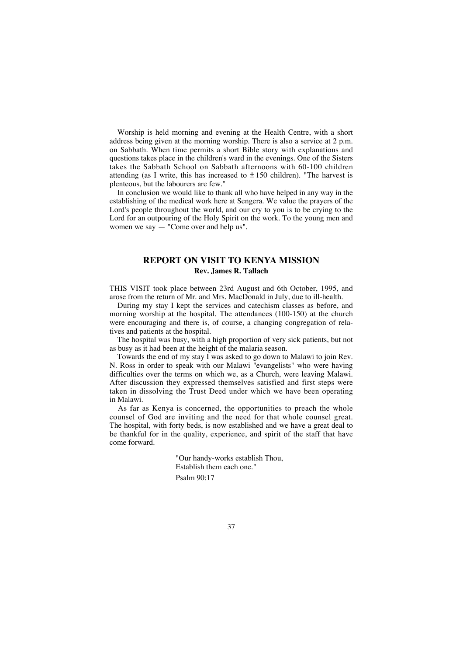Worship is held morning and evening at the Health Centre, with a short address being given at the morning worship. There is also a service at 2 p.m. on Sabbath. When time permits a short Bible story with explanations and questions takes place in the children's ward in the evenings. One of the Sisters takes the Sabbath School on Sabbath afternoons with 60-100 children attending (as I write, this has increased to  $\pm 150$  children). "The harvest is plenteous, but the labourers are few."

In conclusion we would like to thank all who have helped in any way in the establishing of the medical work here at Sengera. We value the prayers of the Lord's people throughout the world, and our cry to you is to be crying to the Lord for an outpouring of the Holy Spirit on the work. To the young men and women we say — "Come over and help us".

## **REPORT ON VISIT TO KENYA MISSION Rev. James R. Tallach**

THIS VISIT took place between 23rd August and 6th October, 1995, and arose from the return of Mr. and Mrs. MacDonald in July, due to ill-health.

During my stay I kept the services and catechism classes as before, and morning worship at the hospital. The attendances (100-150) at the church were encouraging and there is, of course, a changing congregation of relatives and patients at the hospital.

The hospital was busy, with a high proportion of very sick patients, but not as busy as it had been at the height of the malaria season.

Towards the end of my stay I was asked to go down to Malawi to join Rev. N. Ross in order to speak with our Malawi "evangelists" who were having difficulties over the terms on which we, as a Church, were leaving Malawi. After discussion they expressed themselves satisfied and first steps were taken in dissolving the Trust Deed under which we have been operating in Malawi.

As far as Kenya is concerned, the opportunities to preach the whole counsel of God are inviting and the need for that whole counsel great. The hospital, with forty beds, is now established and we have a great deal to be thankful for in the quality, experience, and spirit of the staff that have come forward.

> "Our handy-works establish Thou, Establish them each one." Psalm 90:17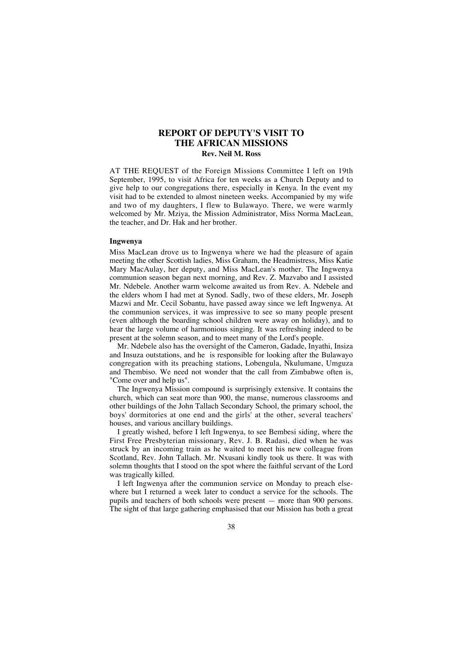## **REPORT OF DEPUTY'S VISIT TO THE AFRICAN MISSIONS Rev. Neil M. Ross**

AT THE REQUEST of the Foreign Missions Committee I left on 19th September, 1995, to visit Africa for ten weeks as a Church Deputy and to give help to our congregations there, especially in Kenya. In the event my visit had to be extended to almost nineteen weeks. Accompanied by my wife and two of my daughters, I flew to Bulawayo. There, we were warmly welcomed by Mr. Mziya, the Mission Administrator, Miss Norma MacLean, the teacher, and Dr. Hak and her brother.

### **Ingwenya**

Miss MacLean drove us to Ingwenya where we had the pleasure of again meeting the other Scottish ladies, Miss Graham, the Headmistress, Miss Katie Mary MacAulay, her deputy, and Miss MacLean's mother. The Ingwenya communion season began next morning, and Rev. Z. Mazvabo and I assisted Mr. Ndebele. Another warm welcome awaited us from Rev. A. Ndebele and the elders whom I had met at Synod. Sadly, two of these elders, Mr. Joseph Mazwi and Mr. Cecil Sobantu, have passed away since we left Ingwenya. At the communion services, it was impressive to see so many people present (even although the boarding school children were away on holiday), and to hear the large volume of harmonious singing. It was refreshing indeed to be present at the solemn season, and to meet many of the Lord's people.

Mr. Ndebele also has the oversight of the Cameron, Gadade, Inyathi, Insiza and Insuza outstations, and he is responsible for looking after the Bulawayo congregation with its preaching stations, Lobengula, Nkulumane, Umguza and Thembiso. We need not wonder that the call from Zimbabwe often is, "Come over and help us".

The Ingwenya Mission compound is surprisingly extensive. It contains the church, which can seat more than 900, the manse, numerous classrooms and other buildings of the John Tallach Secondary School, the primary school, the boys' dormitories at one end and the girls' at the other, several teachers' houses, and various ancillary buildings.

I greatly wished, before I left Ingwenya, to see Bembesi siding, where the First Free Presbyterian missionary, Rev. J. B. Radasi, died when he was struck by an incoming train as he waited to meet his new colleague from Scotland, Rev. John Tallach. Mr. Nxusani kindly took us there. It was with solemn thoughts that I stood on the spot where the faithful servant of the Lord was tragically killed.

I left Ingwenya after the communion service on Monday to preach elsewhere but I returned a week later to conduct a service for the schools. The pupils and teachers of both schools were present — more than 900 persons. The sight of that large gathering emphasised that our Mission has both a great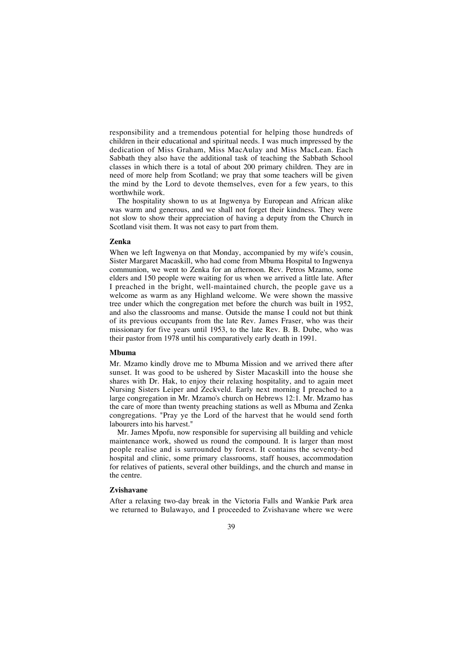responsibility and a tremendous potential for helping those hundreds of children in their educational and spiritual needs. I was much impressed by the dedication of Miss Graham, Miss MacAulay and Miss MacLean. Each Sabbath they also have the additional task of teaching the Sabbath School classes in which there is a total of about 200 primary children. They are in need of more help from Scotland; we pray that some teachers will be given the mind by the Lord to devote themselves, even for a few years, to this worthwhile work.

The hospitality shown to us at Ingwenya by European and African alike was warm and generous, and we shall not forget their kindness. They were not slow to show their appreciation of having a deputy from the Church in Scotland visit them. It was not easy to part from them.

#### **Zenka**

When we left Ingwenya on that Monday, accompanied by my wife's cousin, Sister Margaret Macaskill, who had come from Mbuma Hospital to Ingwenya communion, we went to Zenka for an afternoon. Rev. Petros Mzamo, some elders and 150 people were waiting for us when we arrived a little late. After I preached in the bright, well-maintained church, the people gave us a welcome as warm as any Highland welcome. We were shown the massive tree under which the congregation met before the church was built in 1952, and also the classrooms and manse. Outside the manse I could not but think of its previous occupants from the late Rev. James Fraser, who was their missionary for five years until 1953, to the late Rev. B. B. Dube, who was their pastor from 1978 until his comparatively early death in 1991.

#### **Mbuma**

Mr. Mzamo kindly drove me to Mbuma Mission and we arrived there after sunset. It was good to be ushered by Sister Macaskill into the house she shares with Dr. Hak, to enjoy their relaxing hospitality, and to again meet Nursing Sisters Leiper and Zeckveld. Early next morning I preached to a large congregation in Mr. Mzamo's church on Hebrews 12:1. Mr. Mzamo has the care of more than twenty preaching stations as well as Mbuma and Zenka congregations. "Pray ye the Lord of the harvest that he would send forth labourers into his harvest."

Mr. James Mpofu, now responsible for supervising all building and vehicle maintenance work, showed us round the compound. It is larger than most people realise and is surrounded by forest. It contains the seventy-bed hospital and clinic, some primary classrooms, staff houses, accommodation for relatives of patients, several other buildings, and the church and manse in the centre.

### **Zvishavane**

After a relaxing two-day break in the Victoria Falls and Wankie Park area we returned to Bulawayo, and I proceeded to Zvishavane where we were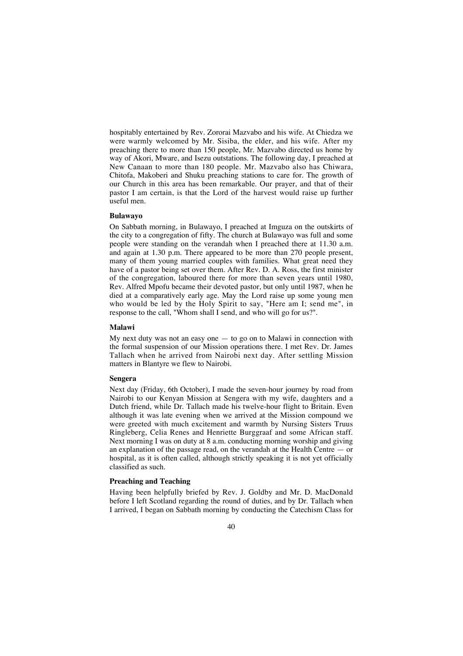hospitably entertained by Rev. Zororai Mazvabo and his wife. At Chiedza we were warmly welcomed by Mr. Sisiba, the elder, and his wife. After my preaching there to more than 150 people, Mr. Mazvabo directed us home by way of Akori, Mware, and Isezu outstations. The following day, I preached at New Canaan to more than 180 people. Mr. Mazvabo also has Chiwara, Chitofa, Makoberi and Shuku preaching stations to care for. The growth of our Church in this area has been remarkable. Our prayer, and that of their pastor I am certain, is that the Lord of the harvest would raise up further useful men.

#### **Bulawayo**

On Sabbath morning, in Bulawayo, I preached at Imguza on the outskirts of the city to a congregation of fifty. The church at Bulawayo was full and some people were standing on the verandah when I preached there at 11.30 a.m. and again at 1.30 p.m. There appeared to be more than 270 people present, many of them young married couples with families. What great need they have of a pastor being set over them. After Rev. D. A. Ross, the first minister of the congregation, laboured there for more than seven years until 1980, Rev. Alfred Mpofu became their devoted pastor, but only until 1987, when he died at a comparatively early age. May the Lord raise up some young men who would be led by the Holy Spirit to say, "Here am I; send me", in response to the call, "Whom shall I send, and who will go for us?".

#### **Malawi**

My next duty was not an easy one  $-$  to go on to Malawi in connection with the formal suspension of our Mission operations there. I met Rev. Dr. James Tallach when he arrived from Nairobi next day. After settling Mission matters in Blantyre we flew to Nairobi.

#### **Sengera**

Next day (Friday, 6th October), I made the seven-hour journey by road from Nairobi to our Kenyan Mission at Sengera with my wife, daughters and a Dutch friend, while Dr. Tallach made his twelve-hour flight to Britain. Even although it was late evening when we arrived at the Mission compound we were greeted with much excitement and warmth by Nursing Sisters Truus Ringleberg, Celia Renes and Henriette Burggraaf and some African staff. Next morning I was on duty at 8 a.m. conducting morning worship and giving an explanation of the passage read, on the verandah at the Health Centre  $-$  or hospital, as it is often called, although strictly speaking it is not yet officially classified as such.

#### **Preaching and Teaching**

Having been helpfully briefed by Rev. J. Goldby and Mr. D. MacDonald before I left Scotland regarding the round of duties, and by Dr. Tallach when I arrived, I began on Sabbath morning by conducting the Catechism Class for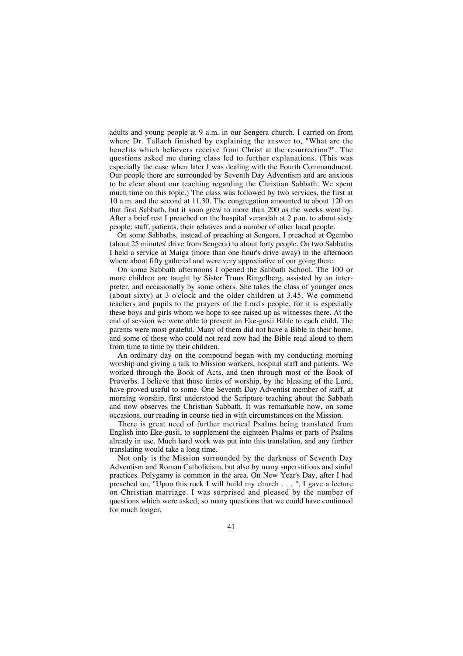adults and young people at 9 a.m. in our Sengera church. I carried on from where Dr. Tallach finished by explaining the answer to, "What are the benefits which believers receive from Christ at the resurrection?". The questions asked me during class led to further explanations. (This was especially the case when later I was dealing with the Fourth Commandment. Our people there are surrounded by Seventh Day Adventism and are anxious to be clear about our teaching regarding the Christian Sabbath. We spent much time on this topic.) The class was followed by two services, the first at 10 a.m. and the second at 11.30. The congregation amounted to about 120 on that first Sabbath, but it soon grew to more than 200 as the weeks went by. After a brief rest I preached on the hospital verandah at 2 p.m. to about sixty people: staff, patients, their relatives and a number of other local people.

On some Sabbaths, instead of preaching at Sengera, I preached at Ogembo (about 25 minutes' drive from Sengera) to about forty people. On two Sabbaths I held a service at Maiga (more than one hour's drive away) in the afternoon where about fifty gathered and were very appreciative of our going there.

On some Sabbath afternoons I opened the Sabbath School. The 100 or more children are taught by Sister Truus Ringelberg, assisted by an interpreter, and occasionally by some others. She takes the class of younger ones (about sixty) at 3 o'clock and the older children at 3.45. We commend teachers and pupils to the prayers of the Lord's people, for it is especially these boys and girls whom we hope to see raised up as witnesses there. At the end of session we were able to present an Eke-gusii Bible to each child. The parents were most grateful. Many of them did not have a Bible in their home, and some of those who could not read now had the Bible read aloud to them from time to time by their children.

An ordinary day on the compound began with my conducting morning worship and giving a talk to Mission workers, hospital staff and patients. We worked through the Book of Acts, and then through most of the Book of Proverbs. I believe that those times of worship, by the blessing of the Lord, have proved useful to some. One Seventh Day Adventist member of staff, at morning worship, first understood the Scripture teaching about the Sabbath and now observes the Christian Sabbath. It was remarkable how, on some occasions, our reading in course tied in with circumstances on the Mission.

There is great need of further metrical Psalms being translated from English into Eke-gusii, to supplement the eighteen Psalms or parts of Psalms already in use. Much hard work was put into this translation, and any further translating would take a long time.

Not only is the Mission surrounded by the darkness of Seventh Day Adventism and Roman Catholicism, but also by many superstitious and sinful practices. Polygamy is common in the area. On New Year's Day, after I had preached on, "Upon this rock I will build my church . . . ", I gave a lecture on Christian marriage. I was surprised and pleased by the number of questions which were asked; so many questions that we could have continued for much longer.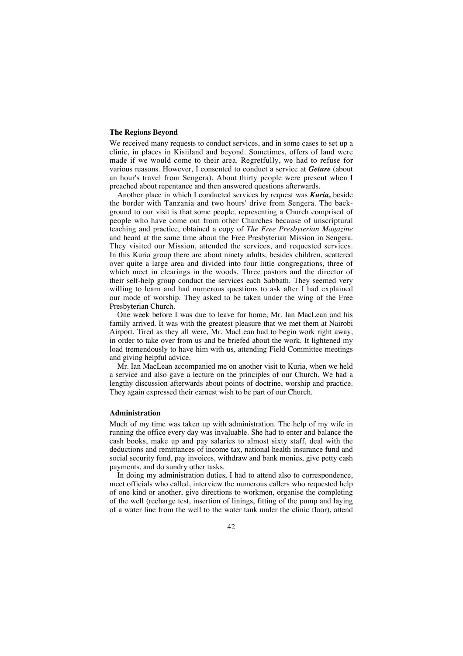#### **The Regions Beyond**

We received many requests to conduct services, and in some cases to set up a clinic, in places in Kisiiland and beyond. Sometimes, offers of land were made if we would come to their area. Regretfully, we had to refuse for various reasons. However, I consented to conduct a service at *Geture* (about an hour's travel from Sengera). About thirty people were present when I preached about repentance and then answered questions afterwards.

Another place in which I conducted services by request was *Kuria,* beside the border with Tanzania and two hours' drive from Sengera. The background to our visit is that some people, representing a Church comprised of people who have come out from other Churches because of unscriptural teaching and practice, obtained a copy of *The Free Presbyterian Magazine* and heard at the same time about the Free Presbyterian Mission in Sengera. They visited our Mission, attended the services, and requested services. In this Kuria group there are about ninety adults, besides children, scattered over quite a large area and divided into four little congregations, three of which meet in clearings in the woods. Three pastors and the director of their self-help group conduct the services each Sabbath. They seemed very willing to learn and had numerous questions to ask after I had explained our mode of worship. They asked to be taken under the wing of the Free Presbyterian Church.

One week before I was due to leave for home, Mr. Ian MacLean and his family arrived. It was with the greatest pleasure that we met them at Nairobi Airport. Tired as they all were, Mr. MacLean had to begin work right away, in order to take over from us and be briefed about the work. It lightened my load tremendously to have him with us, attending Field Committee meetings and giving helpful advice.

Mr. Ian MacLean accompanied me on another visit to Kuria, when we held a service and also gave a lecture on the principles of our Church. We had a lengthy discussion afterwards about points of doctrine, worship and practice. They again expressed their earnest wish to be part of our Church.

#### **Administration**

Much of my time was taken up with administration. The help of my wife in running the office every day was invaluable. She had to enter and balance the cash books, make up and pay salaries to almost sixty staff, deal with the deductions and remittances of income tax, national health insurance fund and social security fund, pay invoices, withdraw and bank monies, give petty cash payments, and do sundry other tasks.

In doing my administration duties, I had to attend also to correspondence, meet officials who called, interview the numerous callers who requested help of one kind or another, give directions to workmen, organise the completing of the well (recharge test, insertion of linings, fitting of the pump and laying of a water line from the well to the water tank under the clinic floor), attend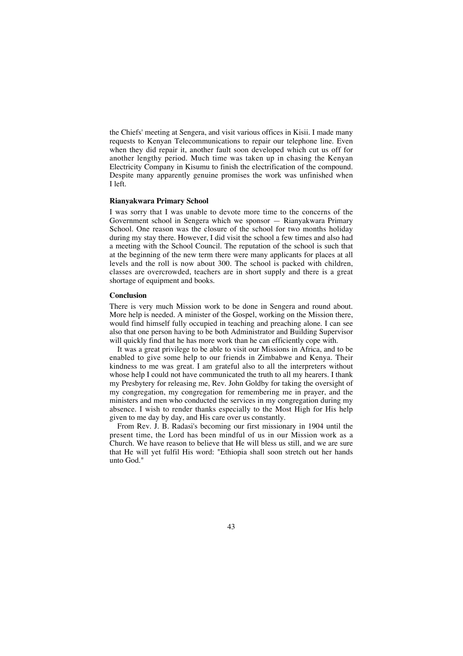the Chiefs' meeting at Sengera, and visit various offices in Kisii. I made many requests to Kenyan Telecommunications to repair our telephone line. Even when they did repair it, another fault soon developed which cut us off for another lengthy period. Much time was taken up in chasing the Kenyan Electricity Company in Kisumu to finish the electrification of the compound. Despite many apparently genuine promises the work was unfinished when I left.

### **Rianyakwara Primary School**

I was sorry that I was unable to devote more time to the concerns of the Government school in Sengera which we sponsor — Rianyakwara Primary School. One reason was the closure of the school for two months holiday during my stay there. However, I did visit the school a few times and also had a meeting with the School Council. The reputation of the school is such that at the beginning of the new term there were many applicants for places at all levels and the roll is now about 300. The school is packed with children, classes are overcrowded, teachers are in short supply and there is a great shortage of equipment and books.

#### **Conclusion**

There is very much Mission work to be done in Sengera and round about. More help is needed. A minister of the Gospel, working on the Mission there, would find himself fully occupied in teaching and preaching alone. I can see also that one person having to be both Administrator and Building Supervisor will quickly find that he has more work than he can efficiently cope with.

It was a great privilege to be able to visit our Missions in Africa, and to be enabled to give some help to our friends in Zimbabwe and Kenya. Their kindness to me was great. I am grateful also to all the interpreters without whose help I could not have communicated the truth to all my hearers. I thank my Presbytery for releasing me, Rev. John Goldby for taking the oversight of my congregation, my congregation for remembering me in prayer, and the ministers and men who conducted the services in my congregation during my absence. I wish to render thanks especially to the Most High for His help given to me day by day, and His care over us constantly.

From Rev. J. B. Radasi's becoming our first missionary in 1904 until the present time, the Lord has been mindful of us in our Mission work as a Church. We have reason to believe that He will bless us still, and we are sure that He will yet fulfil His word: "Ethiopia shall soon stretch out her hands unto God."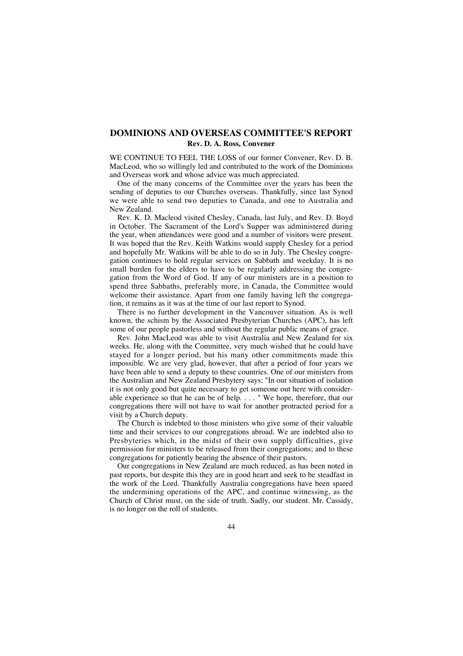# **DOMINIONS AND OVERSEAS COMMITTEE'S REPORT Rev. D. A. Ross, Convener**

WE CONTINUE TO FEEL THE LOSS of our former Convener, Rev. D. B. MacLeod, who so willingly led and contributed to the work of the Dominions and Overseas work and whose advice was much appreciated.

One of the many concerns of the Committee over the years has been the sending of deputies to our Churches overseas. Thankfully, since last Synod we were able to send two deputies to Canada, and one to Australia and New Zealand.

Rev. K. D. Macleod visited Chesley, Canada, last July, and Rev. D. Boyd in October. The Sacrament of the Lord's Supper was administered during the year, when attendances were good and a number of visitors were present. It was hoped that the Rev. Keith Watkins would supply Chesley for a period and hopefully Mr. Watkins will be able to do so in July. The Chesley congregation continues to hold regular services on Sabbath and weekday. It is no small burden for the elders to have to be regularly addressing the congregation from the Word of God. If any of our ministers are in a position to spend three Sabbaths, preferably more, in Canada, the Committee would welcome their assistance. Apart from one family having left the congregation, it remains as it was at the time of our last report to Synod.

There is no further development in the Vancouver situation. As is well known, the schism by the Associated Presbyterian Churches (APC), has left some of our people pastorless and without the regular public means of grace.

Rev. John MacLeod was able to visit Australia and New Zealand for six weeks. He, along with the Committee, very much wished that he could have stayed for a longer period, but his many other commitments made this impossible. We are very glad, however, that after a period of four years we have been able to send a deputy to these countries. One of our ministers from the Australian and New Zealand Presbytery says: "In our situation of isolation it is not only good but quite necessary to get someone out here with considerable experience so that he can be of help. . . . " We hope, therefore, that our congregations there will not have to wait for another protracted period for a visit by a Church deputy.

The Church is indebted to those ministers who give some of their valuable time and their services to our congregations abroad. We are indebted also to Presbyteries which, in the midst of their own supply difficulties, give permission for ministers to be released from their congregations; and to these congregations for patiently bearing the absence of their pastors.

Our congregations in New Zealand are much reduced, as has been noted in past reports, but despite this they are in good heart and seek to be steadfast in the work of the Lord. Thankfully Australia congregations have been spared the undermining operations of the APC, and continue witnessing, as the Church of Christ must, on the side of truth. Sadly, our student. Mr. Cassidy, is no longer on the roll of students.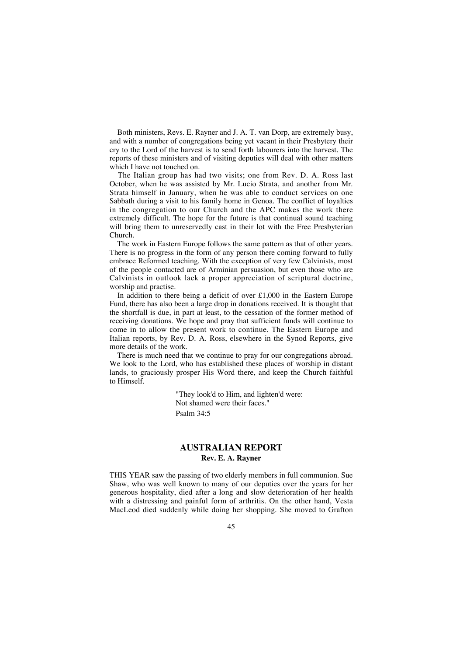Both ministers, Revs. E. Rayner and J. A. T. van Dorp, are extremely busy, and with a number of congregations being yet vacant in their Presbytery their cry to the Lord of the harvest is to send forth labourers into the harvest. The reports of these ministers and of visiting deputies will deal with other matters which I have not touched on.

The Italian group has had two visits; one from Rev. D. A. Ross last October, when he was assisted by Mr. Lucio Strata, and another from Mr. Strata himself in January, when he was able to conduct services on one Sabbath during a visit to his family home in Genoa. The conflict of loyalties in the congregation to our Church and the APC makes the work there extremely difficult. The hope for the future is that continual sound teaching will bring them to unreservedly cast in their lot with the Free Presbyterian Church.

The work in Eastern Europe follows the same pattern as that of other years. There is no progress in the form of any person there coming forward to fully embrace Reformed teaching. With the exception of very few Calvinists, most of the people contacted are of Arminian persuasion, but even those who are Calvinists in outlook lack a proper appreciation of scriptural doctrine, worship and practise.

In addition to there being a deficit of over £1,000 in the Eastern Europe Fund, there has also been a large drop in donations received. It is thought that the shortfall is due, in part at least, to the cessation of the former method of receiving donations. We hope and pray that sufficient funds will continue to come in to allow the present work to continue. The Eastern Europe and Italian reports, by Rev. D. A. Ross, elsewhere in the Synod Reports, give more details of the work.

There is much need that we continue to pray for our congregations abroad. We look to the Lord, who has established these places of worship in distant lands, to graciously prosper His Word there, and keep the Church faithful to Himself.

> "They look'd to Him, and lighten'd were: Not shamed were their faces." Psalm 34:5

### **AUSTRALIAN REPORT Rev. E. A. Rayner**

THIS YEAR saw the passing of two elderly members in full communion. Sue Shaw, who was well known to many of our deputies over the years for her generous hospitality, died after a long and slow deterioration of her health with a distressing and painful form of arthritis. On the other hand, Vesta MacLeod died suddenly while doing her shopping. She moved to Grafton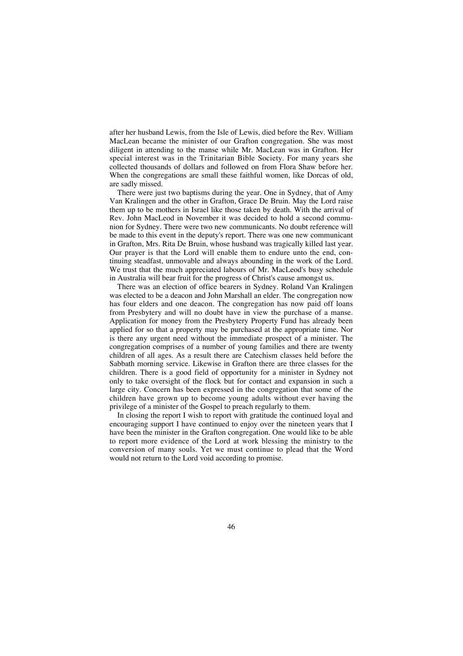after her husband Lewis, from the Isle of Lewis, died before the Rev. William MacLean became the minister of our Grafton congregation. She was most diligent in attending to the manse while Mr. MacLean was in Grafton. Her special interest was in the Trinitarian Bible Society. For many years she collected thousands of dollars and followed on from Flora Shaw before her. When the congregations are small these faithful women, like Dorcas of old, are sadly missed.

There were just two baptisms during the year. One in Sydney, that of Amy Van Kralingen and the other in Grafton, Grace De Bruin. May the Lord raise them up to be mothers in Israel like those taken by death. With the arrival of Rev. John MacLeod in November it was decided to hold a second communion for Sydney. There were two new communicants. No doubt reference will be made to this event in the deputy's report. There was one new communicant in Grafton, Mrs. Rita De Bruin, whose husband was tragically killed last year. Our prayer is that the Lord will enable them to endure unto the end, continuing steadfast, unmovable and always abounding in the work of the Lord. We trust that the much appreciated labours of Mr. MacLeod's busy schedule in Australia will bear fruit for the progress of Christ's cause amongst us.

There was an election of office bearers in Sydney. Roland Van Kralingen was elected to be a deacon and John Marshall an elder. The congregation now has four elders and one deacon. The congregation has now paid off loans from Presbytery and will no doubt have in view the purchase of a manse. Application for money from the Presbytery Property Fund has already been applied for so that a property may be purchased at the appropriate time. Nor is there any urgent need without the immediate prospect of a minister. The congregation comprises of a number of young families and there are twenty children of all ages. As a result there are Catechism classes held before the Sabbath morning service. Likewise in Grafton there are three classes for the children. There is a good field of opportunity for a minister in Sydney not only to take oversight of the flock but for contact and expansion in such a large city. Concern has been expressed in the congregation that some of the children have grown up to become young adults without ever having the privilege of a minister of the Gospel to preach regularly to them.

In closing the report I wish to report with gratitude the continued loyal and encouraging support I have continued to enjoy over the nineteen years that I have been the minister in the Grafton congregation. One would like to be able to report more evidence of the Lord at work blessing the ministry to the conversion of many souls. Yet we must continue to plead that the Word would not return to the Lord void according to promise.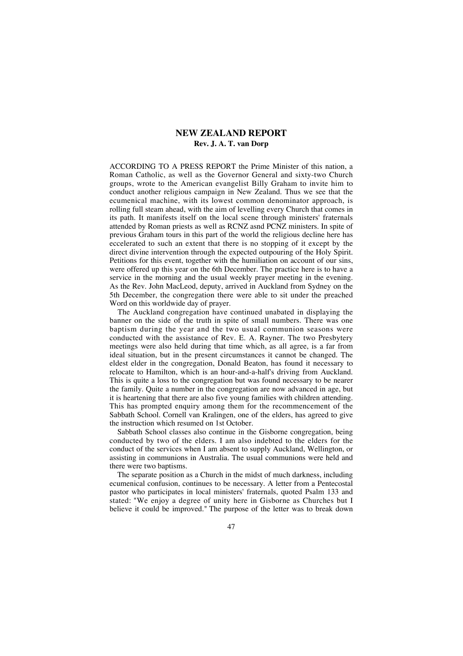### **NEW ZEALAND REPORT Rev. J. A. T. van Dorp**

ACCORDING TO A PRESS REPORT the Prime Minister of this nation, a Roman Catholic, as well as the Governor General and sixty-two Church groups, wrote to the American evangelist Billy Graham to invite him to conduct another religious campaign in New Zealand. Thus we see that the ecumenical machine, with its lowest common denominator approach, is rolling full steam ahead, with the aim of levelling every Church that comes in its path. It manifests itself on the local scene through ministers' fraternals attended by Roman priests as well as RCNZ asnd PCNZ ministers. In spite of previous Graham tours in this part of the world the religious decline here has eccelerated to such an extent that there is no stopping of it except by the direct divine intervention through the expected outpouring of the Holy Spirit. Petitions for this event, together with the humiliation on account of our sins, were offered up this year on the 6th December. The practice here is to have a service in the morning and the usual weekly prayer meeting in the evening. As the Rev. John MacLeod, deputy, arrived in Auckland from Sydney on the 5th December, the congregation there were able to sit under the preached Word on this worldwide day of prayer.

The Auckland congregation have continued unabated in displaying the banner on the side of the truth in spite of small numbers. There was one baptism during the year and the two usual communion seasons were conducted with the assistance of Rev. E. A. Rayner. The two Presbytery meetings were also held during that time which, as all agree, is a far from ideal situation, but in the present circumstances it cannot be changed. The eldest elder in the congregation, Donald Beaton, has found it necessary to relocate to Hamilton, which is an hour-and-a-half's driving from Auckland. This is quite a loss to the congregation but was found necessary to be nearer the family. Quite a number in the congregation are now advanced in age, but it is heartening that there are also five young families with children attending. This has prompted enquiry among them for the recommencement of the Sabbath School. Cornell van Kralingen, one of the elders, has agreed to give the instruction which resumed on 1st October.

Sabbath School classes also continue in the Gisborne congregation, being conducted by two of the elders. I am also indebted to the elders for the conduct of the services when I am absent to supply Auckland, Wellington, or assisting in communions in Australia. The usual communions were held and there were two baptisms.

The separate position as a Church in the midst of much darkness, including ecumenical confusion, continues to be necessary. A letter from a Pentecostal pastor who participates in local ministers' fraternals, quoted Psalm 133 and stated: "We enjoy a degree of unity here in Gisborne as Churches but I believe it could be improved." The purpose of the letter was to break down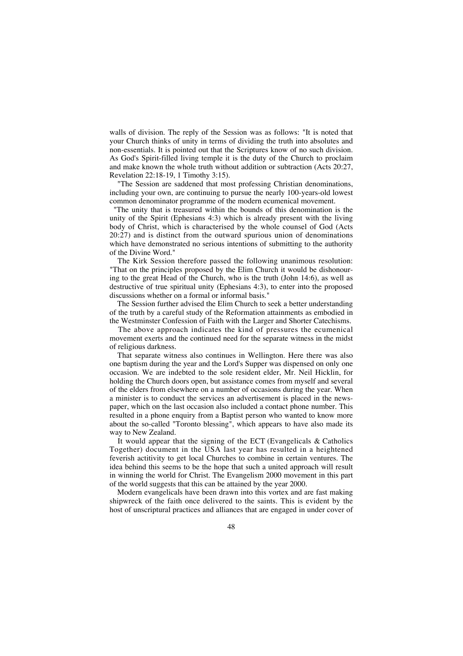walls of division. The reply of the Session was as follows: "It is noted that your Church thinks of unity in terms of dividing the truth into absolutes and non-essentials. It is pointed out that the Scriptures know of no such division. As God's Spirit-filled living temple it is the duty of the Church to proclaim and make known the whole truth without addition or subtraction (Acts 20:27, Revelation 22:18-19, 1 Timothy 3:15).

"The Session are saddened that most professing Christian denominations, including your own, are continuing to pursue the nearly 100-years-old lowest common denominator programme of the modern ecumenical movement.

"The unity that is treasured within the bounds of this denomination is the unity of the Spirit (Ephesians 4:3) which is already present with the living body of Christ, which is characterised by the whole counsel of God (Acts 20:27) and is distinct from the outward spurious union of denominations which have demonstrated no serious intentions of submitting to the authority of the Divine Word."

The Kirk Session therefore passed the following unanimous resolution: "That on the principles proposed by the Elim Church it would be dishonouring to the great Head of the Church, who is the truth (John 14:6), as well as destructive of true spiritual unity (Ephesians 4:3), to enter into the proposed discussions whether on a formal or informal basis."

The Session further advised the Elim Church to seek a better understanding of the truth by a careful study of the Reformation attainments as embodied in the Westminster Confession of Faith with the Larger and Shorter Catechisms.

The above approach indicates the kind of pressures the ecumenical movement exerts and the continued need for the separate witness in the midst of religious darkness.

That separate witness also continues in Wellington. Here there was also one baptism during the year and the Lord's Supper was dispensed on only one occasion. We are indebted to the sole resident elder, Mr. Neil Hicklin, for holding the Church doors open, but assistance comes from myself and several of the elders from elsewhere on a number of occasions during the year. When a minister is to conduct the services an advertisement is placed in the newspaper, which on the last occasion also included a contact phone number. This resulted in a phone enquiry from a Baptist person who wanted to know more about the so-called "Toronto blessing", which appears to have also made its way to New Zealand.

It would appear that the signing of the ECT (Evangelicals & Catholics Together) document in the USA last year has resulted in a heightened feverish actitivity to get local Churches to combine in certain ventures. The idea behind this seems to be the hope that such a united approach will result in winning the world for Christ. The Evangelism 2000 movement in this part of the world suggests that this can be attained by the year 2000.

Modern evangelicals have been drawn into this vortex and are fast making shipwreck of the faith once delivered to the saints. This is evident by the host of unscriptural practices and alliances that are engaged in under cover of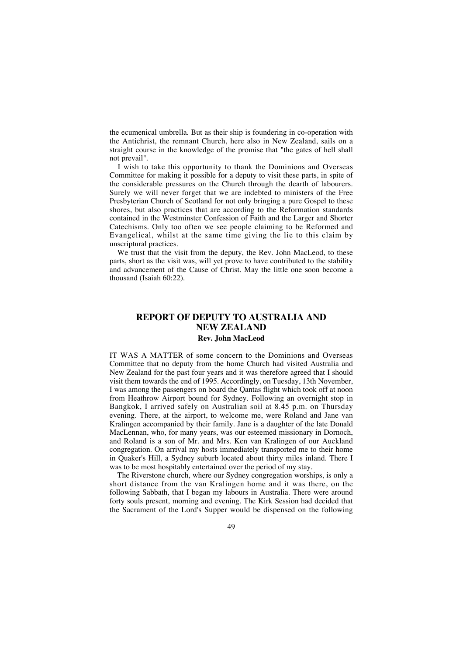the ecumenical umbrella. But as their ship is foundering in co-operation with the Antichrist, the remnant Church, here also in New Zealand, sails on a straight course in the knowledge of the promise that "the gates of hell shall not prevail".

I wish to take this opportunity to thank the Dominions and Overseas Committee for making it possible for a deputy to visit these parts, in spite of the considerable pressures on the Church through the dearth of labourers. Surely we will never forget that we are indebted to ministers of the Free Presbyterian Church of Scotland for not only bringing a pure Gospel to these shores, but also practices that are according to the Reformation standards contained in the Westminster Confession of Faith and the Larger and Shorter Catechisms. Only too often we see people claiming to be Reformed and Evangelical, whilst at the same time giving the lie to this claim by unscriptural practices.

We trust that the visit from the deputy, the Rev. John MacLeod, to these parts, short as the visit was, will yet prove to have contributed to the stability and advancement of the Cause of Christ. May the little one soon become a thousand (Isaiah 60:22).

## **REPORT OF DEPUTY TO AUSTRALIA AND NEW ZEALAND Rev. John MacLeod**

IT WAS A MATTER of some concern to the Dominions and Overseas Committee that no deputy from the home Church had visited Australia and New Zealand for the past four years and it was therefore agreed that I should visit them towards the end of 1995. Accordingly, on Tuesday, 13th November, I was among the passengers on board the Qantas flight which took off at noon from Heathrow Airport bound for Sydney. Following an overnight stop in Bangkok, I arrived safely on Australian soil at 8.45 p.m. on Thursday evening. There, at the airport, to welcome me, were Roland and Jane van Kralingen accompanied by their family. Jane is a daughter of the late Donald MacLennan, who, for many years, was our esteemed missionary in Dornoch, and Roland is a son of Mr. and Mrs. Ken van Kralingen of our Auckland congregation. On arrival my hosts immediately transported me to their home in Quaker's Hill, a Sydney suburb located about thirty miles inland. There I was to be most hospitably entertained over the period of my stay.

The Riverstone church, where our Sydney congregation worships, is only a short distance from the van Kralingen home and it was there, on the following Sabbath, that I began my labours in Australia. There were around forty souls present, morning and evening. The Kirk Session had decided that the Sacrament of the Lord's Supper would be dispensed on the following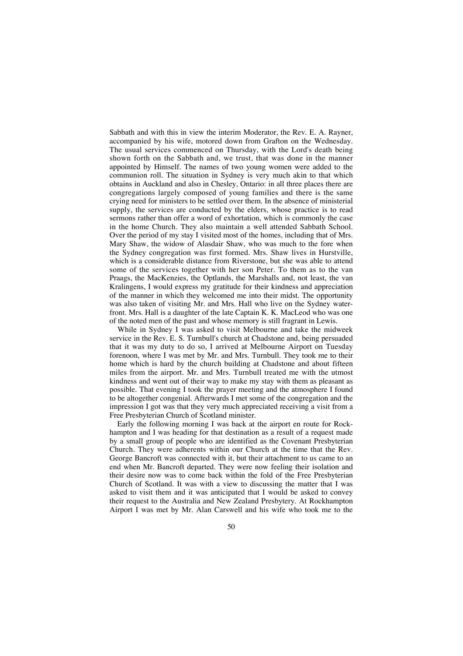Sabbath and with this in view the interim Moderator, the Rev. E. A. Rayner, accompanied by his wife, motored down from Grafton on the Wednesday. The usual services commenced on Thursday, with the Lord's death being shown forth on the Sabbath and, we trust, that was done in the manner appointed by Himself. The names of two young women were added to the communion roll. The situation in Sydney is very much akin to that which obtains in Auckland and also in Chesley, Ontario: in all three places there are congregations largely composed of young families and there is the same crying need for ministers to be settled over them. In the absence of ministerial supply, the services are conducted by the elders, whose practice is to read sermons rather than offer a word of exhortation, which is commonly the case in the home Church. They also maintain a well attended Sabbath School. Over the period of my stay I visited most of the homes, including that of Mrs. Mary Shaw, the widow of Alasdair Shaw, who was much to the fore when the Sydney congregation was first formed. Mrs. Shaw lives in Hurstville, which is a considerable distance from Riverstone, but she was able to attend some of the services together with her son Peter. To them as to the van Praags, the MacKenzies, the Optlands, the Marshalls and, not least, the van Kralingens, I would express my gratitude for their kindness and appreciation of the manner in which they welcomed me into their midst. The opportunity was also taken of visiting Mr. and Mrs. Hall who live on the Sydney waterfront. Mrs. Hall is a daughter of the late Captain K. K. MacLeod who was one of the noted men of the past and whose memory is still fragrant in Lewis.

While in Sydney I was asked to visit Melbourne and take the midweek service in the Rev. E. S. Turnbull's church at Chadstone and, being persuaded that it was my duty to do so, I arrived at Melbourne Airport on Tuesday forenoon, where I was met by Mr. and Mrs. Turnbull. They took me to their home which is hard by the church building at Chadstone and about fifteen miles from the airport. Mr. and Mrs. Turnbull treated me with the utmost kindness and went out of their way to make my stay with them as pleasant as possible. That evening I took the prayer meeting and the atmosphere I found to be altogether congenial. Afterwards I met some of the congregation and the impression I got was that they very much appreciated receiving a visit from a Free Presbyterian Church of Scotland minister.

Early the following morning I was back at the airport en route for Rockhampton and I was heading for that destination as a result of a request made by a small group of people who are identified as the Covenant Presbyterian Church. They were adherents within our Church at the time that the Rev. George Bancroft was connected with it, but their attachment to us came to an end when Mr. Bancroft departed. They were now feeling their isolation and their desire now was to come back within the fold of the Free Presbyterian Church of Scotland. It was with a view to discussing the matter that I was asked to visit them and it was anticipated that I would be asked to convey their request to the Australia and New Zealand Presbytery. At Rockhampton Airport I was met by Mr. Alan Carswell and his wife who took me to the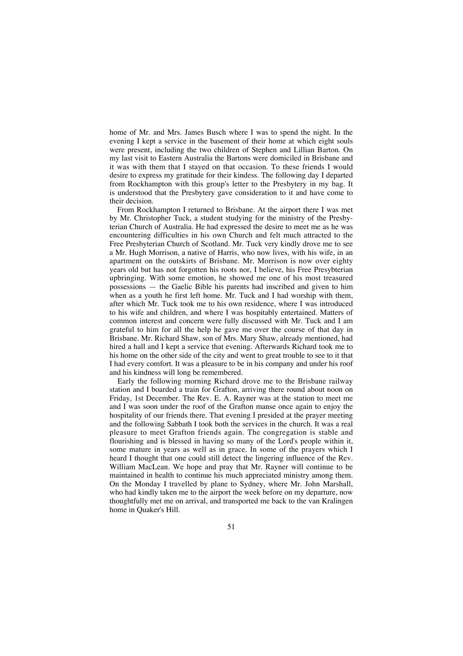home of Mr. and Mrs. James Busch where I was to spend the night. In the evening I kept a service in the basement of their home at which eight souls were present, including the two children of Stephen and Lillian Barton. On my last visit to Eastern Australia the Bartons were domiciled in Brisbane and it was with them that I stayed on that occasion. To these friends I would desire to express my gratitude for their kindess. The following day I departed from Rockhampton with this group's letter to the Presbytery in my bag. It is understood that the Presbytery gave consideration to it and have come to their decision.

From Rockhampton I returned to Brisbane. At the airport there I was met by Mr. Christopher Tuck, a student studying for the ministry of the Presbyterian Church of Australia. He had expressed the desire to meet me as he was encountering difficulties in his own Church and felt much attracted to the Free Presbyterian Church of Scotland. Mr. Tuck very kindly drove me to see a Mr. Hugh Morrison, a native of Harris, who now lives, with his wife, in an apartment on the outskirts of Brisbane. Mr. Morrison is now over eighty years old but has not forgotten his roots nor, I believe, his Free Presybterian upbringing. With some emotion, he showed me one of his most treasured possessions — the Gaelic Bible his parents had inscribed and given to him when as a youth he first left home. Mr. Tuck and I had worship with them, after which Mr. Tuck took me to his own residence, where I was introduced to his wife and children, and where I was hospitably entertained. Matters of common interest and concern were fully discussed with Mr. Tuck and I am grateful to him for all the help he gave me over the course of that day in Brisbane. Mr. Richard Shaw, son of Mrs. Mary Shaw, already mentioned, had hired a hall and I kept a service that evening. Afterwards Richard took me to his home on the other side of the city and went to great trouble to see to it that I had every comfort. It was a pleasure to be in his company and under his roof and his kindness will long be remembered.

Early the following morning Richard drove me to the Brisbane railway station and I boarded a train for Grafton, arriving there round about noon on Friday, 1st December. The Rev. E. A. Rayner was at the station to meet me and I was soon under the roof of the Grafton manse once again to enjoy the hospitality of our friends there. That evening I presided at the prayer meeting and the following Sabbath I took both the services in the church. It was a real pleasure to meet Grafton friends again. The congregation is stable and flourishing and is blessed in having so many of the Lord's people within it, some mature in years as well as in grace. In some of the prayers which I heard I thought that one could still detect the lingering influence of the Rev. William MacLean. We hope and pray that Mr. Rayner will continue to be maintained in health to continue his much appreciated ministry among them. On the Monday I travelled by plane to Sydney, where Mr. John Marshall, who had kindly taken me to the airport the week before on my departure, now thoughtfully met me on arrival, and transported me back to the van Kralingen home in Quaker's Hill.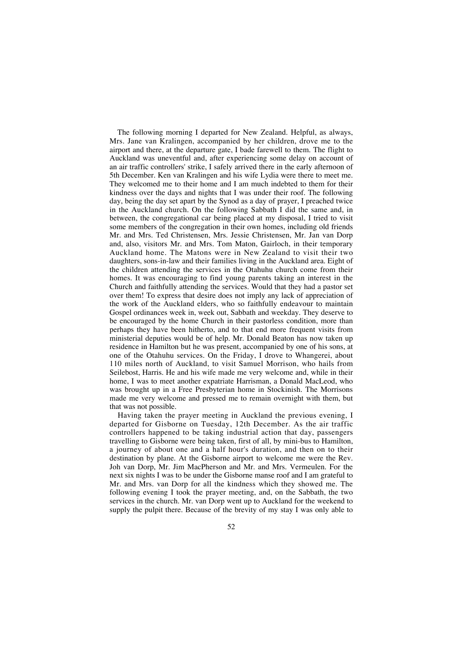The following morning I departed for New Zealand. Helpful, as always, Mrs. Jane van Kralingen, accompanied by her children, drove me to the airport and there, at the departure gate, I bade farewell to them. The flight to Auckland was uneventful and, after experiencing some delay on account of an air traffic controllers' strike, I safely arrived there in the early afternoon of 5th December. Ken van Kralingen and his wife Lydia were there to meet me. They welcomed me to their home and I am much indebted to them for their kindness over the days and nights that I was under their roof. The following day, being the day set apart by the Synod as a day of prayer, I preached twice in the Auckland church. On the following Sabbath I did the same and, in between, the congregational car being placed at my disposal, I tried to visit some members of the congregation in their own homes, including old friends Mr. and Mrs. Ted Christensen, Mrs. Jessie Christensen, Mr. Jan van Dorp and, also, visitors Mr. and Mrs. Tom Maton, Gairloch, in their temporary Auckland home. The Matons were in New Zealand to visit their two daughters, sons-in-law and their families living in the Auckland area. Eight of the children attending the services in the Otahuhu church come from their homes. It was encouraging to find young parents taking an interest in the Church and faithfully attending the services. Would that they had a pastor set over them! To express that desire does not imply any lack of appreciation of the work of the Auckland elders, who so faithfully endeavour to maintain Gospel ordinances week in, week out, Sabbath and weekday. They deserve to be encouraged by the home Church in their pastorless condition, more than perhaps they have been hitherto, and to that end more frequent visits from ministerial deputies would be of help. Mr. Donald Beaton has now taken up residence in Hamilton but he was present, accompanied by one of his sons, at one of the Otahuhu services. On the Friday, I drove to Whangerei, about 110 miles north of Auckland, to visit Samuel Morrison, who hails from Seilebost, Harris. He and his wife made me very welcome and, while in their home, I was to meet another expatriate Harrisman, a Donald MacLeod, who was brought up in a Free Presbyterian home in Stockinish. The Morrisons made me very welcome and pressed me to remain overnight with them, but that was not possible.

Having taken the prayer meeting in Auckland the previous evening, I departed for Gisborne on Tuesday, 12th December. As the air traffic controllers happened to be taking industrial action that day, passengers travelling to Gisborne were being taken, first of all, by mini-bus to Hamilton, a journey of about one and a half hour's duration, and then on to their destination by plane. At the Gisborne airport to welcome me were the Rev. Joh van Dorp, Mr. Jim MacPherson and Mr. and Mrs. Vermeulen. For the next six nights I was to be under the Gisborne manse roof and I am grateful to Mr. and Mrs. van Dorp for all the kindness which they showed me. The following evening I took the prayer meeting, and, on the Sabbath, the two services in the church. Mr. van Dorp went up to Auckland for the weekend to supply the pulpit there. Because of the brevity of my stay I was only able to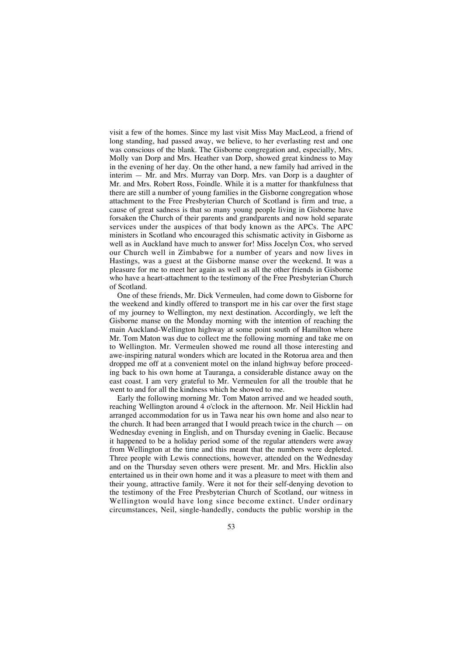visit a few of the homes. Since my last visit Miss May MacLeod, a friend of long standing, had passed away, we believe, to her everlasting rest and one was conscious of the blank. The Gisborne congregation and, especially, Mrs. Molly van Dorp and Mrs. Heather van Dorp, showed great kindness to May in the evening of her day. On the other hand, a new family had arrived in the interim — Mr. and Mrs. Murray van Dorp. Mrs. van Dorp is a daughter of Mr. and Mrs. Robert Ross, Foindle. While it is a matter for thankfulness that there are still a number of young families in the Gisborne congregation whose attachment to the Free Presbyterian Church of Scotland is firm and true, a cause of great sadness is that so many young people living in Gisborne have forsaken the Church of their parents and grandparents and now hold separate services under the auspices of that body known as the APCs. The APC ministers in Scotland who encouraged this schismatic activity in Gisborne as well as in Auckland have much to answer for! Miss Jocelyn Cox, who served our Church well in Zimbabwe for a number of years and now lives in Hastings, was a guest at the Gisborne manse over the weekend. It was a pleasure for me to meet her again as well as all the other friends in Gisborne who have a heart-attachment to the testimony of the Free Presbyterian Church of Scotland.

One of these friends, Mr. Dick Vermeulen, had come down to Gisborne for the weekend and kindly offered to transport me in his car over the first stage of my journey to Wellington, my next destination. Accordingly, we left the Gisborne manse on the Monday morning with the intention of reaching the main Auckland-Wellington highway at some point south of Hamilton where Mr. Tom Maton was due to collect me the following morning and take me on to Wellington. Mr. Vermeulen showed me round all those interesting and awe-inspiring natural wonders which are located in the Rotorua area and then dropped me off at a convenient motel on the inland highway before proceeding back to his own home at Tauranga, a considerable distance away on the east coast. I am very grateful to Mr. Vermeulen for all the trouble that he went to and for all the kindness which he showed to me.

Early the following morning Mr. Tom Maton arrived and we headed south, reaching Wellington around 4 o'clock in the afternoon. Mr. Neil Hicklin had arranged accommodation for us in Tawa near his own home and also near to the church. It had been arranged that I would preach twice in the church — on Wednesday evening in English, and on Thursday evening in Gaelic. Because it happened to be a holiday period some of the regular attenders were away from Wellington at the time and this meant that the numbers were depleted. Three people with Lewis connections, however, attended on the Wednesday and on the Thursday seven others were present. Mr. and Mrs. Hicklin also entertained us in their own home and it was a pleasure to meet with them and their young, attractive family. Were it not for their self-denying devotion to the testimony of the Free Presbyterian Church of Scotland, our witness in Wellington would have long since become extinct. Under ordinary circumstances, Neil, single-handedly, conducts the public worship in the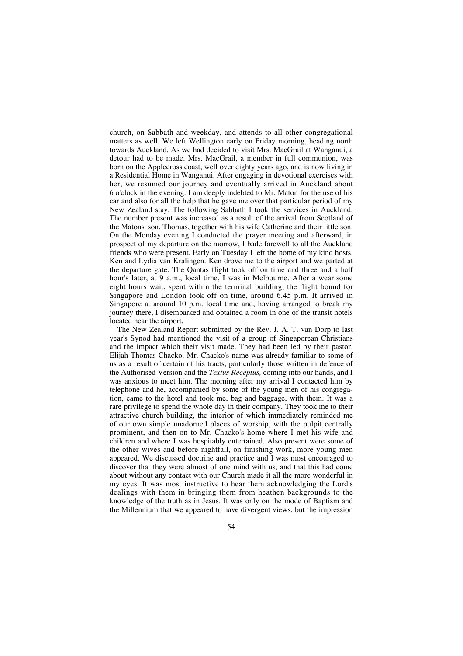church, on Sabbath and weekday, and attends to all other congregational matters as well. We left Wellington early on Friday morning, heading north towards Auckland. As we had decided to visit Mrs. MacGrail at Wanganui, a detour had to be made. Mrs. MacGrail, a member in full communion, was born on the Applecross coast, well over eighty years ago, and is now living in a Residential Home in Wanganui. After engaging in devotional exercises with her, we resumed our journey and eventually arrived in Auckland about 6 o'clock in the evening. I am deeply indebted to Mr. Maton for the use of his car and also for all the help that he gave me over that particular period of my New Zealand stay. The following Sabbath I took the services in Auckland. The number present was increased as a result of the arrival from Scotland of the Matons' son, Thomas, together with his wife Catherine and their little son. On the Monday evening I conducted the prayer meeting and afterward, in prospect of my departure on the morrow, I bade farewell to all the Auckland friends who were present. Early on Tuesday I left the home of my kind hosts, Ken and Lydia van Kralingen. Ken drove me to the airport and we parted at the departure gate. The Qantas flight took off on time and three and a half hour's later, at 9 a.m., local time, I was in Melbourne. After a wearisome eight hours wait, spent within the terminal building, the flight bound for Singapore and London took off on time, around  $6.45$  p.m. It arrived in Singapore at around 10 p.m. local time and, having arranged to break my journey there, I disembarked and obtained a room in one of the transit hotels located near the airport.

The New Zealand Report submitted by the Rev. J. A. T. van Dorp to last year's Synod had mentioned the visit of a group of Singaporean Christians and the impact which their visit made. They had been led by their pastor, Elijah Thomas Chacko. Mr. Chacko's name was already familiar to some of us as a result of certain of his tracts, particularly those written in defence of the Authorised Version and the *Textus Receptus,* coming into our hands, and I was anxious to meet him. The morning after my arrival I contacted him by telephone and he, accompanied by some of the young men of his congregation, came to the hotel and took me, bag and baggage, with them. It was a rare privilege to spend the whole day in their company. They took me to their attractive church building, the interior of which immediately reminded me of our own simple unadorned places of worship, with the pulpit centrally prominent, and then on to Mr. Chacko's home where I met his wife and children and where I was hospitably entertained. Also present were some of the other wives and before nightfall, on finishing work, more young men appeared. We discussed doctrine and practice and I was most encouraged to discover that they were almost of one mind with us, and that this had come about without any contact with our Church made it all the more wonderful in my eyes. It was most instructive to hear them acknowledging the Lord's dealings with them in bringing them from heathen backgrounds to the knowledge of the truth as in Jesus. It was only on the mode of Baptism and the Millennium that we appeared to have divergent views, but the impression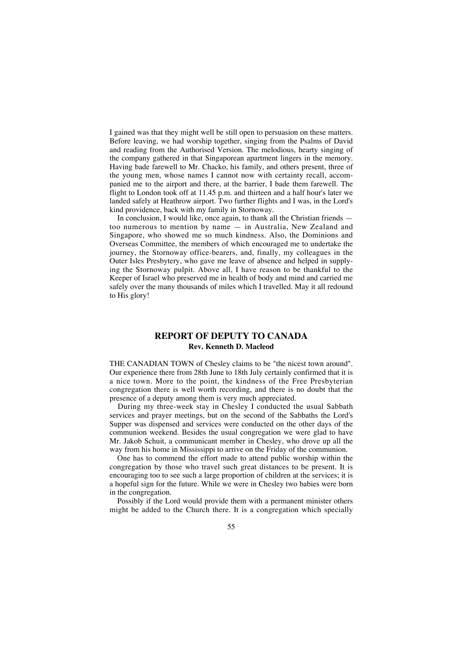I gained was that they might well be still open to persuasion on these matters. Before leaving, we had worship together, singing from the Psalms of David and reading from the Authorised Version. The melodious, hearty singing of the company gathered in that Singaporean apartment lingers in the memory. Having bade farewell to Mr. Chacko, his family, and others present, three of the young men, whose names I cannot now with certainty recall, accompanied me to the airport and there, at the barrier, I bade them farewell. The flight to London took off at 11.45 p.m. and thirteen and a half hour's later we landed safely at Heathrow airport. Two further flights and I was, in the Lord's kind providence, back with my family in Stornoway.

In conclusion, I would like, once again, to thank all the Christian friends – too numerous to mention by name — in Australia, New Zealand and Singapore, who showed me so much kindness. Also, the Dominions and Overseas Committee, the members of which encouraged me to undertake the journey, the Stornoway office-bearers, and, finally, my colleagues in the Outer Isles Presbytery, who gave me leave of absence and helped in supplying the Stornoway pulpit. Above all, I have reason to be thankful to the Keeper of Israel who preserved me in health of body and mind and carried me safely over the many thousands of miles which I travelled. May it all redound to His glory!

# **REPORT OF DEPUTY TO CANADA Rev. Kenneth D. Macleod**

THE CANADIAN TOWN of Chesley claims to be "the nicest town around". Our experience there from 28th June to 18th July certainly confirmed that it is a nice town. More to the point, the kindness of the Free Presbyterian congregation there is well worth recording, and there is no doubt that the presence of a deputy among them is very much appreciated.

During my three-week stay in Chesley I conducted the usual Sabbath services and prayer meetings, but on the second of the Sabbaths the Lord's Supper was dispensed and services were conducted on the other days of the communion weekend. Besides the usual congregation we were glad to have Mr. Jakob Schuit, a communicant member in Chesley, who drove up all the way from his home in Mississippi to arrive on the Friday of the communion.

One has to commend the effort made to attend public worship within the congregation by those who travel such great distances to be present. It is encouraging too to see such a large proportion of children at the services; it is a hopeful sign for the future. While we were in Chesley two babies were born in the congregation.

Possibly if the Lord would provide them with a permanent minister others might be added to the Church there. It is a congregation which specially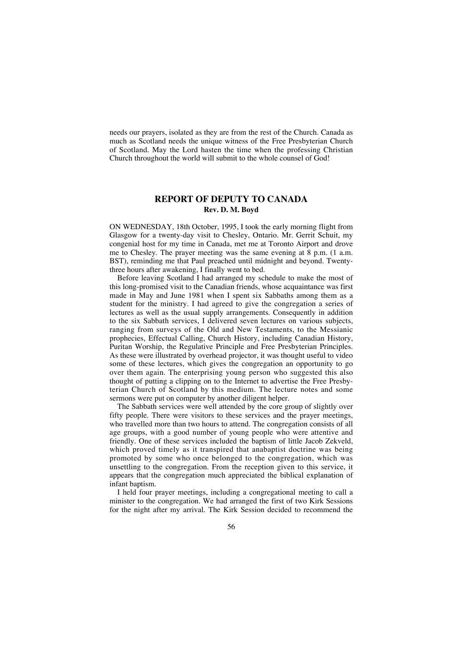needs our prayers, isolated as they are from the rest of the Church. Canada as much as Scotland needs the unique witness of the Free Presbyterian Church of Scotland. May the Lord hasten the time when the professing Christian Church throughout the world will submit to the whole counsel of God!

## **REPORT OF DEPUTY TO CANADA Rev. D. M. Boyd**

ON WEDNESDAY, 18th October, 1995, I took the early morning flight from Glasgow for a twenty-day visit to Chesley, Ontario. Mr. Gerrit Schuit, my congenial host for my time in Canada, met me at Toronto Airport and drove me to Chesley. The prayer meeting was the same evening at 8 p.m. (1 a.m. BST), reminding me that Paul preached until midnight and beyond. Twentythree hours after awakening, I finally went to bed.

Before leaving Scotland I had arranged my schedule to make the most of this long-promised visit to the Canadian friends, whose acquaintance was first made in May and June 1981 when I spent six Sabbaths among them as a student for the ministry. I had agreed to give the congregation a series of lectures as well as the usual supply arrangements. Consequently in addition to the six Sabbath services, I delivered seven lectures on various subjects, ranging from surveys of the Old and New Testaments, to the Messianic prophecies, Effectual Calling, Church History, including Canadian History, Puritan Worship, the Regulative Principle and Free Presbyterian Principles. As these were illustrated by overhead projector, it was thought useful to video some of these lectures, which gives the congregation an opportunity to go over them again. The enterprising young person who suggested this also thought of putting a clipping on to the Internet to advertise the Free Presbyterian Church of Scotland by this medium. The lecture notes and some sermons were put on computer by another diligent helper.

The Sabbath services were well attended by the core group of slightly over fifty people. There were visitors to these services and the prayer meetings, who travelled more than two hours to attend. The congregation consists of all age groups, with a good number of young people who were attentive and friendly. One of these services included the baptism of little Jacob Zekveld, which proved timely as it transpired that anabaptist doctrine was being promoted by some who once belonged to the congregation, which was unsettling to the congregation. From the reception given to this service, it appears that the congregation much appreciated the biblical explanation of infant baptism.

I held four prayer meetings, including a congregational meeting to call a minister to the congregation. We had arranged the first of two Kirk Sessions for the night after my arrival. The Kirk Session decided to recommend the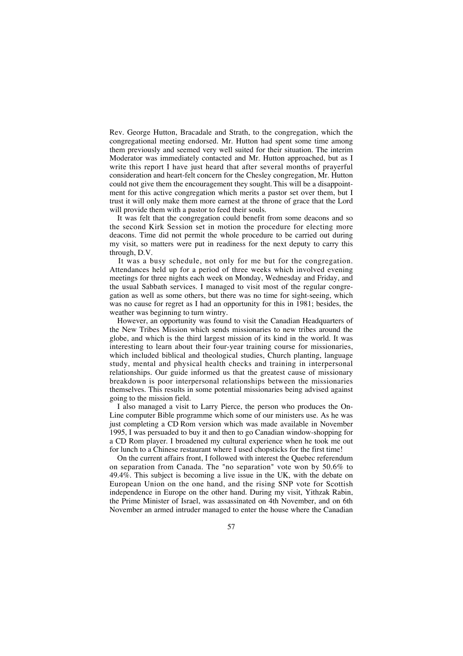Rev. George Hutton, Bracadale and Strath, to the congregation, which the congregational meeting endorsed. Mr. Hutton had spent some time among them previously and seemed very well suited for their situation. The interim Moderator was immediately contacted and Mr. Hutton approached, but as I write this report I have just heard that after several months of prayerful consideration and heart-felt concern for the Chesley congregation, Mr. Hutton could not give them the encouragement they sought.This will be a disappointment for this active congregation which merits a pastor set over them, but I trust it will only make them more earnest at the throne of grace that the Lord will provide them with a pastor to feed their souls.

It was felt that the congregation could benefit from some deacons and so the second Kirk Session set in motion the procedure for electing more deacons. Time did not permit the whole procedure to be carried out during my visit, so matters were put in readiness for the next deputy to carry this through, D.V.

It was a busy schedule, not only for me but for the congregation. Attendances held up for a period of three weeks which involved evening meetings for three nights each week on Monday, Wednesday and Friday, and the usual Sabbath services. I managed to visit most of the regular congregation as well as some others, but there was no time for sight-seeing, which was no cause for regret as I had an opportunity for this in 1981; besides, the weather was beginning to turn wintry.

However, an opportunity was found to visit the Canadian Headquarters of the New Tribes Mission which sends missionaries to new tribes around the globe, and which is the third largest mission of its kind in the world. It was interesting to learn about their four-year training course for missionaries, which included biblical and theological studies, Church planting, language study, mental and physical health checks and training in interpersonal relationships. Our guide informed us that the greatest cause of missionary breakdown is poor interpersonal relationships between the missionaries themselves. This results in some potential missionaries being advised against going to the mission field.

I also managed a visit to Larry Pierce, the person who produces the On-Line computer Bible programme which some of our ministers use. As he was just completing a CD Rom version which was made available in November 1995, I was persuaded to buy it and then to go Canadian window-shopping for a CD Rom player. I broadened my cultural experience when he took me out for lunch to a Chinese restaurant where I used chopsticks for the first time!

On the current affairs front, I followed with interest the Quebec referendum on separation from Canada. The "no separation" vote won by 50.6% to 49.4%. This subject is becoming a live issue in the UK, with the debate on European Union on the one hand, and the rising SNP vote for Scottish independence in Europe on the other hand. During my visit, Yithzak Rabin, the Prime Minister of Israel, was assassinated on 4th November, and on 6th November an armed intruder managed to enter the house where the Canadian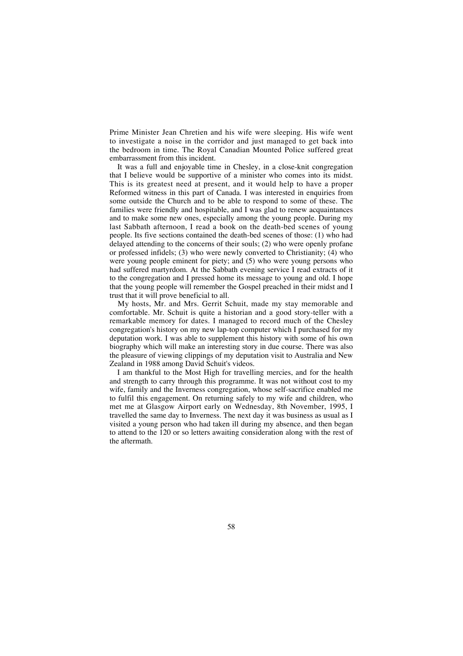Prime Minister Jean Chretien and his wife were sleeping. His wife went to investigate a noise in the corridor and just managed to get back into the bedroom in time. The Royal Canadian Mounted Police suffered great embarrassment from this incident.

It was a full and enjoyable time in Chesley, in a close-knit congregation that I believe would be supportive of a minister who comes into its midst. This is its greatest need at present, and it would help to have a proper Reformed witness in this part of Canada. I was interested in enquiries from some outside the Church and to be able to respond to some of these. The families were friendly and hospitable, and I was glad to renew acquaintances and to make some new ones, especially among the young people. During my last Sabbath afternoon, I read a book on the death-bed scenes of young people. Its five sections contained the death-bed scenes of those: (1) who had delayed attending to the concerns of their souls; (2) who were openly profane or professed infidels; (3) who were newly converted to Christianity; (4) who were voung people eminent for piety; and (5) who were young persons who had suffered martyrdom. At the Sabbath evening service I read extracts of it to the congregation and I pressed home its message to young and old. I hope that the young people will remember the Gospel preached in their midst and I trust that it will prove beneficial to all.

My hosts, Mr. and Mrs. Gerrit Schuit, made my stay memorable and comfortable. Mr. Schuit is quite a historian and a good story-teller with a remarkable memory for dates. I managed to record much of the Chesley congregation's history on my new lap-top computer which I purchased for my deputation work. I was able to supplement this history with some of his own biography which will make an interesting story in due course. There was also the pleasure of viewing clippings of my deputation visit to Australia and New Zealand in 1988 among David Schuit's videos.

I am thankful to the Most High for travelling mercies, and for the health and strength to carry through this programme. It was not without cost to my wife, family and the Inverness congregation, whose self-sacrifice enabled me to fulfil this engagement. On returning safely to my wife and children, who met me at Glasgow Airport early on Wednesday, 8th November, 1995, I travelled the same day to Inverness. The next day it was business as usual as I visited a young person who had taken ill during my absence, and then began to attend to the 120 or so letters awaiting consideration along with the rest of the aftermath.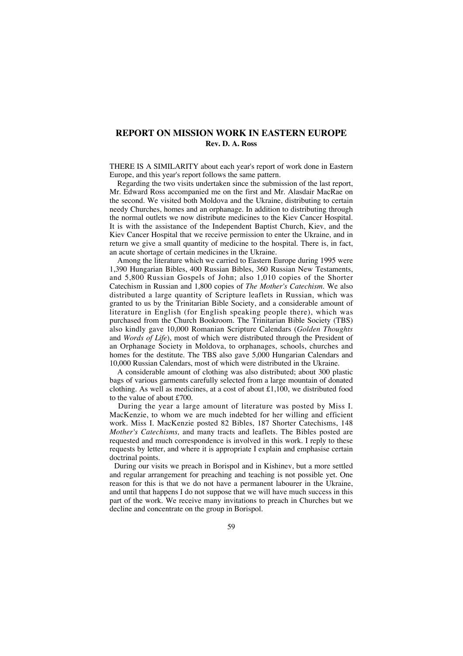# **REPORT ON MISSION WORK IN EASTERN EUROPE Rev. D. A. Ross**

THERE IS A SIMILARITY about each year's report of work done in Eastern Europe, and this year's report follows the same pattern.

Regarding the two visits undertaken since the submission of the last report, Mr. Edward Ross accompanied me on the first and Mr. Alasdair MacRae on the second. We visited both Moldova and the Ukraine, distributing to certain needy Churches, homes and an orphanage. In addition to distributing through the normal outlets we now distribute medicines to the Kiev Cancer Hospital. It is with the assistance of the Independent Baptist Church, Kiev, and the Kiev Cancer Hospital that we receive permission to enter the Ukraine, and in return we give a small quantity of medicine to the hospital. There is, in fact, an acute shortage of certain medicines in the Ukraine.

Among the literature which we carried to Eastern Europe during 1995 were 1,390 Hungarian Bibles, 400 Russian Bibles, 360 Russian New Testaments, and 5,800 Russian Gospels of John; also 1,010 copies of the Shorter Catechism in Russian and 1,800 copies of *The Mother's Catechism.* We also distributed a large quantity of Scripture leaflets in Russian, which was granted to us by the Trinitarian Bible Society, and a considerable amount of literature in English (for English speaking people there), which was purchased from the Church Bookroom. The Trinitarian Bible Society (TBS) also kindly gave 10,000 Romanian Scripture Calendars (*Golden Thoughts* and *Words of Life*), most of which were distributed through the President of an Orphanage Society in Moldova, to orphanages, schools, churches and homes for the destitute. The TBS also gave 5,000 Hungarian Calendars and 10,000 Russian Calendars, most of which were distributed in the Ukraine.

A considerable amount of clothing was also distributed; about 300 plastic bags of various garments carefully selected from a large mountain of donated clothing. As well as medicines, at a cost of about £1,100, we distributed food to the value of about £700.

During the year a large amount of literature was posted by Miss I. MacKenzie, to whom we are much indebted for her willing and efficient work. Miss I. MacKenzie posted 82 Bibles, 187 Shorter Catechisms, 148 *Mother's Catechisms,* and many tracts and leaflets. The Bibles posted are requested and much correspondence is involved in this work. I reply to these requests by letter, and where it is appropriate I explain and emphasise certain doctrinal points.

During our visits we preach in Borispol and in Kishinev, but a more settled and regular arrangement for preaching and teaching is not possible yet. One reason for this is that we do not have a permanent labourer in the Ukraine, and until that happens I do not suppose that we will have much success in this part of the work. We receive many invitations to preach in Churches but we decline and concentrate on the group in Borispol.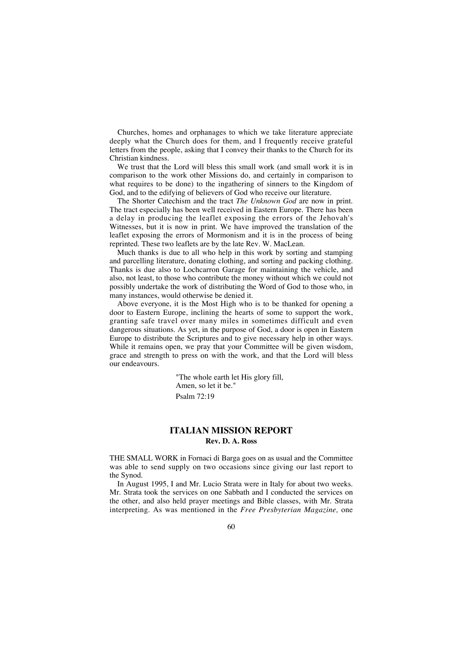Churches, homes and orphanages to which we take literature appreciate deeply what the Church does for them, and I frequently receive grateful letters from the people, asking that I convey their thanks to the Church for its Christian kindness.

We trust that the Lord will bless this small work (and small work it is in comparison to the work other Missions do, and certainly in comparison to what requires to be done) to the ingathering of sinners to the Kingdom of God, and to the edifying of believers of God who receive our literature.

The Shorter Catechism and the tract *The Unknown God* are now in print. The tract especially has been well received in Eastern Europe. There has been a delay in producing the leaflet exposing the errors of the Jehovah's Witnesses, but it is now in print. We have improved the translation of the leaflet exposing the errors of Mormonism and it is in the process of being reprinted. These two leaflets are by the late Rev. W. MacLean.

Much thanks is due to all who help in this work by sorting and stamping and parcelling literature, donating clothing, and sorting and packing clothing. Thanks is due also to Lochcarron Garage for maintaining the vehicle, and also, not least, to those who contribute the money without which we could not possibly undertake the work of distributing the Word of God to those who, in many instances, would otherwise be denied it.

Above everyone, it is the Most High who is to be thanked for opening a door to Eastern Europe, inclining the hearts of some to support the work, granting safe travel over many miles in sometimes difficult and even dangerous situations. As yet, in the purpose of God, a door is open in Eastern Europe to distribute the Scriptures and to give necessary help in other ways. While it remains open, we pray that your Committee will be given wisdom, grace and strength to press on with the work, and that the Lord will bless our endeavours.

> "The whole earth let His glory fill, Amen, so let it be." Psalm 72:19

# **ITALIAN MISSION REPORT Rev. D. A. Ross**

THE SMALL WORK in Fornaci di Barga goes on as usual and the Committee was able to send supply on two occasions since giving our last report to the Synod.

In August 1995, I and Mr. Lucio Strata were in Italy for about two weeks. Mr. Strata took the services on one Sabbath and I conducted the services on the other, and also held prayer meetings and Bible classes, with Mr. Strata interpreting. As was mentioned in the *Free Presbyterian Magazine,* one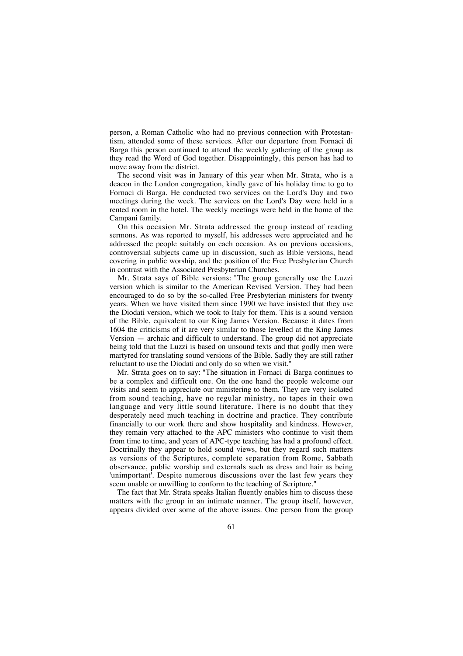person, a Roman Catholic who had no previous connection with Protestantism, attended some of these services. After our departure from Fornaci di Barga this person continued to attend the weekly gathering of the group as they read the Word of God together. Disappointingly, this person has had to move away from the district.

The second visit was in January of this year when Mr. Strata, who is a deacon in the London congregation, kindly gave of his holiday time to go to Fornaci di Barga. He conducted two services on the Lord's Day and two meetings during the week. The services on the Lord's Day were held in a rented room in the hotel. The weekly meetings were held in the home of the Campani family.

On this occasion Mr. Strata addressed the group instead of reading sermons. As was reported to myself, his addresses were appreciated and he addressed the people suitably on each occasion. As on previous occasions, controversial subjects came up in discussion, such as Bible versions, head covering in public worship, and the position of the Free Presbyterian Church in contrast with the Associated Presbyterian Churches.

Mr. Strata says of Bible versions: "The group generally use the Luzzi version which is similar to the American Revised Version. They had been encouraged to do so by the so-called Free Presbyterian ministers for twenty years. When we have visited them since 1990 we have insisted that they use the Diodati version, which we took to Italy for them. This is a sound version of the Bible, equivalent to our King James Version. Because it dates from 1604 the criticisms of it are very similar to those levelled at the King James Version — archaic and difficult to understand. The group did not appreciate being told that the Luzzi is based on unsound texts and that godly men were martyred for translating sound versions of the Bible. Sadly they are still rather reluctant to use the Diodati and only do so when we visit."

Mr. Strata goes on to say: "The situation in Fornaci di Barga continues to be a complex and difficult one. On the one hand the people welcome our visits and seem to appreciate our ministering to them. They are very isolated from sound teaching, have no regular ministry, no tapes in their own language and very little sound literature. There is no doubt that they desperately need much teaching in doctrine and practice. They contribute financially to our work there and show hospitality and kindness. However, they remain very attached to the APC ministers who continue to visit them from time to time, and years of APC-type teaching has had a profound effect. Doctrinally they appear to hold sound views, but they regard such matters as versions of the Scriptures, complete separation from Rome, Sabbath observance, public worship and externals such as dress and hair as being 'unimportant'. Despite numerous discussions over the last few years they seem unable or unwilling to conform to the teaching of Scripture."

The fact that Mr. Strata speaks Italian fluently enables him to discuss these matters with the group in an intimate manner. The group itself, however, appears divided over some of the above issues. One person from the group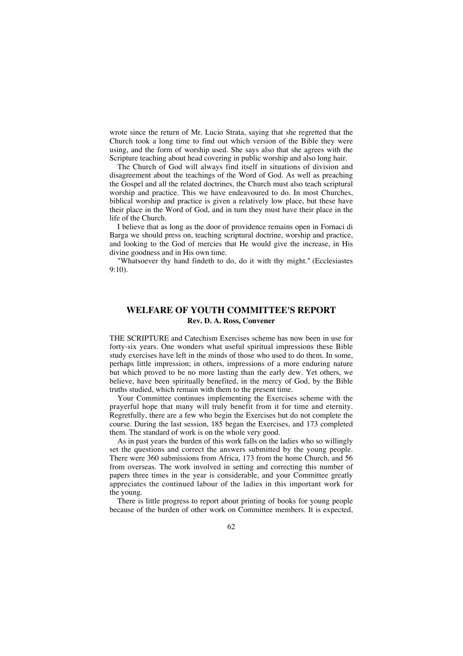wrote since the return of Mr. Lucio Strata, saying that she regretted that the Church took a long time to find out which version of the Bible they were using, and the form of worship used. She says also that she agrees with the Scripture teaching about head covering in public worship and also long hair.

The Church of God will always find itself in situations of division and disagreement about the teachings of the Word of God. As well as preaching the Gospel and all the related doctrines, the Church must also teach scriptural worship and practice. This we have endeavoured to do. In most Churches, biblical worship and practice is given a relatively low place, but these have their place in the Word of God, and in turn they must have their place in the life of the Church.

I believe that as long as the door of providence remains open in Fornaci di Barga we should press on, teaching scriptural doctrine, worship and practice, and looking to the God of mercies that He would give the increase, in His divine goodness and in His own time.

"Whatsoever thy hand findeth to do, do it with thy might." (Ecclesiastes 9:10).

# **WELFARE OF YOUTH COMMITTEE'S REPORT Rev. D. A. Ross, Convener**

THE SCRIPTURE and Catechism Exercises scheme has now been in use for forty-six years. One wonders what useful spiritual impressions these Bible study exercises have left in the minds of those who used to do them. In some, perhaps little impression; in others, impressions of a more enduring nature but which proved to be no more lasting than the early dew. Yet others, we believe, have been spiritually benefited, in the mercy of God, by the Bible truths studied, which remain with them to the present time.

Your Committee continues implementing the Exercises scheme with the prayerful hope that many will truly benefit from it for time and eternity. Regretfully, there are a few who begin the Exercises but do not complete the course. During the last session, 185 began the Exercises, and 173 completed them. The standard of work is on the whole very good.

As in past years the burden of this work falls on the ladies who so willingly set the questions and correct the answers submitted by the young people. There were 360 submissions from Africa, 173 from the home Church, and 56 from overseas. The work involved in setting and correcting this number of papers three times in the year is considerable, and your Committee greatly appreciates the continued labour of the ladies in this important work for the young.

There is little progress to report about printing of books for young people because of the burden of other work on Committee members. It is expected,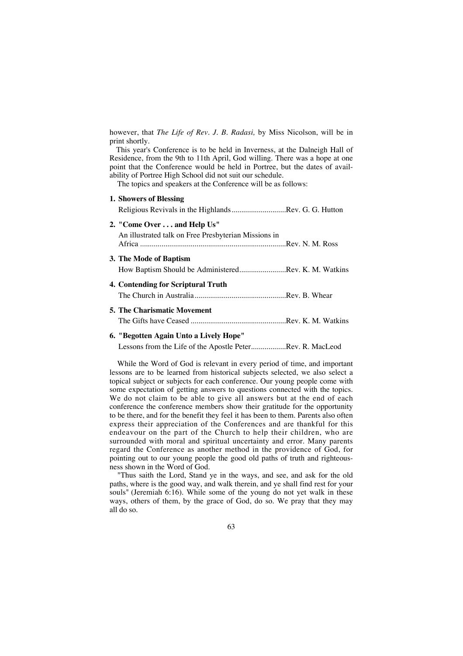however, that *The Life of Rev. J. B. Radasi,* by Miss Nicolson, will be in print shortly.

This year's Conference is to be held in Inverness, at the Dalneigh Hall of Residence, from the 9th to 11th April, God willing. There was a hope at one point that the Conference would be held in Portree, but the dates of availability of Portree High School did not suit our schedule.

The topics and speakers at the Conference will be as follows:

| 1. Showers of Blessing                                                   |
|--------------------------------------------------------------------------|
| Religious Revivals in the Highlands Rev. G. G. Hutton                    |
| 2. "Come Over and Help Us"                                               |
| An illustrated talk on Free Presbyterian Missions in                     |
| 3. The Mode of Baptism                                                   |
| How Baptism Should be AdministeredRev. K. M. Watkins                     |
| 4. Contending for Scriptural Truth                                       |
|                                                                          |
| <b>5. The Charismatic Movement</b>                                       |
|                                                                          |
| 6. "Begotten Again Unto a Lively Hope"                                   |
| Lessons from the Life of the Apostle PeterRev. R. MacLeod                |
| While the Word of God is relevant in every period of time, and important |

lessons are to be learned from historical subjects selected, we also select a topical subject or subjects for each conference. Our young people come with some expectation of getting answers to questions connected with the topics. We do not claim to be able to give all answers but at the end of each conference the conference members show their gratitude for the opportunity to be there, and for the benefit they feel it has been to them. Parents also often express their appreciation of the Conferences and are thankful for this endeavour on the part of the Church to help their children, who are surrounded with moral and spiritual uncertainty and error. Many parents regard the Conference as another method in the providence of God, for pointing out to our young people the good old paths of truth and righteousness shown in the Word of God.

"Thus saith the Lord, Stand ye in the ways, and see, and ask for the old paths, where is the good way, and walk therein, and ye shall find rest for your souls" (Jeremiah 6:16). While some of the young do not yet walk in these ways, others of them, by the grace of God, do so. We pray that they may all do so.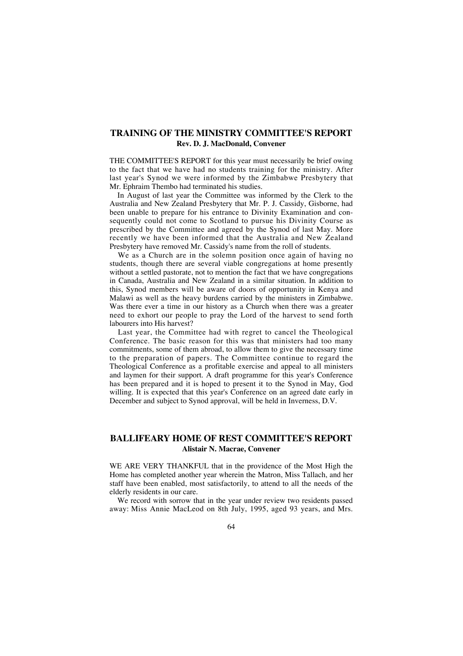# **TRAINING OF THE MINISTRY COMMITTEE'S REPORT Rev. D. J. MacDonald, Convener**

THE COMMITTEE'S REPORT for this year must necessarily be brief owing to the fact that we have had no students training for the ministry. After last year's Synod we were informed by the Zimbabwe Presbytery that Mr. Ephraim Thembo had terminated his studies.

In August of last year the Committee was informed by the Clerk to the Australia and New Zealand Presbytery that Mr. P. J. Cassidy, Gisborne, had been unable to prepare for his entrance to Divinity Examination and consequently could not come to Scotland to pursue his Divinity Course as prescribed by the Committee and agreed by the Synod of last May. More recently we have been informed that the Australia and New Zealand Presbytery have removed Mr. Cassidy's name from the roll of students.

We as a Church are in the solemn position once again of having no students, though there are several viable congregations at home presently without a settled pastorate, not to mention the fact that we have congregations in Canada, Australia and New Zealand in a similar situation. In addition to this, Synod members will be aware of doors of opportunity in Kenya and Malawi as well as the heavy burdens carried by the ministers in Zimbabwe. Was there ever a time in our history as a Church when there was a greater need to exhort our people to pray the Lord of the harvest to send forth labourers into His harvest?

Last year, the Committee had with regret to cancel the Theological Conference. The basic reason for this was that ministers had too many commitments, some of them abroad, to allow them to give the necessary time to the preparation of papers. The Committee continue to regard the Theological Conference as a profitable exercise and appeal to all ministers and laymen for their support. A draft programme for this year's Conference has been prepared and it is hoped to present it to the Synod in May, God willing. It is expected that this year's Conference on an agreed date early in December and subject to Synod approval, will be held in Inverness, D.V.

# **BALLIFEARY HOME OF REST COMMITTEE'S REPORT Alistair N. Macrae, Convener**

WE ARE VERY THANKFUL that in the providence of the Most High the Home has completed another year wherein the Matron, Miss Tallach, and her staff have been enabled, most satisfactorily, to attend to all the needs of the elderly residents in our care.

We record with sorrow that in the year under review two residents passed away: Miss Annie MacLeod on 8th July, 1995, aged 93 years, and Mrs.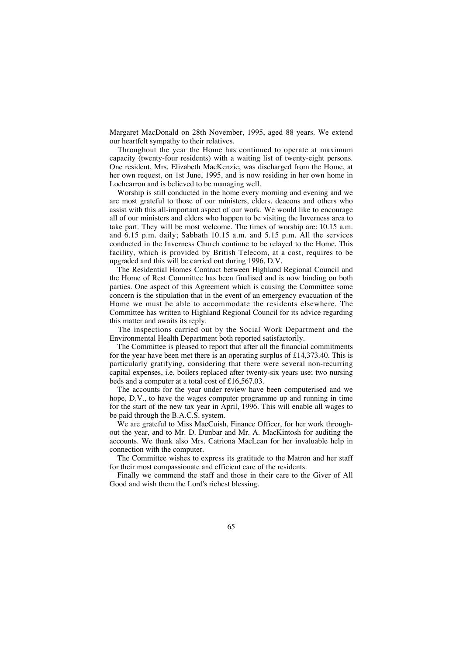Margaret MacDonald on 28th November, 1995, aged 88 years. We extend our heartfelt sympathy to their relatives.

Throughout the year the Home has continued to operate at maximum capacity (twenty-four residents) with a waiting list of twenty-eight persons. One resident, Mrs. Elizabeth MacKenzie, was discharged from the Home, at her own request, on 1st June, 1995, and is now residing in her own home in Lochcarron and is believed to be managing well.

Worship is still conducted in the home every morning and evening and we are most grateful to those of our ministers, elders, deacons and others who assist with this all-important aspect of our work. We would like to encourage all of our ministers and elders who happen to be visiting the Inverness area to take part. They will be most welcome. The times of worship are: 10.15 a.m. and 6.15 p.m. daily; Sabbath 10.15 a.m. and 5.15 p.m. All the services conducted in the Inverness Church continue to be relayed to the Home. This facility, which is provided by British Telecom, at a cost, requires to be upgraded and this will be carried out during 1996, D.V.

The Residential Homes Contract between Highland Regional Council and the Home of Rest Committee has been finalised and is now binding on both parties. One aspect of this Agreement which is causing the Committee some concern is the stipulation that in the event of an emergency evacuation of the Home we must be able to accommodate the residents elsewhere. The Committee has written to Highland Regional Council for its advice regarding this matter and awaits its reply.

The inspections carried out by the Social Work Department and the Environmental Health Department both reported satisfactorily.

The Committee is pleased to report that after all the financial commitments for the year have been met there is an operating surplus of £14,373.40. This is particularly gratifying, considering that there were several non-recurring capital expenses, i.e. boilers replaced after twenty-six years use; two nursing beds and a computer at a total cost of £16,567.03.

The accounts for the year under review have been computerised and we hope, D.V., to have the wages computer programme up and running in time for the start of the new tax year in April, 1996. This will enable all wages to be paid through the B.A.C.S. system.

We are grateful to Miss MacCuish, Finance Officer, for her work throughout the year, and to Mr. D. Dunbar and Mr. A. MacKintosh for auditing the accounts. We thank also Mrs. Catriona MacLean for her invaluable help in connection with the computer.

The Committee wishes to express its gratitude to the Matron and her staff for their most compassionate and efficient care of the residents.

Finally we commend the staff and those in their care to the Giver of All Good and wish them the Lord's richest blessing.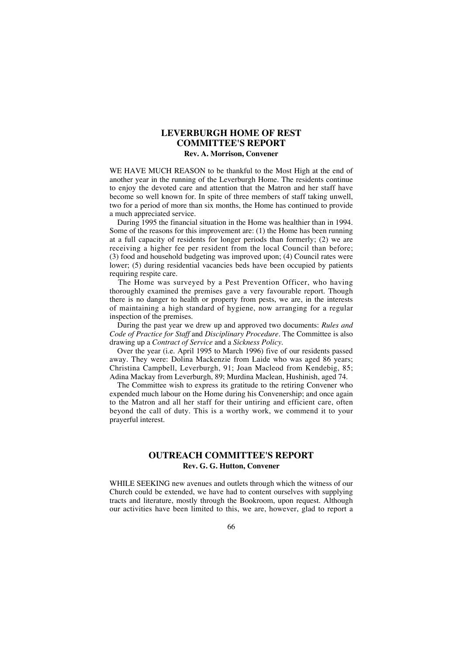# **LEVERBURGH HOME OF REST COMMITTEE'S REPORT**

### **Rev. A. Morrison, Convener**

WE HAVE MUCH REASON to be thankful to the Most High at the end of another year in the running of the Leverburgh Home. The residents continue to enjoy the devoted care and attention that the Matron and her staff have become so well known for. In spite of three members of staff taking unwell, two for a period of more than six months, the Home has continued to provide a much appreciated service.

During 1995 the financial situation in the Home was healthier than in 1994. Some of the reasons for this improvement are: (1) the Home has been running at a full capacity of residents for longer periods than formerly; (2) we are receiving a higher fee per resident from the local Council than before; (3) food and household budgeting was improved upon; (4) Council rates were lower; (5) during residential vacancies beds have been occupied by patients requiring respite care.

The Home was surveyed by a Pest Prevention Officer, who having thoroughly examined the premises gave a very favourable report. Though there is no danger to health or property from pests, we are, in the interests of maintaining a high standard of hygiene, now arranging for a regular inspection of the premises.

During the past year we drew up and approved two documents: *Rules and Code of Practice for Staff* and *Disciplinary Procedure.* The Committee is also drawing up a *Contract of Service* and a *Sickness Policy.*

Over the year (i.e. April 1995 to March 1996) five of our residents passed away. They were: Dolina Mackenzie from Laide who was aged 86 years; Christina Campbell, Leverburgh, 91; Joan Macleod from Kendebig, 85; Adina Mackay from Leverburgh, 89; Murdina Maclean, Hushinish, aged 74.

The Committee wish to express its gratitude to the retiring Convener who expended much labour on the Home during his Convenership; and once again to the Matron and all her staff for their untiring and efficient care, often beyond the call of duty. This is a worthy work, we commend it to your prayerful interest.

# **OUTREACH COMMITTEE'S REPORT Rev. G. G. Hutton, Convener**

WHILE SEEKING new avenues and outlets through which the witness of our Church could be extended, we have had to content ourselves with supplying tracts and literature, mostly through the Bookroom, upon request. Although our activities have been limited to this, we are, however, glad to report a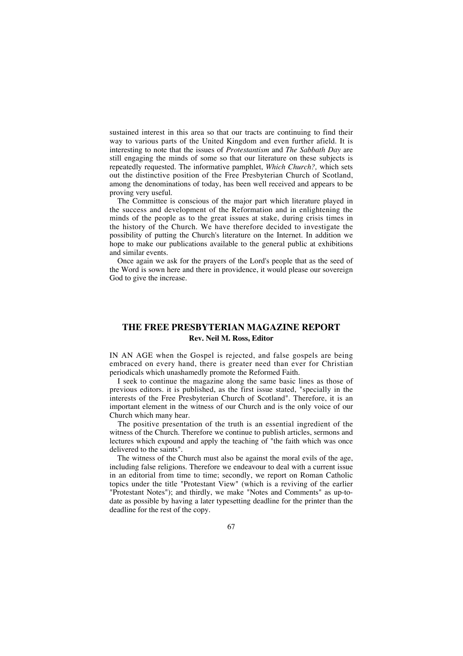sustained interest in this area so that our tracts are continuing to find their way to various parts of the United Kingdom and even further afield. It is interesting to note that the issues of *Protestantism* and *The Sabbath Day* are still engaging the minds of some so that our literature on these subjects is repeatedly requested. The informative pamphlet, *Which Church?,* which sets out the distinctive position of the Free Presbyterian Church of Scotland, among the denominations of today, has been well received and appears to be proving very useful.

The Committee is conscious of the major part which literature played in the success and development of the Reformation and in enlightening the minds of the people as to the great issues at stake, during crisis times in the history of the Church. We have therefore decided to investigate the possibility of putting the Church's literature on the Internet. In addition we hope to make our publications available to the general public at exhibitions and similar events.

Once again we ask for the prayers of the Lord's people that as the seed of the Word is sown here and there in providence, it would please our sovereign God to give the increase.

## **THE FREE PRESBYTERIAN MAGAZINE REPORT Rev. Neil M. Ross, Editor**

IN AN AGE when the Gospel is rejected, and false gospels are being embraced on every hand, there is greater need than ever for Christian periodicals which unashamedly promote the Reformed Faith.

I seek to continue the magazine along the same basic lines as those of previous editors. it is published, as the first issue stated, "specially in the interests of the Free Presbyterian Church of Scotland". Therefore, it is an important element in the witness of our Church and is the only voice of our Church which many hear.

The positive presentation of the truth is an essential ingredient of the witness of the Church. Therefore we continue to publish articles, sermons and lectures which expound and apply the teaching of "the faith which was once delivered to the saints".

The witness of the Church must also be against the moral evils of the age, including false religions. Therefore we endeavour to deal with a current issue in an editorial from time to time; secondly, we report on Roman Catholic topics under the title "Protestant View" (which is a reviving of the earlier "Protestant Notes"); and thirdly, we make "Notes and Comments" as up-todate as possible by having a later typesetting deadline for the printer than the deadline for the rest of the copy.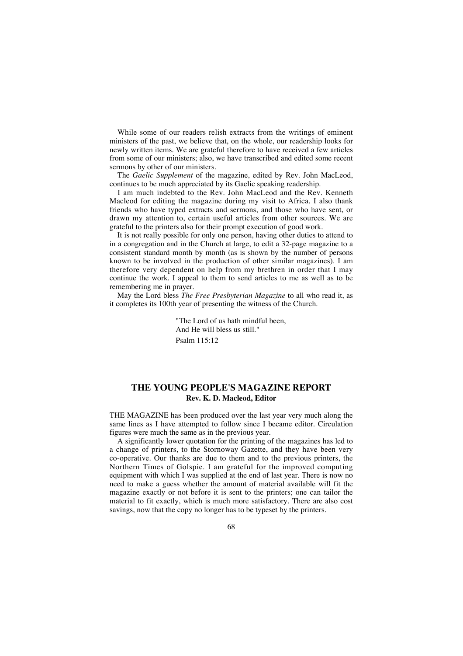While some of our readers relish extracts from the writings of eminent ministers of the past, we believe that, on the whole, our readership looks for newly written items. We are grateful therefore to have received a few articles from some of our ministers; also, we have transcribed and edited some recent sermons by other of our ministers.

The *Gaelic Supplement* of the magazine, edited by Rev. John MacLeod, continues to be much appreciated by its Gaelic speaking readership.

I am much indebted to the Rev. John MacLeod and the Rev. Kenneth Macleod for editing the magazine during my visit to Africa. I also thank friends who have typed extracts and sermons, and those who have sent, or drawn my attention to, certain useful articles from other sources. We are grateful to the printers also for their prompt execution of good work.

It is not really possible for only one person, having other duties to attend to in a congregation and in the Church at large, to edit a 32-page magazine to a consistent standard month by month (as is shown by the number of persons known to be involved in the production of other similar magazines). I am therefore very dependent on help from my brethren in order that I may continue the work. I appeal to them to send articles to me as well as to be remembering me in prayer.

May the Lord bless *The Free Presbyterian Magazine* to all who read it, as it completes its 100th year of presenting the witness of the Church.

> "The Lord of us hath mindful been, And He will bless us still." Psalm  $115.12$

## **THE YOUNG PEOPLE'S MAGAZINE REPORT Rev. K. D. Macleod, Editor**

THE MAGAZINE has been produced over the last year very much along the same lines as I have attempted to follow since I became editor. Circulation figures were much the same as in the previous year.

A significantly lower quotation for the printing of the magazines has led to a change of printers, to the Stornoway Gazette, and they have been very co-operative. Our thanks are due to them and to the previous printers, the Northern Times of Golspie. I am grateful for the improved computing equipment with which I was supplied at the end of last year. There is now no need to make a guess whether the amount of material available will fit the magazine exactly or not before it is sent to the printers; one can tailor the material to fit exactly, which is much more satisfactory. There are also cost savings, now that the copy no longer has to be typeset by the printers.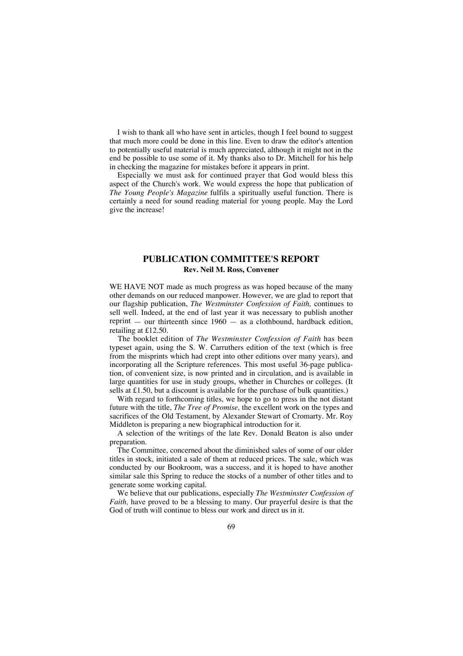I wish to thank all who have sent in articles, though I feel bound to suggest that much more could be done in this line. Even to draw the editor's attention to potentially useful material is much appreciated, although it might not in the end be possible to use some of it. My thanks also to Dr. Mitchell for his help in checking the magazine for mistakes before it appears in print.

Especially we must ask for continued prayer that God would bless this aspect of the Church's work. We would express the hope that publication of *The Young People's Magazine* fulfils a spiritually useful function. There is certainly a need for sound reading material for young people. May the Lord give the increase!

### **PUBLICATION COMMITTEE'S REPORT Rev. Neil M. Ross, Convener**

WE HAVE NOT made as much progress as was hoped because of the many other demands on our reduced manpower. However, we are glad to report that our flagship publication, *The Westminster Confession of Faith,* continues to sell well. Indeed, at the end of last year it was necessary to publish another reprint  $-$  our thirteenth since  $1960 -$  as a clothbound, hardback edition, retailing at £12.50.

The booklet edition of *The Westminster Confession of Faith* has been typeset again, using the S. W. Carruthers edition of the text (which is free from the misprints which had crept into other editions over many years), and incorporating all the Scripture references. This most useful 36-page publication, of convenient size, is now printed and in circulation, and is available in large quantities for use in study groups, whether in Churches or colleges. (It sells at  $£1.50$ , but a discount is available for the purchase of bulk quantities.)

With regard to forthcoming titles, we hope to go to press in the not distant future with the title, *The Tree of Promise,* the excellent work on the types and sacrifices of the Old Testament, by Alexander Stewart of Cromarty. Mr. Roy Middleton is preparing a new biographical introduction for it.

A selection of the writings of the late Rev. Donald Beaton is also under preparation.

The Committee, concerned about the diminished sales of some of our older titles in stock, initiated a sale of them at reduced prices. The sale, which was conducted by our Bookroom, was a success, and it is hoped to have another similar sale this Spring to reduce the stocks of a number of other titles and to generate some working capital.

We believe that our publications, especially *The Westminster Confession of Faith,* have proved to be a blessing to many. Our prayerful desire is that the God of truth will continue to bless our work and direct us in it.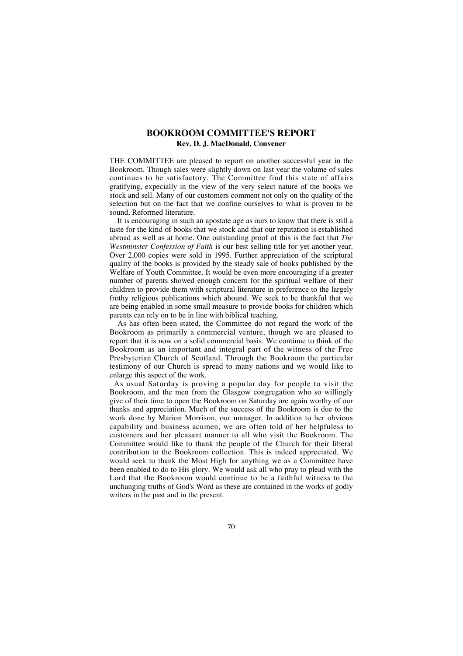## **BOOKROOM COMMITTEE'S REPORT Rev. D. J. MacDonald, Convener**

THE COMMITTEE are pleased to report on another successful year in the Bookroom. Though sales were slightly down on last year the volume of sales continues to be satisfactory. The Committee find this state of affairs gratifying, expecially in the view of the very select nature of the books we stock and sell. Many of our customers comment not only on the quality of the selection but on the fact that we confine ourselves to what is proven to be sound, Reformed literature.

It is encouraging in such an apostate age as ours to know that there is still a taste for the kind of books that we stock and that our reputation is established abroad as well as at home. One outstanding proof of this is the fact that *The Westminster Confession of Faith* is our best selling title for yet another year. Over 2,000 copies were sold in 1995. Further appreciation of the scriptural quality of the books is provided by the steady sale of books published by the Welfare of Youth Committee. It would be even more encouraging if a greater number of parents showed enough concern for the spiritual welfare of their children to provide them with scriptural literature in preference to the largely frothy religious publications which abound. We seek to be thankful that we are being enabled in some small measure to provide books for children which parents can rely on to be in line with biblical teaching.

As has often been stated, the Committee do not regard the work of the Bookroom as primarily a commercial venture, though we are pleased to report that it is now on a solid commercial basis. We continue to think of the Bookroom as an important and integral part of the witness of the Free Presbyterian Church of Scotland. Through the Bookroom the particular testimony of our Church is spread to many nations and we would like to enlarge this aspect of the work.

As usual Saturday is proving a popular day for people to visit the Bookroom, and the men from the Glasgow congregation who so willingly give of their time to open the Bookroom on Saturday are again worthy of our thanks and appreciation. Much of the success of the Bookroom is due to the work done by Marion Morrison, our manager. In addition to her obvious capability and business acumen, we are often told of her helpfuless to customers and her pleasant manner to all who visit the Bookroom. The Committee would like to thank the people of the Church for their liberal contribution to the Bookroom collection. This is indeed appreciated. We would seek to thank the Most High for anything we as a Committee have been enabled to do to His glory. We would ask all who pray to plead with the Lord that the Bookroom would continue to be a faithful witness to the unchanging truths of God's Word as these are contained in the works of godly writers in the past and in the present.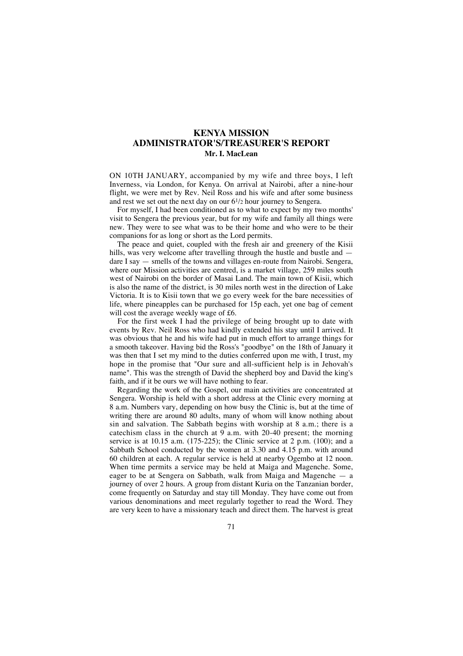## **KENYA MISSION ADMINISTRATOR'S/TREASURER'S REPORT Mr. I. MacLean**

ON 10TH JANUARY, accompanied by my wife and three boys, I left Inverness, via London, for Kenya. On arrival at Nairobi, after a nine-hour flight, we were met by Rev. Neil Ross and his wife and after some business and rest we set out the next day on our  $6^{1/2}$  hour journey to Sengera.

For myself, I had been conditioned as to what to expect by my two months' visit to Sengera the previous year, but for my wife and family all things were new. They were to see what was to be their home and who were to be their companions for as long or short as the Lord permits.

The peace and quiet, coupled with the fresh air and greenery of the Kisii hills, was very welcome after travelling through the hustle and bustle and  $$ dare I say — smells of the towns and villages en-route from Nairobi. Sengera, where our Mission activities are centred, is a market village, 259 miles south west of Nairobi on the border of Masai Land. The main town of Kisii, which is also the name of the district, is 30 miles north west in the direction of Lake Victoria. It is to Kisii town that we go every week for the bare necessities of life, where pineapples can be purchased for 15p each, yet one bag of cement will cost the average weekly wage of £6.

For the first week I had the privilege of being brought up to date with events by Rev. Neil Ross who had kindly extended his stay until I arrived. It was obvious that he and his wife had put in much effort to arrange things for a smooth takeover. Having bid the Ross's "goodbye" on the 18th of January it was then that I set my mind to the duties conferred upon me with, I trust, my hope in the promise that "Our sure and all-sufficient help is in Jehovah's name". This was the strength of David the shepherd boy and David the king's faith, and if it be ours we will have nothing to fear.

Regarding the work of the Gospel, our main activities are concentrated at Sengera. Worship is held with a short address at the Clinic every morning at 8 a.m. Numbers vary, depending on how busy the Clinic is, but at the time of writing there are around 80 adults, many of whom will know nothing about sin and salvation. The Sabbath begins with worship at 8 a.m.; there is a catechism class in the church at  $9$  a.m. with 20-40 present; the morning service is at 10.15 a.m. (175-225); the Clinic service at 2 p.m. (100); and a Sabbath School conducted by the women at 3.30 and 4.15 p.m. with around 60 children at each. A regular service is held at nearby Ogembo at 12 noon. When time permits a service may be held at Maiga and Magenche. Some, eager to be at Sengera on Sabbath, walk from Maiga and Magenche — a journey of over 2 hours. A group from distant Kuria on the Tanzanian border, come frequently on Saturday and stay till Monday. They have come out from various denominations and meet regularly together to read the Word. They are very keen to have a missionary teach and direct them. The harvest is great